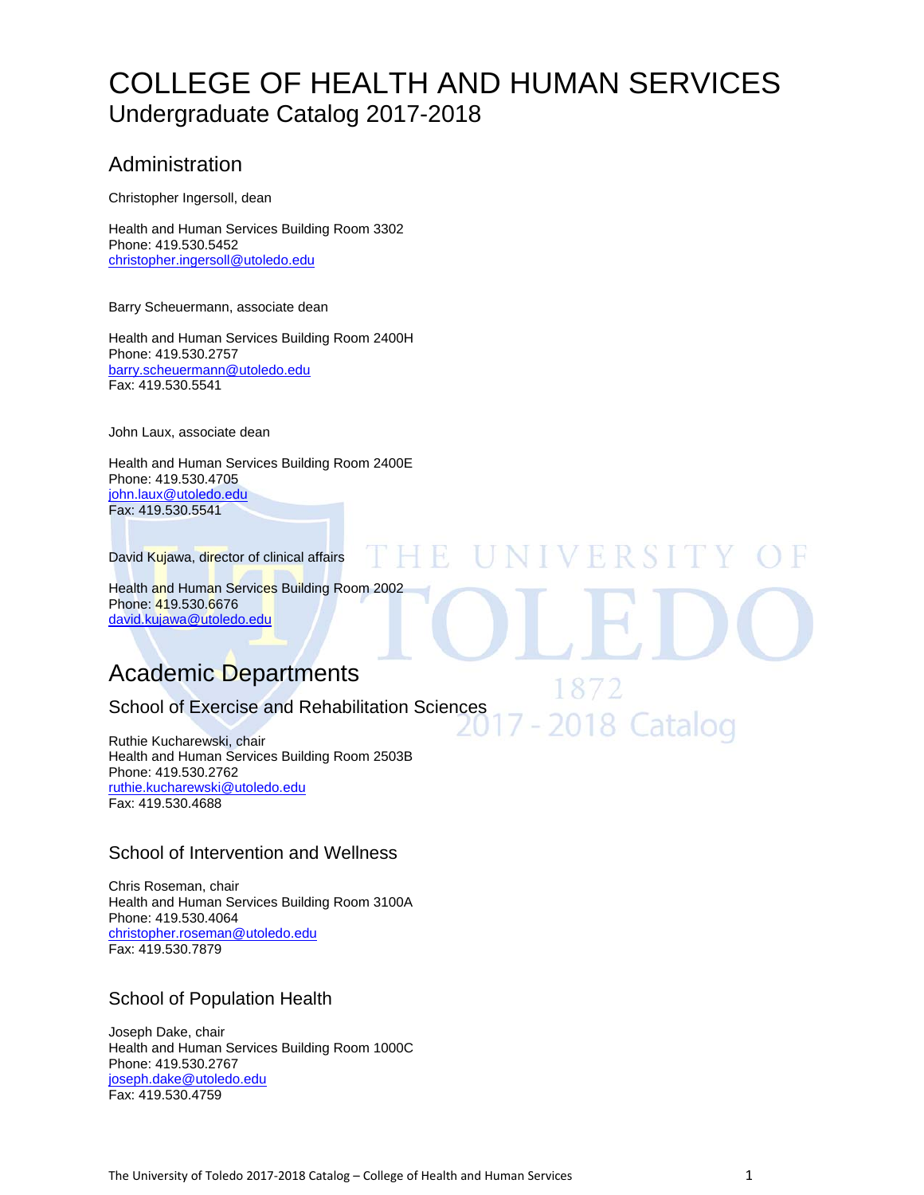# COLLEGE OF HEALTH AND HUMAN SERVICES Undergraduate Catalog 2017-2018

H

VERSI

2018 Catalog

# Administration

Christopher Ingersoll, dean

Health and Human Services Building Room 3302 Phone: 419.530.5452 christopher.ingersoll@utoledo.edu

Barry Scheuermann, associate dean

Health and Human Services Building Room 2400H Phone: 419.530.2757 barry.scheuermann@utoledo.edu Fax: 419.530.5541

John Laux, associate dean

Health and Human Services Building Room 2400E Phone: 419.530.4705 john.laux@utoledo.edu Fax: 419.530.5541

David Kujawa, director of clinical affairs

Health and Human Services Building Room 2002 Phone: 419.530.6676 david.kujawa@utoledo.edu

# Academic Departments

# School of Exercise and Rehabilitation Sciences

Ruthie Kucharewski, chair Health and Human Services Building Room 2503B Phone: 419.530.2762 ruthie.kucharewski@utoledo.edu Fax: 419.530.4688

# School of Intervention and Wellness

Chris Roseman, chair Health and Human Services Building Room 3100A Phone: 419.530.4064 christopher.roseman@utoledo.edu Fax: 419.530.7879

# School of Population Health

Joseph Dake, chair Health and Human Services Building Room 1000C Phone: 419.530.2767 joseph.dake@utoledo.edu Fax: 419.530.4759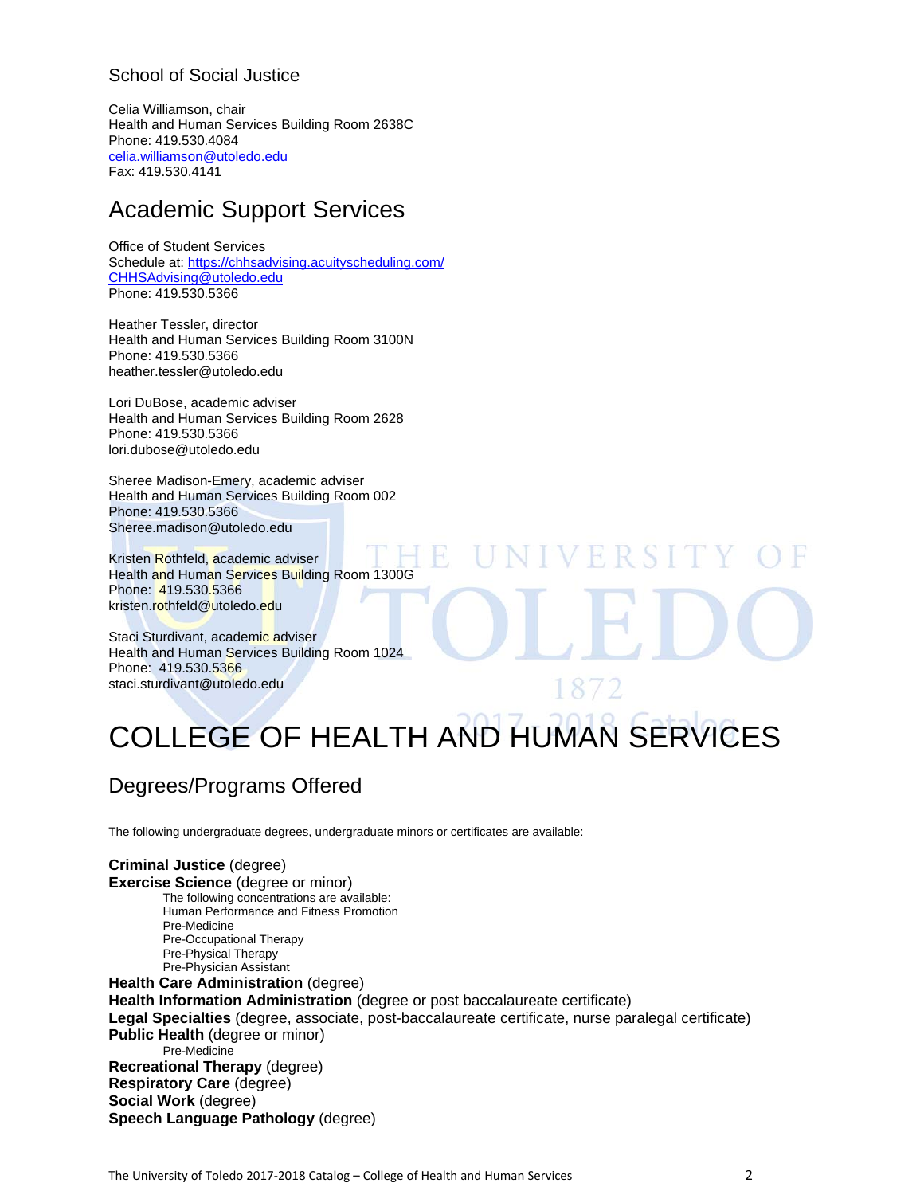# School of Social Justice

Celia Williamson, chair Health and Human Services Building Room 2638C Phone: 419.530.4084 celia.williamson@utoledo.edu Fax: 419.530.4141

# Academic Support Services

Office of Student Services Schedule at: https://chhsadvising.acuityscheduling.com/ CHHSAdvising@utoledo.edu Phone: 419.530.5366

Heather Tessler, director Health and Human Services Building Room 3100N Phone: 419.530.5366 heather.tessler@utoledo.edu

Lori DuBose, academic adviser Health and Human Services Building Room 2628 Phone: 419.530.5366 lori.dubose@utoledo.edu

Sheree Madison-Emery, academic adviser Health and Human Services Building Room 002 Phone: 419.530.5366 Sheree.madison@utoledo.edu

Kristen Rothfeld, academic adviser Health and Human Services Building Room 1300G Phone: 419.530.5366 kristen.rothfeld@utoledo.edu

Staci Sturdivant, academic adviser Health and Human Services Building Room 1024 Phone: 419.530.5366 staci.sturdivant@utoledo.edu

# COLLEGE OF HEALTH AND HUMAN SERVICES

Ħ

# Degrees/Programs Offered

The following undergraduate degrees, undergraduate minors or certificates are available:

**Criminal Justice** (degree) **Exercise Science** (degree or minor) The following concentrations are available: Human Performance and Fitness Promotion Pre-Medicine Pre-Occupational Therapy Pre-Physical Therapy Pre-Physician Assistant **Health Care Administration** (degree) **Health Information Administration** (degree or post baccalaureate certificate) **Legal Specialties** (degree, associate, post-baccalaureate certificate, nurse paralegal certificate) **Public Health (degree or minor)** Pre-Medicine **Recreational Therapy** (degree) **Respiratory Care** (degree) **Social Work** (degree) **Speech Language Pathology** (degree)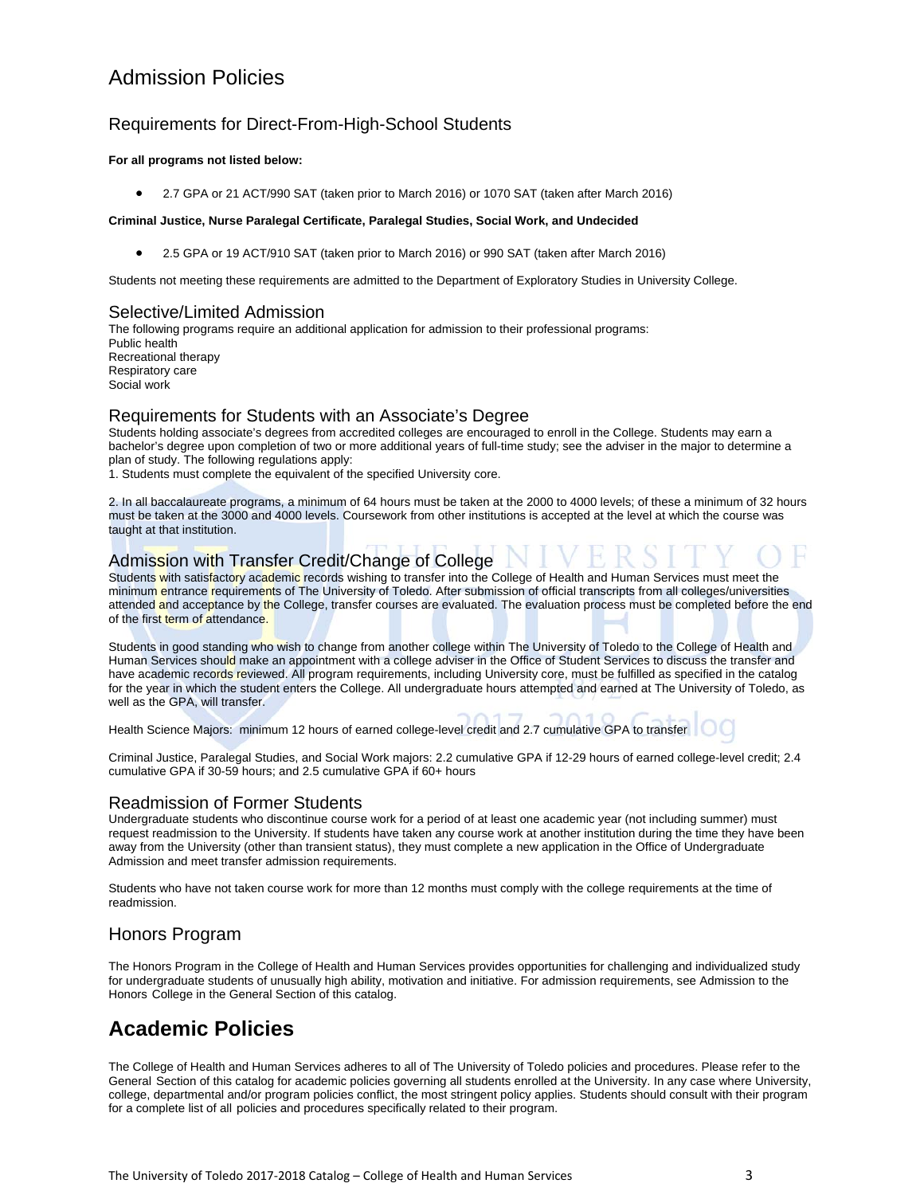# Admission Policies

# Requirements for Direct-From-High-School Students

### **For all programs not listed below:**

2.7 GPA or 21 ACT/990 SAT (taken prior to March 2016) or 1070 SAT (taken after March 2016)

### **Criminal Justice, Nurse Paralegal Certificate, Paralegal Studies, Social Work, and Undecided**

2.5 GPA or 19 ACT/910 SAT (taken prior to March 2016) or 990 SAT (taken after March 2016)

Students not meeting these requirements are admitted to the Department of Exploratory Studies in University College.

### Selective/Limited Admission

The following programs require an additional application for admission to their professional programs: Public health Recreational therapy Respiratory care Social work

# Requirements for Students with an Associate's Degree

Students holding associate's degrees from accredited colleges are encouraged to enroll in the College. Students may earn a bachelor's degree upon completion of two or more additional years of full-time study; see the adviser in the major to determine a plan of study. The following regulations apply:

1. Students must complete the equivalent of the specified University core.

2. In all baccalaureate programs, a minimum of 64 hours must be taken at the 2000 to 4000 levels; of these a minimum of 32 hours must be taken at the 3000 and 4000 levels. Coursework from other institutions is accepted at the level at which the course was taught at that institution.

# Admission with Transfer Credit/Change of College

Students with satisfactory academic records wishing to transfer into the College of Health and Human Services must meet the minimum entrance requirements of The University of Toledo. After submission of official transcripts from all colleges/universities attended and acceptance by the College, transfer courses are evaluated. The evaluation process must be completed before the end of the first term of attendance.

Students in good standing who wish to change from another college within The University of Toledo to the College of Health and Human Services should make an appointment with a college adviser in the Office of Student Services to discuss the transfer and have academic records reviewed. All program requirements, including University core, must be fulfilled as specified in the catalog for the year in which the student enters the College. All undergraduate hours attempted and earned at The University of Toledo, as well as the GPA, will transfer.

Health Science Majors: minimum 12 hours of earned college-level credit and 2.7 cumulative GPA to transfer

Criminal Justice, Paralegal Studies, and Social Work majors: 2.2 cumulative GPA if 12-29 hours of earned college-level credit; 2.4 cumulative GPA if 30-59 hours; and 2.5 cumulative GPA if 60+ hours

# Readmission of Former Students

Undergraduate students who discontinue course work for a period of at least one academic year (not including summer) must request readmission to the University. If students have taken any course work at another institution during the time they have been away from the University (other than transient status), they must complete a new application in the Office of Undergraduate Admission and meet transfer admission requirements.

Students who have not taken course work for more than 12 months must comply with the college requirements at the time of readmission.

# Honors Program

The Honors Program in the College of Health and Human Services provides opportunities for challenging and individualized study for undergraduate students of unusually high ability, motivation and initiative. For admission requirements, see Admission to the Honors College in the General Section of this catalog.

# **Academic Policies**

The College of Health and Human Services adheres to all of The University of Toledo policies and procedures. Please refer to the General Section of this catalog for academic policies governing all students enrolled at the University. In any case where University, college, departmental and/or program policies conflict, the most stringent policy applies. Students should consult with their program for a complete list of all policies and procedures specifically related to their program.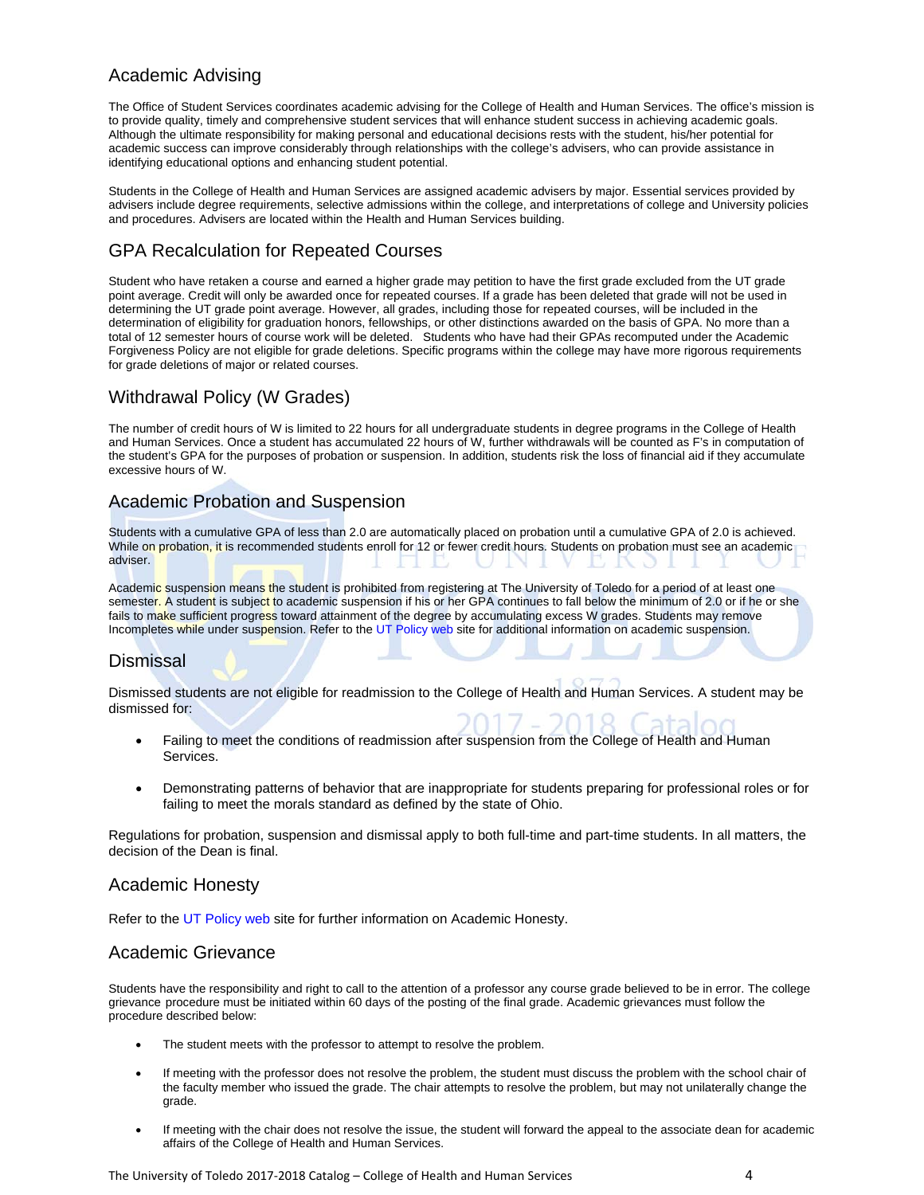# Academic Advising

The Office of Student Services coordinates academic advising for the College of Health and Human Services. The office's mission is to provide quality, timely and comprehensive student services that will enhance student success in achieving academic goals. Although the ultimate responsibility for making personal and educational decisions rests with the student, his/her potential for academic success can improve considerably through relationships with the college's advisers, who can provide assistance in identifying educational options and enhancing student potential.

Students in the College of Health and Human Services are assigned academic advisers by major. Essential services provided by advisers include degree requirements, selective admissions within the college, and interpretations of college and University policies and procedures. Advisers are located within the Health and Human Services building.

# GPA Recalculation for Repeated Courses

Student who have retaken a course and earned a higher grade may petition to have the first grade excluded from the UT grade point average. Credit will only be awarded once for repeated courses. If a grade has been deleted that grade will not be used in determining the UT grade point average. However, all grades, including those for repeated courses, will be included in the determination of eligibility for graduation honors, fellowships, or other distinctions awarded on the basis of GPA. No more than a total of 12 semester hours of course work will be deleted. Students who have had their GPAs recomputed under the Academic Forgiveness Policy are not eligible for grade deletions. Specific programs within the college may have more rigorous requirements for grade deletions of major or related courses.

# Withdrawal Policy (W Grades)

The number of credit hours of W is limited to 22 hours for all undergraduate students in degree programs in the College of Health and Human Services. Once a student has accumulated 22 hours of W, further withdrawals will be counted as F's in computation of the student's GPA for the purposes of probation or suspension. In addition, students risk the loss of financial aid if they accumulate excessive hours of W.

# Academic Probation and Suspension

Students with a cumulative GPA of less than 2.0 are automatically placed on probation until a cumulative GPA of 2.0 is achieved. While on probation, it is recommended students enroll for 12 or fewer credit hours. Students on probation must see an academic adviser.

Academic suspension means the student is prohibited from registering at The University of Toledo for a period of at least one semester. A student is subject to academic suspension if his or her GPA continues to fall below the minimum of 2.0 or if he or she fails to make sufficient progress toward attainment of the degree by accumulating excess W grades. Students may remove Incompletes while under suspension. Refer to the UT Policy web site for additional information on academic suspension.

# Dismissal

Dismissed students are not eligible for readmission to the College of Health and Human Services. A student may be dismissed for:

- Failing to meet the conditions of readmission after suspension from the College of Health and Human Services.
- Demonstrating patterns of behavior that are inappropriate for students preparing for professional roles or for failing to meet the morals standard as defined by the state of Ohio.

Regulations for probation, suspension and dismissal apply to both full-time and part-time students. In all matters, the decision of the Dean is final.

# Academic Honesty

Refer to the UT Policy web site for further information on Academic Honesty.

# Academic Grievance

Students have the responsibility and right to call to the attention of a professor any course grade believed to be in error. The college grievance procedure must be initiated within 60 days of the posting of the final grade. Academic grievances must follow the procedure described below:

- The student meets with the professor to attempt to resolve the problem.
- If meeting with the professor does not resolve the problem, the student must discuss the problem with the school chair of the faculty member who issued the grade. The chair attempts to resolve the problem, but may not unilaterally change the grade.
- If meeting with the chair does not resolve the issue, the student will forward the appeal to the associate dean for academic affairs of the College of Health and Human Services.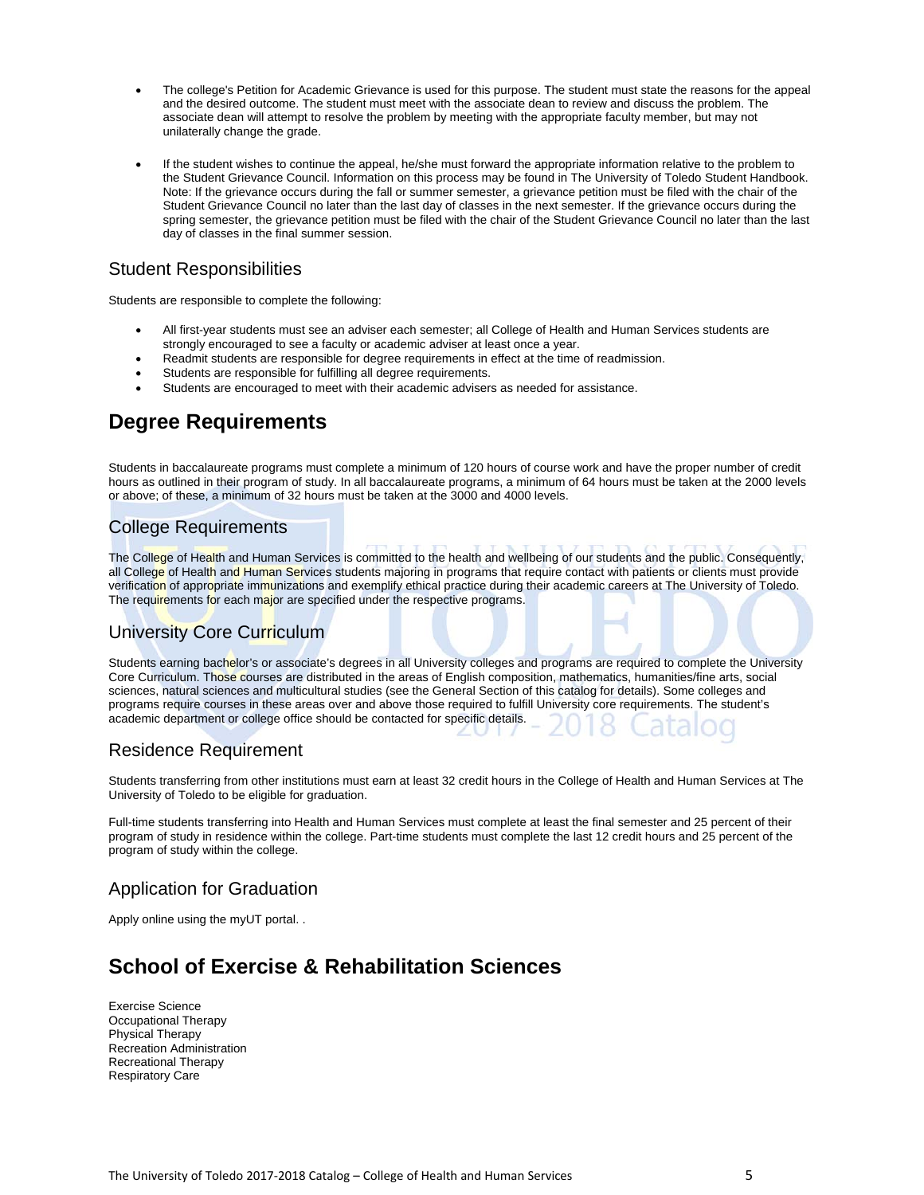- The college's Petition for Academic Grievance is used for this purpose. The student must state the reasons for the appeal and the desired outcome. The student must meet with the associate dean to review and discuss the problem. The associate dean will attempt to resolve the problem by meeting with the appropriate faculty member, but may not unilaterally change the grade.
- If the student wishes to continue the appeal, he/she must forward the appropriate information relative to the problem to the Student Grievance Council. Information on this process may be found in The University of Toledo Student Handbook. Note: If the grievance occurs during the fall or summer semester, a grievance petition must be filed with the chair of the Student Grievance Council no later than the last day of classes in the next semester. If the grievance occurs during the spring semester, the grievance petition must be filed with the chair of the Student Grievance Council no later than the last day of classes in the final summer session.

# Student Responsibilities

Students are responsible to complete the following:

- All first-year students must see an adviser each semester; all College of Health and Human Services students are strongly encouraged to see a faculty or academic adviser at least once a year.
- Readmit students are responsible for degree requirements in effect at the time of readmission.
- Students are responsible for fulfilling all degree requirements.
- Students are encouraged to meet with their academic advisers as needed for assistance.

# **Degree Requirements**

Students in baccalaureate programs must complete a minimum of 120 hours of course work and have the proper number of credit hours as outlined in their program of study. In all baccalaureate programs, a minimum of 64 hours must be taken at the 2000 levels or above; of these, a minimum of 32 hours must be taken at the 3000 and 4000 levels.

# College Requirements

The College of Health and Human Services is committed to the health and wellbeing of our students and the public. Consequently, all College of Health and Human Services students majoring in programs that require contact with patients or clients must provide verification of appropriate immunizations and exemplify ethical practice during their academic careers at The University of Toledo. The requirements for each major are specified under the respective programs.

# University Core Curriculum

Students earning bachelor's or associate's degrees in all University colleges and programs are required to complete the University Core Curriculum. Those courses are distributed in the areas of English composition, mathematics, humanities/fine arts, social sciences, natural sciences and multicultural studies (see the General Section of this catalog for details). Some colleges and programs require courses in these areas over and above those required to fulfill University core requirements. The student's academic department or college office should be contacted for specific details.

# Residence Requirement

Students transferring from other institutions must earn at least 32 credit hours in the College of Health and Human Services at The University of Toledo to be eligible for graduation.

Full-time students transferring into Health and Human Services must complete at least the final semester and 25 percent of their program of study in residence within the college. Part-time students must complete the last 12 credit hours and 25 percent of the program of study within the college.

# Application for Graduation

Apply online using the myUT portal. .

# **School of Exercise & Rehabilitation Sciences**

Exercise Science Occupational Therapy Physical Therapy Recreation Administration Recreational Therapy Respiratory Care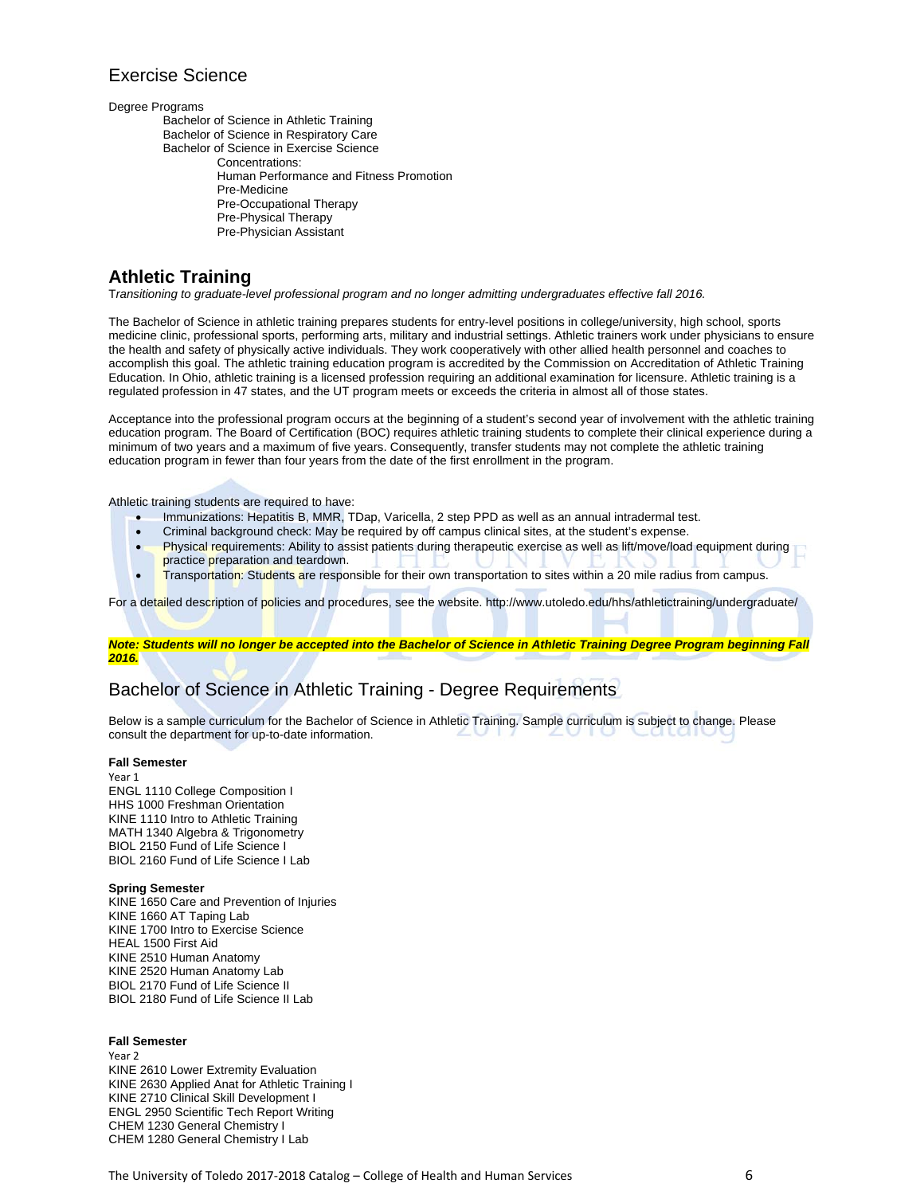# Exercise Science

Degree Programs

Bachelor of Science in Athletic Training Bachelor of Science in Respiratory Care Bachelor of Science in Exercise Science Concentrations: Human Performance and Fitness Promotion Pre-Medicine Pre-Occupational Therapy Pre-Physical Therapy Pre-Physician Assistant

# **Athletic Training**

T*ransitioning to graduate-level professional program and no longer admitting undergraduates effective fall 2016.*

The Bachelor of Science in athletic training prepares students for entry-level positions in college/university, high school, sports medicine clinic, professional sports, performing arts, military and industrial settings. Athletic trainers work under physicians to ensure the health and safety of physically active individuals. They work cooperatively with other allied health personnel and coaches to accomplish this goal. The athletic training education program is accredited by the Commission on Accreditation of Athletic Training Education. In Ohio, athletic training is a licensed profession requiring an additional examination for licensure. Athletic training is a regulated profession in 47 states, and the UT program meets or exceeds the criteria in almost all of those states.

Acceptance into the professional program occurs at the beginning of a student's second year of involvement with the athletic training education program. The Board of Certification (BOC) requires athletic training students to complete their clinical experience during a minimum of two years and a maximum of five years. Consequently, transfer students may not complete the athletic training education program in fewer than four years from the date of the first enrollment in the program.

Athletic training students are required to have:

- Immunizations: Hepatitis B, MMR, TDap, Varicella, 2 step PPD as well as an annual intradermal test.
- Criminal background check: May be required by off campus clinical sites, at the student's expense.
- Physical requirements: Ability to assist patients during therapeutic exercise as well as lift/move/load equipment during practice preparation and teardown.
- Transportation: Students are responsible for their own transportation to sites within a 20 mile radius from campus.

For a detailed description of policies and procedures, see the website. http://www.utoledo.edu/hhs/athletictraining/undergraduate/

*Note: Students will no longer be accepted into the Bachelor of Science in Athletic Training Degree Program beginning Fall 2016.* 

# Bachelor of Science in Athletic Training - Degree Requirements

Below is a sample curriculum for the Bachelor of Science in Athletic Training. Sample curriculum is subject to change. Please consult the department for up-to-date information.

### **Fall Semester**

Year 1 ENGL 1110 College Composition I HHS 1000 Freshman Orientation KINE 1110 Intro to Athletic Training MATH 1340 Algebra & Trigonometry BIOL 2150 Fund of Life Science I BIOL 2160 Fund of Life Science I Lab

### **Spring Semester**

KINE 1650 Care and Prevention of Injuries KINE 1660 AT Taping Lab KINE 1700 Intro to Exercise Science HEAL 1500 First Aid KINE 2510 Human Anatomy KINE 2520 Human Anatomy Lab BIOL 2170 Fund of Life Science II BIOL 2180 Fund of Life Science II Lab

### **Fall Semester**

Year 2 KINE 2610 Lower Extremity Evaluation KINE 2630 Applied Anat for Athletic Training I KINE 2710 Clinical Skill Development I ENGL 2950 Scientific Tech Report Writing CHEM 1230 General Chemistry I CHEM 1280 General Chemistry I Lab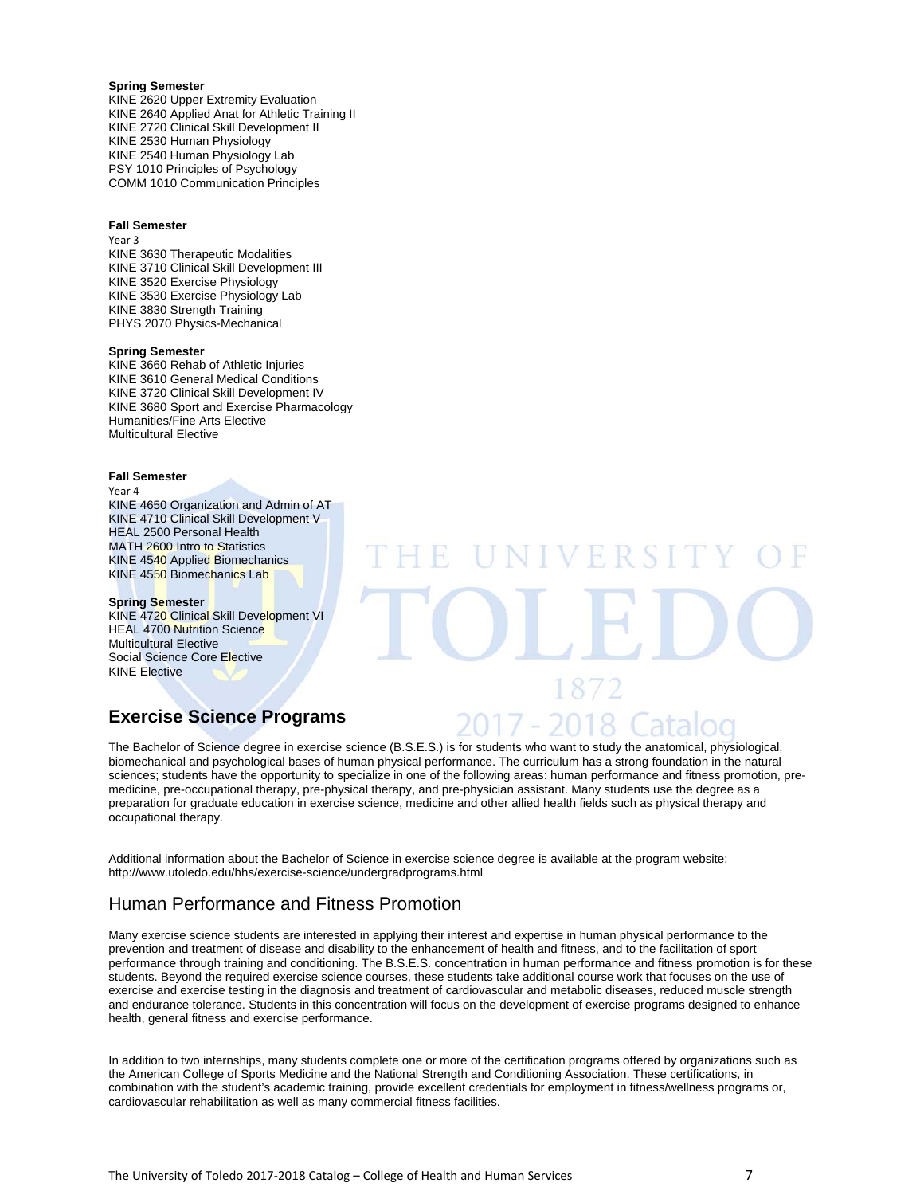### **Spring Semester**

KINE 2620 Upper Extremity Evaluation KINE 2640 Applied Anat for Athletic Training II KINE 2720 Clinical Skill Development II KINE 2530 Human Physiology KINE 2540 Human Physiology Lab PSY 1010 Principles of Psychology COMM 1010 Communication Principles

#### **Fall Semester**

Year 3

KINE 3630 Therapeutic Modalities KINE 3710 Clinical Skill Development III KINE 3520 Exercise Physiology KINE 3530 Exercise Physiology Lab KINE 3830 Strength Training PHYS 2070 Physics-Mechanical

### **Spring Semester**

KINE 3660 Rehab of Athletic Injuries KINE 3610 General Medical Conditions KINE 3720 Clinical Skill Development IV KINE 3680 Sport and Exercise Pharmacology Humanities/Fine Arts Elective Multicultural Elective

### **Fall Semester**

Year 4

KINE 4650 Organization and Admin of AT KINE 4710 Clinical Skill Development V HEAL 2500 Personal Health MATH 2600 Intro to Statistics KINE 4540 Applied Biomechanics KINE 4550 Biomechanics Lab

#### **Spring Semester**

KINE 4720 Clinical Skill Development VI **HEAL 4700 Nutrition Science** Multicultural Elective Social Science Core Elective KINE Elective

# **Exercise Science Programs**

The Bachelor of Science degree in exercise science (B.S.E.S.) is for students who want to study the anatomical, physiological, biomechanical and psychological bases of human physical performance. The curriculum has a strong foundation in the natural sciences; students have the opportunity to specialize in one of the following areas: human performance and fitness promotion, premedicine, pre-occupational therapy, pre-physical therapy, and pre-physician assistant. Many students use the degree as a preparation for graduate education in exercise science, medicine and other allied health fields such as physical therapy and occupational therapy.

Additional information about the Bachelor of Science in exercise science degree is available at the program website: http://www.utoledo.edu/hhs/exercise-science/undergradprograms.html

# Human Performance and Fitness Promotion

Many exercise science students are interested in applying their interest and expertise in human physical performance to the prevention and treatment of disease and disability to the enhancement of health and fitness, and to the facilitation of sport performance through training and conditioning. The B.S.E.S. concentration in human performance and fitness promotion is for these students. Beyond the required exercise science courses, these students take additional course work that focuses on the use of exercise and exercise testing in the diagnosis and treatment of cardiovascular and metabolic diseases, reduced muscle strength and endurance tolerance. Students in this concentration will focus on the development of exercise programs designed to enhance health, general fitness and exercise performance.

In addition to two internships, many students complete one or more of the certification programs offered by organizations such as the American College of Sports Medicine and the National Strength and Conditioning Association. These certifications, in combination with the student's academic training, provide excellent credentials for employment in fitness/wellness programs or, cardiovascular rehabilitation as well as many commercial fitness facilities.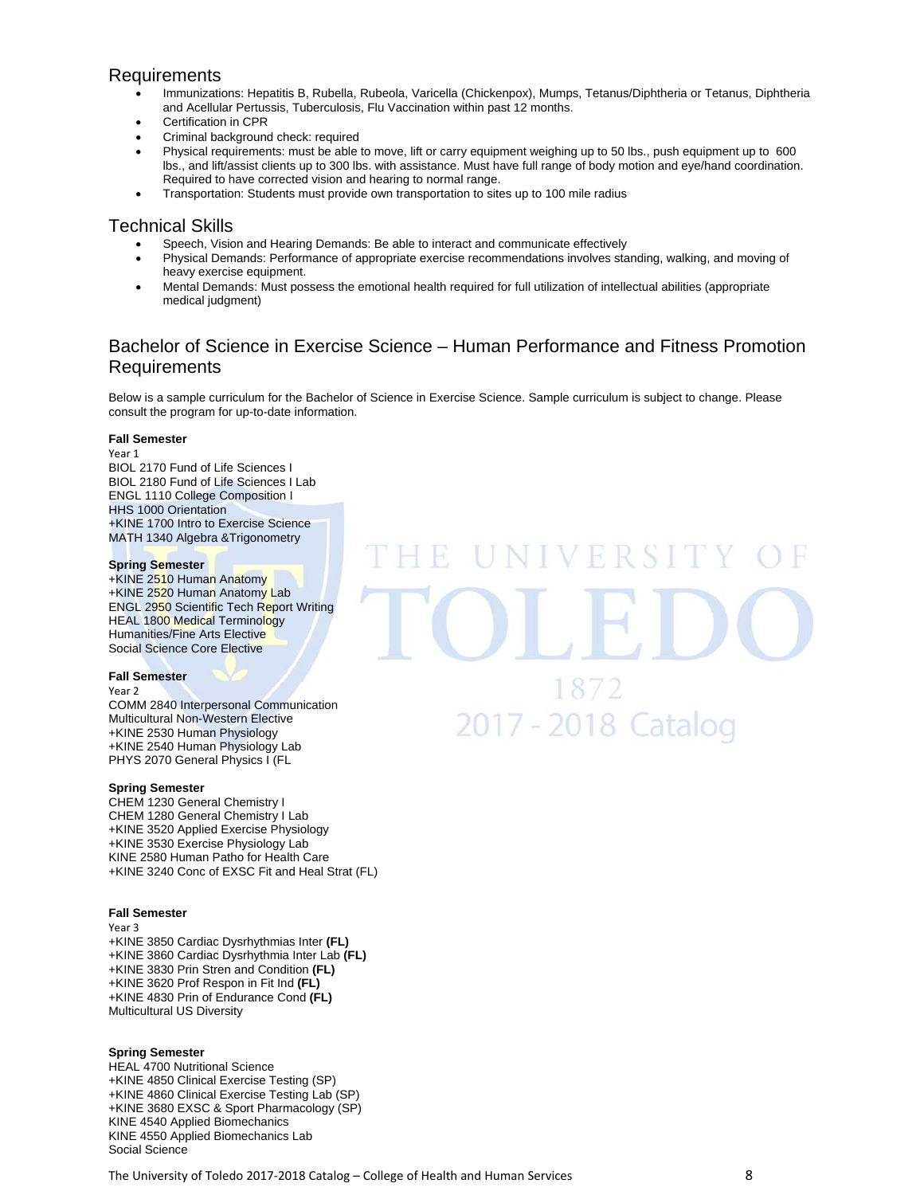### Requirements

- Immunizations: Hepatitis B, Rubella, Rubeola, Varicella (Chickenpox), Mumps, Tetanus/Diphtheria or Tetanus, Diphtheria and Acellular Pertussis, Tuberculosis, Flu Vaccination within past 12 months.
- Certification in CPR
- Criminal background check: required
- Physical requirements: must be able to move, lift or carry equipment weighing up to 50 lbs., push equipment up to 600 lbs., and lift/assist clients up to 300 lbs. with assistance. Must have full range of body motion and eye/hand coordination. Required to have corrected vision and hearing to normal range.
- Transportation: Students must provide own transportation to sites up to 100 mile radius

### Technical Skills

- Speech, Vision and Hearing Demands: Be able to interact and communicate effectively
- Physical Demands: Performance of appropriate exercise recommendations involves standing, walking, and moving of heavy exercise equipment.
- Mental Demands: Must possess the emotional health required for full utilization of intellectual abilities (appropriate medical judgment)

# Bachelor of Science in Exercise Science – Human Performance and Fitness Promotion Requirements

VERSI

1872

2017 - 2018 Catalog

Below is a sample curriculum for the Bachelor of Science in Exercise Science. Sample curriculum is subject to change. Please consult the program for up-to-date information.

### **Fall Semester**

Year 1 BIOL 2170 Fund of Life Sciences I BIOL 2180 Fund of Life Sciences I Lab ENGL 1110 College Composition I HHS 1000 Orientation +KINE 1700 Intro to Exercise Science MATH 1340 Algebra &Trigonometry

### **Spring Semester**

+KINE 2510 Human Anatomy +KINE 2520 Human Anatomy Lab ENGL 2950 Scientific Tech Report Writing HEAL 1800 Medical Terminology Humanities/Fine Arts Elective Social Science Core Elective

### **Fall Semester**

Year 2

COMM 2840 Interpersonal Communication Multicultural Non-Western Elective +KINE 2530 Human Physiology +KINE 2540 Human Physiology Lab PHYS 2070 General Physics I (FL

### **Spring Semester**

CHEM 1230 General Chemistry I CHEM 1280 General Chemistry I Lab +KINE 3520 Applied Exercise Physiology +KINE 3530 Exercise Physiology Lab KINE 2580 Human Patho for Health Care +KINE 3240 Conc of EXSC Fit and Heal Strat (FL)

### **Fall Semester**

Year 3 +KINE 3850 Cardiac Dysrhythmias Inter **(FL)**  +KINE 3860 Cardiac Dysrhythmia Inter Lab **(FL)**  +KINE 3830 Prin Stren and Condition **(FL)** +KINE 3620 Prof Respon in Fit Ind **(FL)** +KINE 4830 Prin of Endurance Cond **(FL)** Multicultural US Diversity

### **Spring Semester**

HEAL 4700 Nutritional Science +KINE 4850 Clinical Exercise Testing (SP) +KINE 4860 Clinical Exercise Testing Lab (SP) +KINE 3680 EXSC & Sport Pharmacology (SP) KINE 4540 Applied Biomechanics KINE 4550 Applied Biomechanics Lab Social Science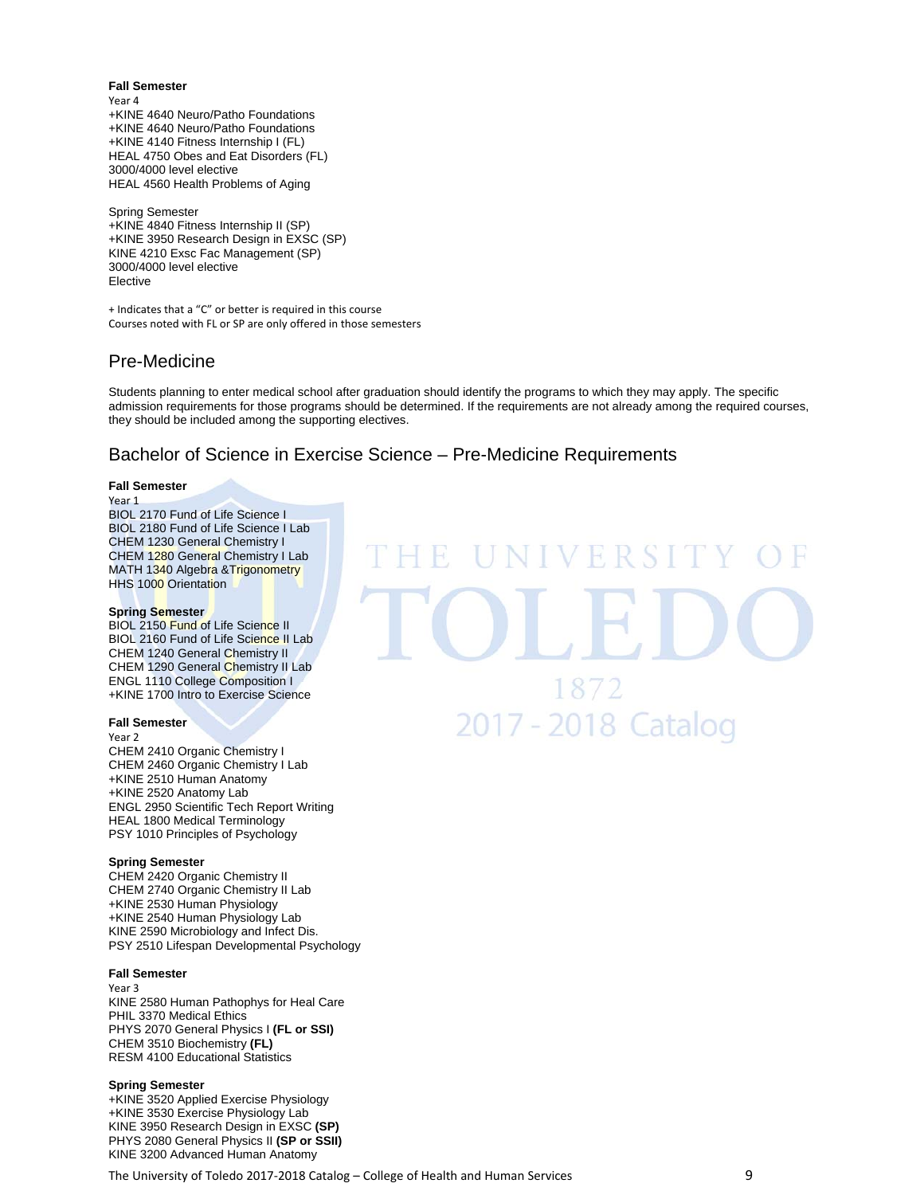**Fall Semester**  Year 4 +KINE 4640 Neuro/Patho Foundations +KINE 4640 Neuro/Patho Foundations +KINE 4140 Fitness Internship I (FL) HEAL 4750 Obes and Eat Disorders (FL) 3000/4000 level elective HEAL 4560 Health Problems of Aging

Spring Semester +KINE 4840 Fitness Internship II (SP) +KINE 3950 Research Design in EXSC (SP) KINE 4210 Exsc Fac Management (SP) 3000/4000 level elective Elective

+ Indicates that a "C" or better is required in this course Courses noted with FL or SP are only offered in those semesters

# Pre-Medicine

Students planning to enter medical school after graduation should identify the programs to which they may apply. The specific admission requirements for those programs should be determined. If the requirements are not already among the required courses, they should be included among the supporting electives.

# Bachelor of Science in Exercise Science – Pre-Medicine Requirements

### **Fall Semester**

### Year 1

BIOL 2170 Fund of Life Science I BIOL 2180 Fund of Life Science I Lab CHEM 1230 General Chemistry I CHEM 1280 General Chemistry I Lab MATH 1340 Algebra & Trigonometry HHS 1000 Orientation

### **Spring Semester**

BIOL 2150 Fund of Life Science II BIOL 2160 Fund of Life Science II Lab CHEM 1240 General Chemistry II CHEM 1290 General Chemistry II Lab ENGL 1110 College Composition I +KINE 1700 Intro to Exercise Science

### **Fall Semester**

Year 2 CHEM 2410 Organic Chemistry I CHEM 2460 Organic Chemistry I Lab +KINE 2510 Human Anatomy +KINE 2520 Anatomy Lab

ENGL 2950 Scientific Tech Report Writing HEAL 1800 Medical Terminology PSY 1010 Principles of Psychology

### **Spring Semester**

CHEM 2420 Organic Chemistry II CHEM 2740 Organic Chemistry II Lab +KINE 2530 Human Physiology +KINE 2540 Human Physiology Lab KINE 2590 Microbiology and Infect Dis. PSY 2510 Lifespan Developmental Psychology

### **Fall Semester**

Year 3

KINE 2580 Human Pathophys for Heal Care PHIL 3370 Medical Ethics PHYS 2070 General Physics I **(FL or SSI)**  CHEM 3510 Biochemistry **(FL)** RESM 4100 Educational Statistics

### **Spring Semester**

+KINE 3520 Applied Exercise Physiology +KINE 3530 Exercise Physiology Lab KINE 3950 Research Design in EXSC **(SP)** PHYS 2080 General Physics II **(SP or SSII)**  KINE 3200 Advanced Human Anatomy

The University of Toledo 2017-2018 Catalog – College of Health and Human Services 30 metators of 9

VERSI 1872 2017 - 2018 Catalog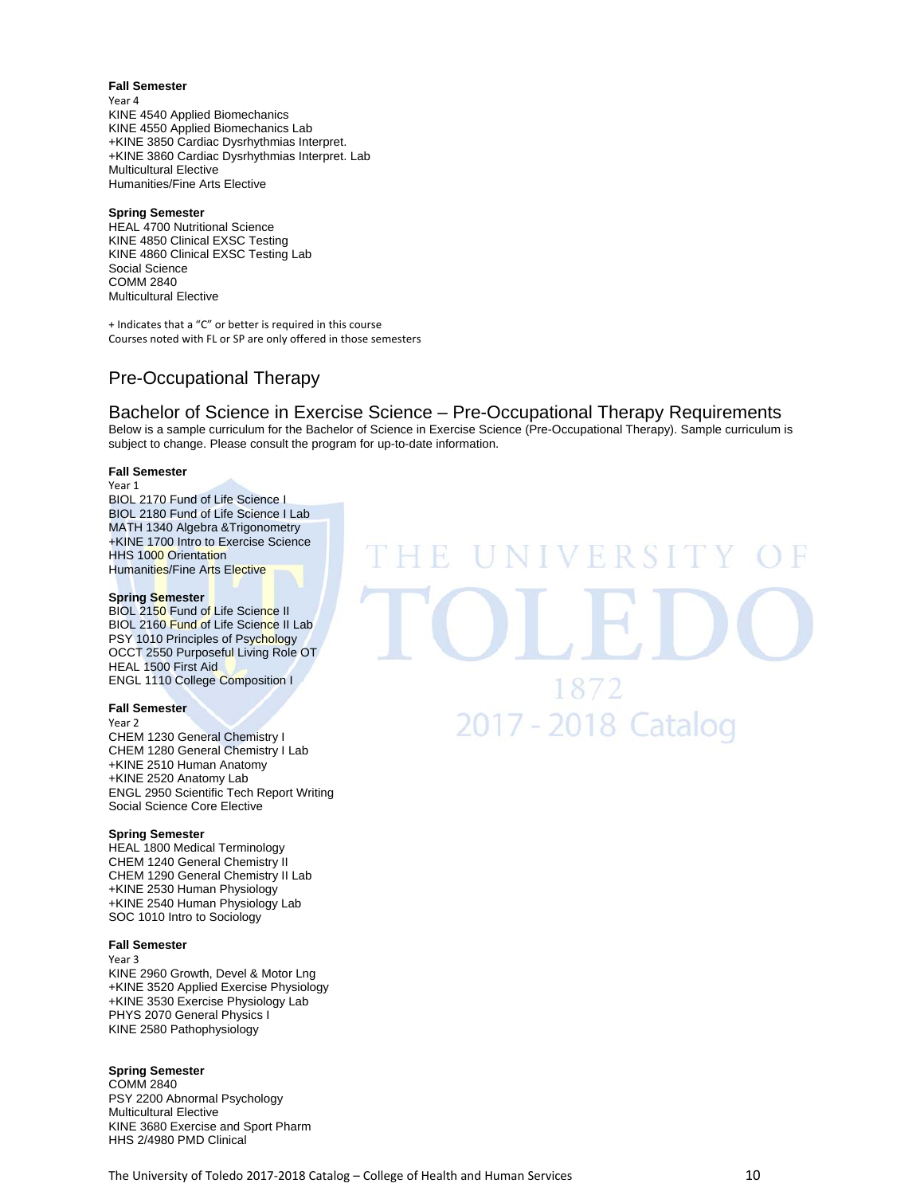**Fall Semester**  Year 4 KINE 4540 Applied Biomechanics KINE 4550 Applied Biomechanics Lab +KINE 3850 Cardiac Dysrhythmias Interpret. +KINE 3860 Cardiac Dysrhythmias Interpret. Lab Multicultural Elective Humanities/Fine Arts Elective

### **Spring Semester**

HEAL 4700 Nutritional Science KINE 4850 Clinical EXSC Testing KINE 4860 Clinical EXSC Testing Lab Social Science COMM 2840 Multicultural Elective

+ Indicates that a "C" or better is required in this course Courses noted with FL or SP are only offered in those semesters

# Pre-Occupational Therapy

# Bachelor of Science in Exercise Science – Pre-Occupational Therapy Requirements

Below is a sample curriculum for the Bachelor of Science in Exercise Science (Pre-Occupational Therapy). Sample curriculum is subject to change. Please consult the program for up-to-date information.

### **Fall Semester**

Year 1 BIOL 2170 Fund of Life Science I BIOL 2180 Fund of Life Science I Lab MATH 1340 Algebra &Trigonometry +KINE 1700 Intro to Exercise Science HHS 1000 Orientation Humanities/Fine Arts Elective

### **Spring Semester**

BIOL 2150 Fund of Life Science II BIOL 2160 Fund of Life Science II Lab PSY 1010 Principles of Psychology OCCT 2550 Purposeful Living Role OT HEAL 1500 First Aid ENGL 1110 College Composition I

### **Fall Semester**

Year 2 CHEM 1230 General Chemistry I CHEM 1280 General Chemistry I Lab +KINE 2510 Human Anatomy +KINE 2520 Anatomy Lab ENGL 2950 Scientific Tech Report Writing Social Science Core Elective

### **Spring Semester**

HEAL 1800 Medical Terminology CHEM 1240 General Chemistry II CHEM 1290 General Chemistry II Lab +KINE 2530 Human Physiology +KINE 2540 Human Physiology Lab SOC 1010 Intro to Sociology

### **Fall Semester**

Year 3

KINE 2960 Growth, Devel & Motor Lng +KINE 3520 Applied Exercise Physiology +KINE 3530 Exercise Physiology Lab PHYS 2070 General Physics I KINE 2580 Pathophysiology

### **Spring Semester**

COMM 2840 PSY 2200 Abnormal Psychology Multicultural Elective KINE 3680 Exercise and Sport Pharm HHS 2/4980 PMD Clinical

NIVERSI TH. 1872 2017 - 2018 Catalog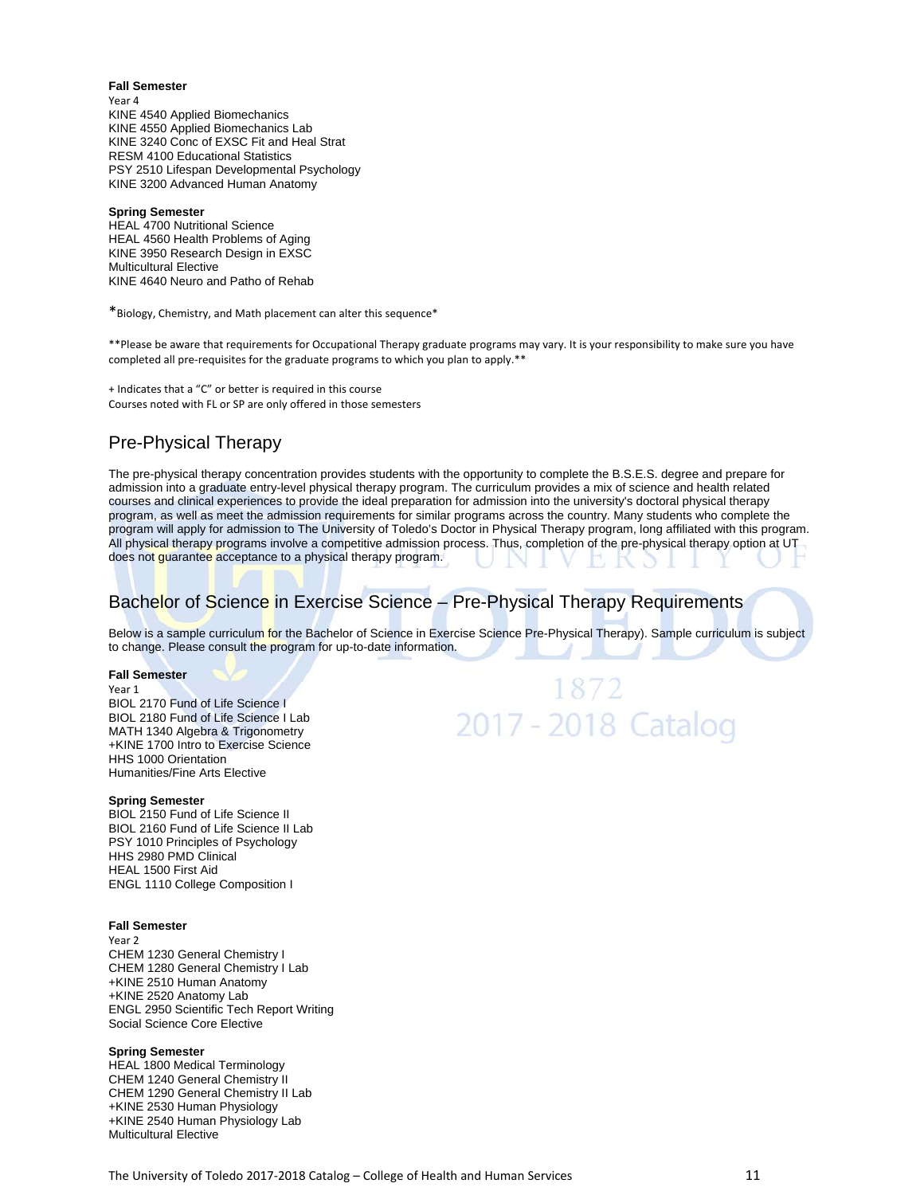**Fall Semester**  Year 4 KINE 4540 Applied Biomechanics KINE 4550 Applied Biomechanics Lab KINE 3240 Conc of EXSC Fit and Heal Strat RESM 4100 Educational Statistics PSY 2510 Lifespan Developmental Psychology KINE 3200 Advanced Human Anatomy

#### **Spring Semester**

HEAL 4700 Nutritional Science HEAL 4560 Health Problems of Aging KINE 3950 Research Design in EXSC Multicultural Elective KINE 4640 Neuro and Patho of Rehab

\*Biology, Chemistry, and Math placement can alter this sequence\*

\*\*Please be aware that requirements for Occupational Therapy graduate programs may vary. It is your responsibility to make sure you have completed all pre-requisites for the graduate programs to which you plan to apply.\*\*

+ Indicates that a "C" or better is required in this course Courses noted with FL or SP are only offered in those semesters

# Pre-Physical Therapy

The pre-physical therapy concentration provides students with the opportunity to complete the B.S.E.S. degree and prepare for admission into a graduate entry-level physical therapy program. The curriculum provides a mix of science and health related courses and clinical experiences to provide the ideal preparation for admission into the university's doctoral physical therapy program, as well as meet the admission requirements for similar programs across the country. Many students who complete the program will apply for admission to The University of Toledo's Doctor in Physical Therapy program, long affiliated with this program. All physical therapy programs involve a competitive admission process. Thus, completion of the pre-physical therapy option at UT does not guarantee acceptance to a physical therapy program.

# Bachelor of Science in Exercise Science – Pre-Physical Therapy Requirements

Below is a sample curriculum for the Bachelor of Science in Exercise Science Pre-Physical Therapy). Sample curriculum is subject to change. Please consult the program for up-to-date information.

### **Fall Semester**

Year 1

BIOL 2170 Fund of Life Science I BIOL 2180 Fund of Life Science I Lab MATH 1340 Algebra & Trigonometry +KINE 1700 Intro to Exercise Science HHS 1000 Orientation Humanities/Fine Arts Elective

### **Spring Semester**

BIOL 2150 Fund of Life Science II BIOL 2160 Fund of Life Science II Lab PSY 1010 Principles of Psychology HHS 2980 PMD Clinical HEAL 1500 First Aid ENGL 1110 College Composition I

### **Fall Semester**

Year 2 CHEM 1230 General Chemistry I CHEM 1280 General Chemistry I Lab +KINE 2510 Human Anatomy +KINE 2520 Anatomy Lab ENGL 2950 Scientific Tech Report Writing Social Science Core Elective

### **Spring Semester**

HEAL 1800 Medical Terminology CHEM 1240 General Chemistry II CHEM 1290 General Chemistry II Lab +KINE 2530 Human Physiology +KINE 2540 Human Physiology Lab Multicultural Elective

# 1872 2017 - 2018 Catalog

The University of Toledo 2017-2018 Catalog – College of Health and Human Services **19. 2018** 21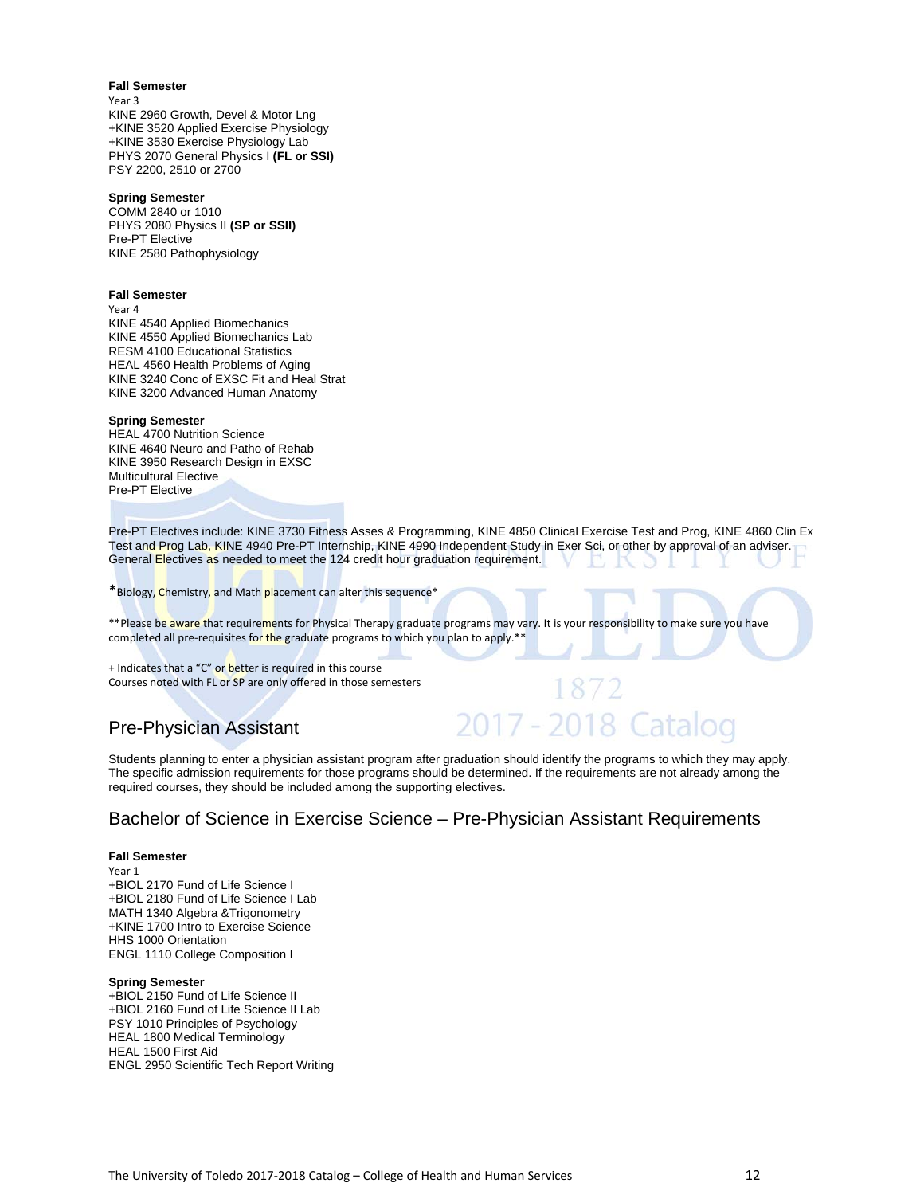### **Fall Semester**

Year 3 KINE 2960 Growth, Devel & Motor Lng +KINE 3520 Applied Exercise Physiology +KINE 3530 Exercise Physiology Lab PHYS 2070 General Physics I **(FL or SSI)**  PSY 2200, 2510 or 2700

### **Spring Semester**

COMM 2840 or 1010 PHYS 2080 Physics II **(SP or SSII)**  Pre-PT Elective KINE 2580 Pathophysiology

### **Fall Semester**

Year 4

KINE 4540 Applied Biomechanics KINE 4550 Applied Biomechanics Lab RESM 4100 Educational Statistics HEAL 4560 Health Problems of Aging KINE 3240 Conc of EXSC Fit and Heal Strat KINE 3200 Advanced Human Anatomy

### **Spring Semester**

HEAL 4700 Nutrition Science KINE 4640 Neuro and Patho of Rehab KINE 3950 Research Design in EXSC Multicultural Elective Pre-PT Elective

Pre-PT Electives include: KINE 3730 Fitness Asses & Programming, KINE 4850 Clinical Exercise Test and Prog, KINE 4860 Clin Ex Test and Prog Lab, KINE 4940 Pre-PT Internship, KINE 4990 Independent Study in Exer Sci, or other by approval of an adviser. General Electives as needed to meet the 124 credit hour graduation requirement.

\*Biology, Chemistry, and Math placement can alter this sequence\*

\*\*Please be aware that requirements for Physical Therapy graduate programs may vary. It is your responsibility to make sure you have completed all pre-requisites for the graduate programs to which you plan to apply.\*\*

+ Indicates that a "C" or better is required in this course Courses noted with FL or SP are only offered in those semesters

# Pre-Physician Assistant

# 2017 - 2018 Cataloo

Students planning to enter a physician assistant program after graduation should identify the programs to which they may apply. The specific admission requirements for those programs should be determined. If the requirements are not already among the required courses, they should be included among the supporting electives.

# Bachelor of Science in Exercise Science – Pre-Physician Assistant Requirements

### **Fall Semester**

Year 1 +BIOL 2170 Fund of Life Science I +BIOL 2180 Fund of Life Science I Lab MATH 1340 Algebra &Trigonometry +KINE 1700 Intro to Exercise Science HHS 1000 Orientation ENGL 1110 College Composition I

#### **Spring Semester**

+BIOL 2150 Fund of Life Science II +BIOL 2160 Fund of Life Science II Lab PSY 1010 Principles of Psychology HEAL 1800 Medical Terminology HEAL 1500 First Aid ENGL 2950 Scientific Tech Report Writing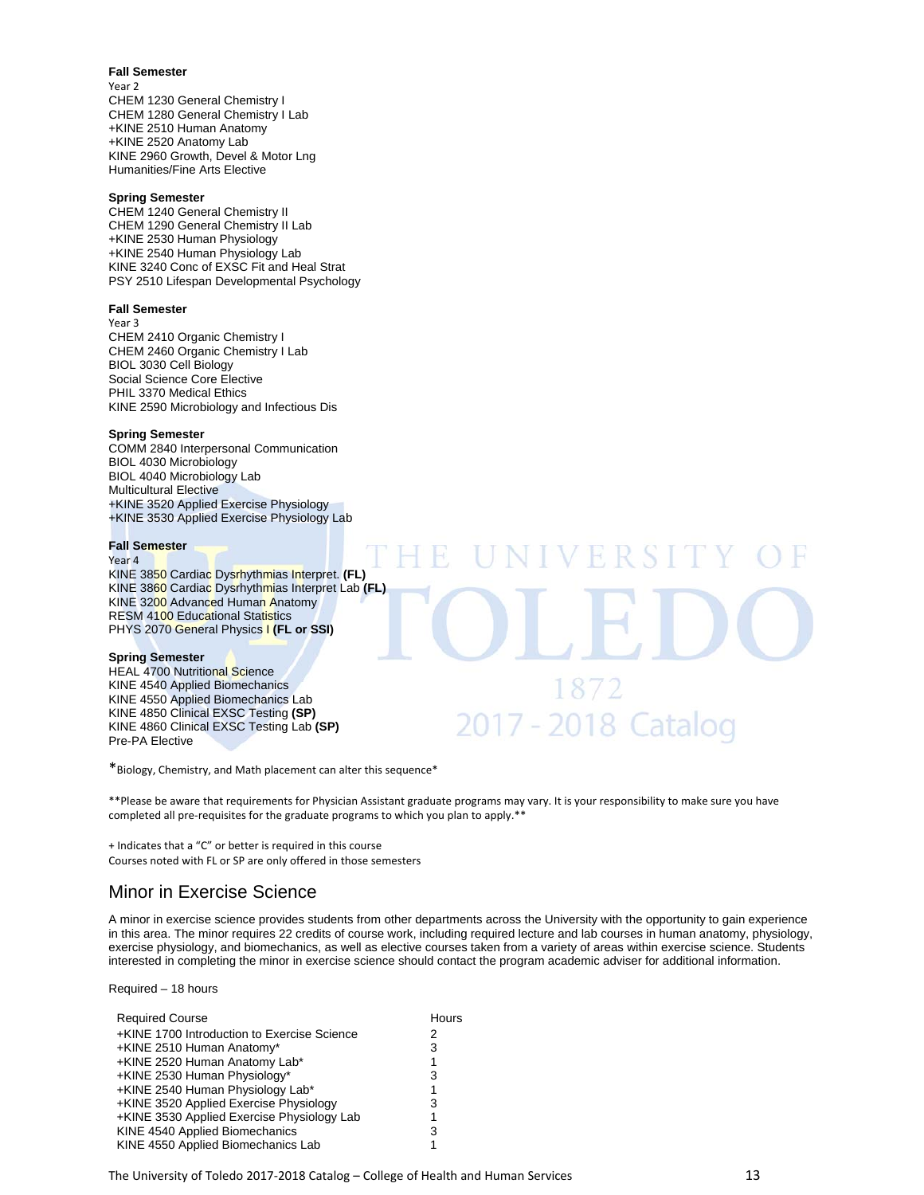### **Fall Semester**

Year 2 CHEM 1230 General Chemistry I CHEM 1280 General Chemistry I Lab +KINE 2510 Human Anatomy +KINE 2520 Anatomy Lab KINE 2960 Growth, Devel & Motor Lng Humanities/Fine Arts Elective

### **Spring Semester**

CHEM 1240 General Chemistry II CHEM 1290 General Chemistry II Lab +KINE 2530 Human Physiology +KINE 2540 Human Physiology Lab KINE 3240 Conc of EXSC Fit and Heal Strat PSY 2510 Lifespan Developmental Psychology

### **Fall Semester**

Year 3 CHEM 2410 Organic Chemistry I CHEM 2460 Organic Chemistry I Lab BIOL 3030 Cell Biology Social Science Core Elective PHIL 3370 Medical Ethics KINE 2590 Microbiology and Infectious Dis

### **Spring Semester**

COMM 2840 Interpersonal Communication BIOL 4030 Microbiology BIOL 4040 Microbiology Lab Multicultural Elective +KINE 3520 Applied Exercise Physiology +KINE 3530 Applied Exercise Physiology Lab

### **Fall Semester**

#### Year 4

KINE 3850 Cardiac Dysrhythmias Interpret. **(FL)**  KINE 3860 Cardiac Dysrhythmias Interpret Lab **(FL)**  KINE 3200 Advanced Human Anatomy RESM 4100 Educational Statistics PHYS 2070 General Physics I **(FL or SSI)** 

### **Spring Semester**

HEAL 4700 Nutritional Science KINE 4540 Applied Biomechanics KINE 4550 Applied Biomechanics Lab KINE 4850 Clinical EXSC Testing **(SP)**  KINE 4860 Clinical EXSC Testing Lab **(SP)**  Pre-PA Elective

\*Biology, Chemistry, and Math placement can alter this sequence\*

\*\*Please be aware that requirements for Physician Assistant graduate programs may vary. It is your responsibility to make sure you have completed all pre-requisites for the graduate programs to which you plan to apply.\*\*

1872

2017 - 2018 Catalog

+ Indicates that a "C" or better is required in this course Courses noted with FL or SP are only offered in those semesters

### Minor in Exercise Science

A minor in exercise science provides students from other departments across the University with the opportunity to gain experience in this area. The minor requires 22 credits of course work, including required lecture and lab courses in human anatomy, physiology, exercise physiology, and biomechanics, as well as elective courses taken from a variety of areas within exercise science. Students interested in completing the minor in exercise science should contact the program academic adviser for additional information.

Required – 18 hours

| <b>Required Course</b>                      |   |
|---------------------------------------------|---|
| +KINE 1700 Introduction to Exercise Science | 2 |
| +KINE 2510 Human Anatomy*                   | 3 |
| +KINE 2520 Human Anatomy Lab*               | 1 |
| +KINE 2530 Human Physiology*                | 3 |
| +KINE 2540 Human Physiology Lab*            | 1 |
| +KINE 3520 Applied Exercise Physiology      | 3 |
| +KINE 3530 Applied Exercise Physiology Lab  | 1 |
| KINE 4540 Applied Biomechanics              | 3 |
| KINE 4550 Applied Biomechanics Lab          | 1 |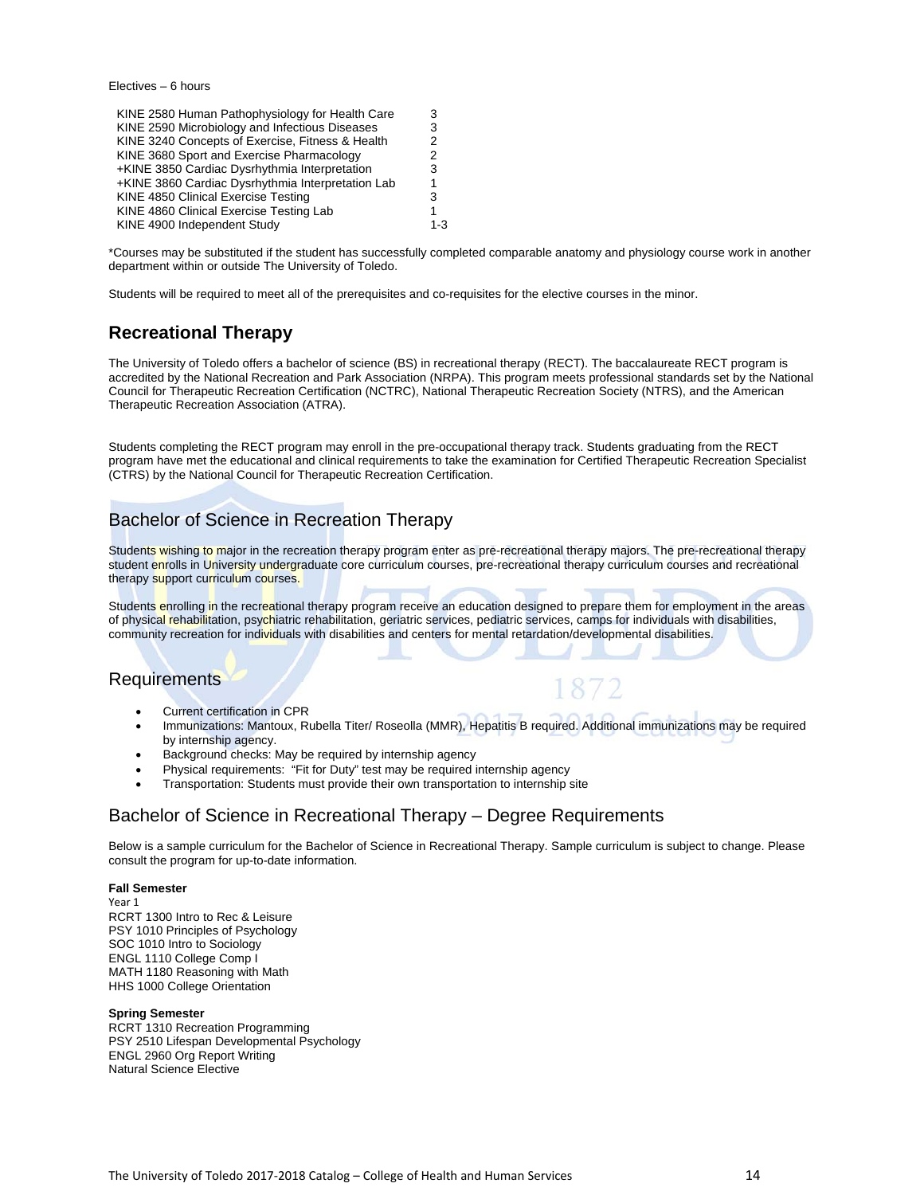Electives – 6 hours

| KINE 2580 Human Pathophysiology for Health Care   | 3       |
|---------------------------------------------------|---------|
| KINE 2590 Microbiology and Infectious Diseases    | 3       |
| KINE 3240 Concepts of Exercise, Fitness & Health  | 2       |
| KINE 3680 Sport and Exercise Pharmacology         | 2       |
| +KINE 3850 Cardiac Dysrhythmia Interpretation     | 3       |
| +KINE 3860 Cardiac Dysrhythmia Interpretation Lab |         |
| KINE 4850 Clinical Exercise Testing               | 3       |
| KINE 4860 Clinical Exercise Testing Lab           |         |
| KINE 4900 Independent Study                       | $1 - 3$ |

\*Courses may be substituted if the student has successfully completed comparable anatomy and physiology course work in another department within or outside The University of Toledo.

Students will be required to meet all of the prerequisites and co-requisites for the elective courses in the minor.

# **Recreational Therapy**

The University of Toledo offers a bachelor of science (BS) in recreational therapy (RECT). The baccalaureate RECT program is accredited by the National Recreation and Park Association (NRPA). This program meets professional standards set by the National Council for Therapeutic Recreation Certification (NCTRC), National Therapeutic Recreation Society (NTRS), and the American Therapeutic Recreation Association (ATRA).

Students completing the RECT program may enroll in the pre-occupational therapy track. Students graduating from the RECT program have met the educational and clinical requirements to take the examination for Certified Therapeutic Recreation Specialist (CTRS) by the National Council for Therapeutic Recreation Certification.

# Bachelor of Science in Recreation Therapy

Students wishing to major in the recreation therapy program enter as pre-recreational therapy majors. The pre-recreational therapy student enrolls in University undergraduate core curriculum courses, pre-recreational therapy curriculum courses and recreational therapy support curriculum courses.

Students enrolling in the recreational therapy program receive an education designed to prepare them for employment in the areas of physical rehabilitation, psychiatric rehabilitation, geriatric services, pediatric services, camps for individuals with disabilities, community recreation for individuals with disabilities and centers for mental retardation/developmental disabilities.

# **Requirements**

- Current certification in CPR
- Immunizations: Mantoux, Rubella Titer/ Roseolla (MMR), Hepatitis B required. Additional immunizations may be required by internship agency.
- Background checks: May be required by internship agency
- Physical requirements: "Fit for Duty" test may be required internship agency
- Transportation: Students must provide their own transportation to internship site

# Bachelor of Science in Recreational Therapy – Degree Requirements

Below is a sample curriculum for the Bachelor of Science in Recreational Therapy. Sample curriculum is subject to change. Please consult the program for up-to-date information.

### **Fall Semester**

Year 1 RCRT 1300 Intro to Rec & Leisure PSY 1010 Principles of Psychology SOC 1010 Intro to Sociology ENGL 1110 College Comp I MATH 1180 Reasoning with Math HHS 1000 College Orientation

### **Spring Semester**

RCRT 1310 Recreation Programming PSY 2510 Lifespan Developmental Psychology ENGL 2960 Org Report Writing Natural Science Elective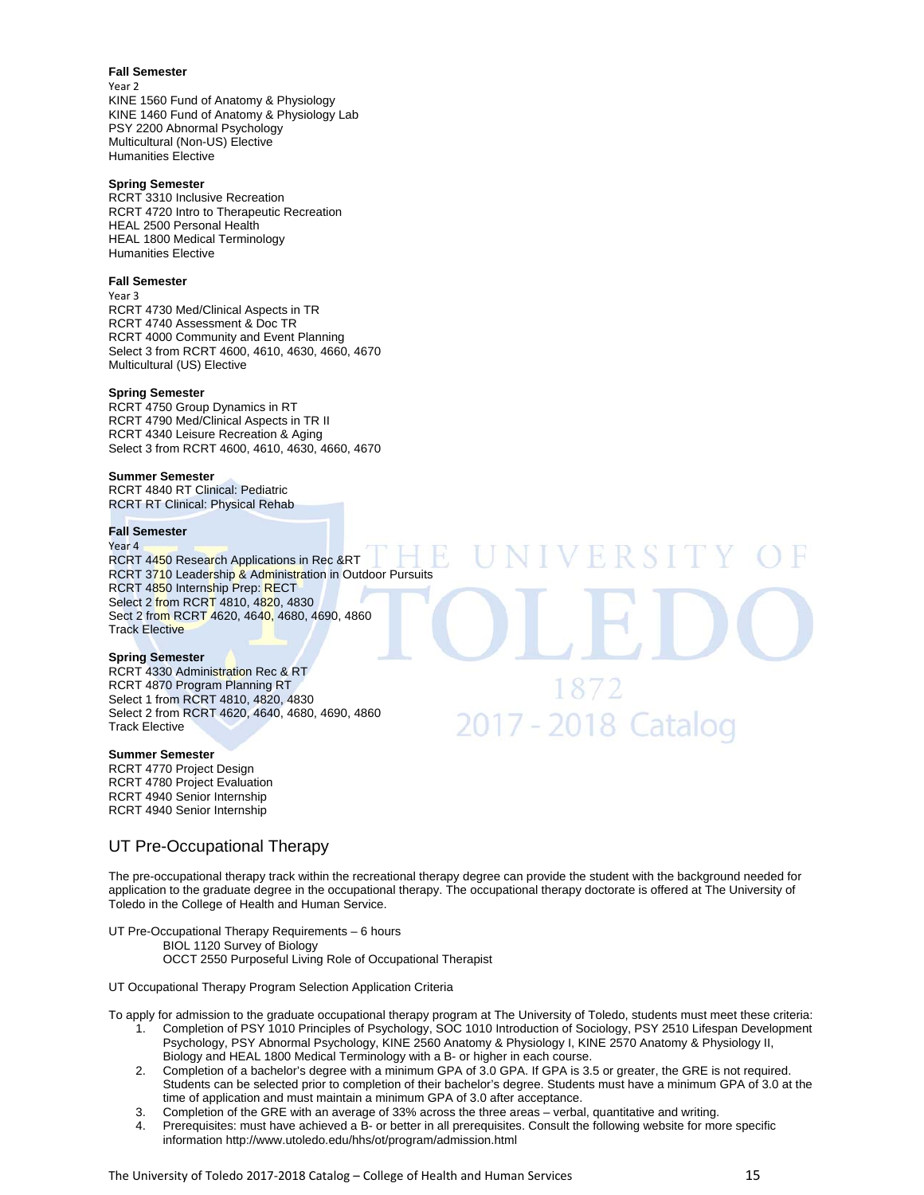### **Fall Semester**

Year 2 KINE 1560 Fund of Anatomy & Physiology KINE 1460 Fund of Anatomy & Physiology Lab PSY 2200 Abnormal Psychology Multicultural (Non-US) Elective Humanities Elective

### **Spring Semester**

RCRT 3310 Inclusive Recreation RCRT 4720 Intro to Therapeutic Recreation HEAL 2500 Personal Health HEAL 1800 Medical Terminology Humanities Elective

### **Fall Semester**

Year 3

RCRT 4730 Med/Clinical Aspects in TR RCRT 4740 Assessment & Doc TR RCRT 4000 Community and Event Planning Select 3 from RCRT 4600, 4610, 4630, 4660, 4670 Multicultural (US) Elective

### **Spring Semester**

RCRT 4750 Group Dynamics in RT RCRT 4790 Med/Clinical Aspects in TR II RCRT 4340 Leisure Recreation & Aging Select 3 from RCRT 4600, 4610, 4630, 4660, 4670

### **Summer Semester**

RCRT 4840 RT Clinical: Pediatric RCRT RT Clinical: Physical Rehab

### **Fall Semester**

Year 4

RCRT 4450 Research Applications in Rec &RT RCRT 3710 Leadership & Administration in Outdoor Pursuits RCRT 4850 Internship Prep: RECT Select 2 from RCRT 4810, 4820, 4830 Sect 2 from RCRT 4620, 4640, 4680, 4690, 4860 Track Elective

### **Spring Semester**

RCRT 4330 Administration Rec & RT RCRT 4870 Program Planning RT Select 1 from RCRT 4810, 4820, 4830 Select 2 from RCRT 4620, 4640, 4680, 4690, 4860 Track Elective

### **Summer Semester**

RCRT 4770 Project Design RCRT 4780 Project Evaluation RCRT 4940 Senior Internship RCRT 4940 Senior Internship

### UT Pre-Occupational Therapy

The pre-occupational therapy track within the recreational therapy degree can provide the student with the background needed for application to the graduate degree in the occupational therapy. The occupational therapy doctorate is offered at The University of Toledo in the College of Health and Human Service.

1872

2017 - 2018 Catalog

UT Pre-Occupational Therapy Requirements – 6 hours BIOL 1120 Survey of Biology OCCT 2550 Purposeful Living Role of Occupational Therapist

UT Occupational Therapy Program Selection Application Criteria

To apply for admission to the graduate occupational therapy program at The University of Toledo, students must meet these criteria:

- 1. Completion of PSY 1010 Principles of Psychology, SOC 1010 Introduction of Sociology, PSY 2510 Lifespan Development Psychology, PSY Abnormal Psychology, KINE 2560 Anatomy & Physiology I, KINE 2570 Anatomy & Physiology II, Biology and HEAL 1800 Medical Terminology with a B- or higher in each course.
- 2. Completion of a bachelor's degree with a minimum GPA of 3.0 GPA. If GPA is 3.5 or greater, the GRE is not required. Students can be selected prior to completion of their bachelor's degree. Students must have a minimum GPA of 3.0 at the time of application and must maintain a minimum GPA of 3.0 after acceptance.
- 3. Completion of the GRE with an average of 33% across the three areas verbal, quantitative and writing.
- 4. Prerequisites: must have achieved a B- or better in all prerequisites. Consult the following website for more specific information http://www.utoledo.edu/hhs/ot/program/admission.html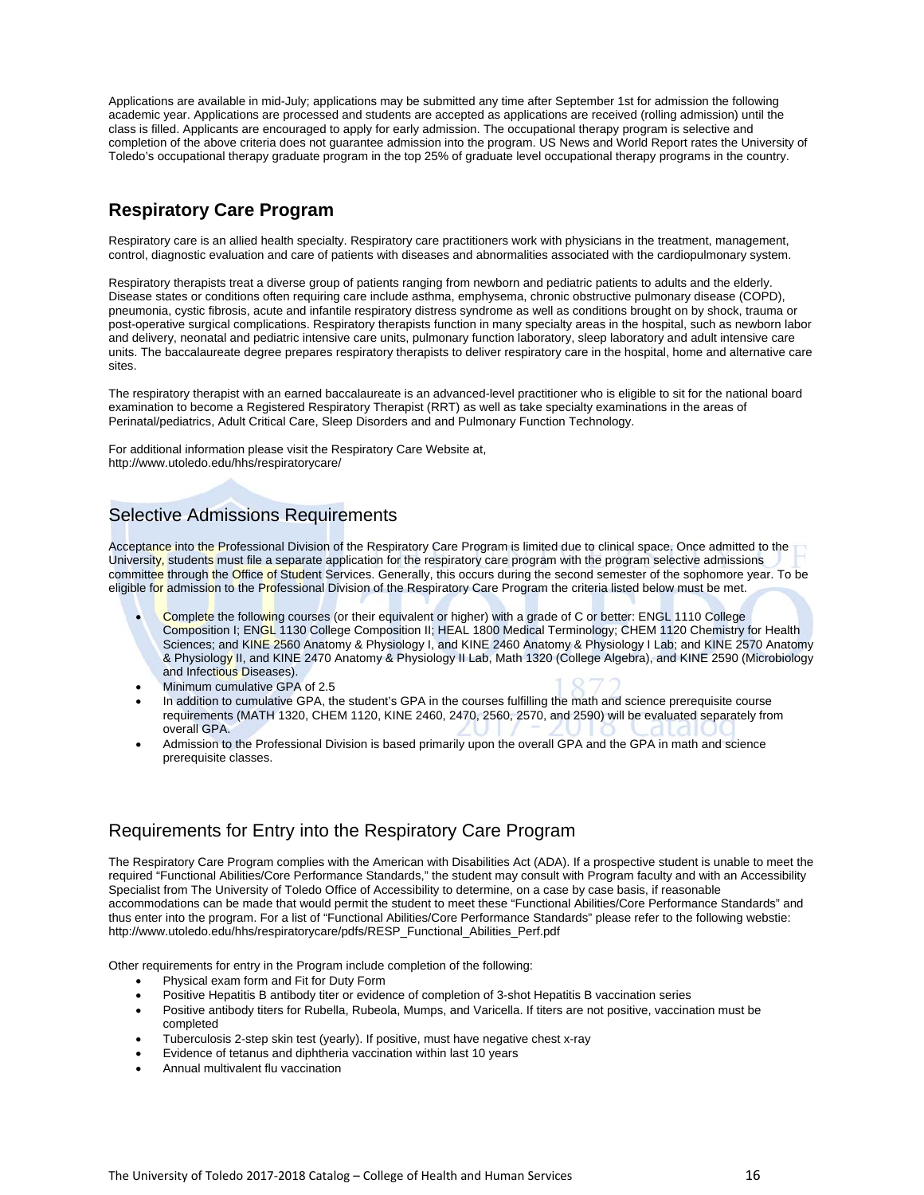Applications are available in mid-July; applications may be submitted any time after September 1st for admission the following academic year. Applications are processed and students are accepted as applications are received (rolling admission) until the class is filled. Applicants are encouraged to apply for early admission. The occupational therapy program is selective and completion of the above criteria does not guarantee admission into the program. US News and World Report rates the University of Toledo's occupational therapy graduate program in the top 25% of graduate level occupational therapy programs in the country.

# **Respiratory Care Program**

Respiratory care is an allied health specialty. Respiratory care practitioners work with physicians in the treatment, management, control, diagnostic evaluation and care of patients with diseases and abnormalities associated with the cardiopulmonary system.

Respiratory therapists treat a diverse group of patients ranging from newborn and pediatric patients to adults and the elderly. Disease states or conditions often requiring care include asthma, emphysema, chronic obstructive pulmonary disease (COPD), pneumonia, cystic fibrosis, acute and infantile respiratory distress syndrome as well as conditions brought on by shock, trauma or post-operative surgical complications. Respiratory therapists function in many specialty areas in the hospital, such as newborn labor and delivery, neonatal and pediatric intensive care units, pulmonary function laboratory, sleep laboratory and adult intensive care units. The baccalaureate degree prepares respiratory therapists to deliver respiratory care in the hospital, home and alternative care sites.

The respiratory therapist with an earned baccalaureate is an advanced-level practitioner who is eligible to sit for the national board examination to become a Registered Respiratory Therapist (RRT) as well as take specialty examinations in the areas of Perinatal/pediatrics, Adult Critical Care, Sleep Disorders and and Pulmonary Function Technology.

For additional information please visit the Respiratory Care Website at, http://www.utoledo.edu/hhs/respiratorycare/

# Selective Admissions Requirements

Acceptance into the Professional Division of the Respiratory Care Program is limited due to clinical space. Once admitted to the University, students must file a separate application for the respiratory care program with the program selective admissions committee through the Office of Student Services. Generally, this occurs during the second semester of the sophomore year. To be eligible for admission to the Professional Division of the Respiratory Care Program the criteria listed below must be met.

- Complete the following courses (or their equivalent or higher) with a grade of C or better: ENGL 1110 College Composition I; ENGL 1130 College Composition II; HEAL 1800 Medical Terminology; CHEM 1120 Chemistry for Health Sciences; and KINE 2560 Anatomy & Physiology I, and KINE 2460 Anatomy & Physiology I Lab; and KINE 2570 Anatomy & Physiology II, and KINE 2470 Anatomy & Physiology II Lab, Math 1320 (College Algebra), and KINE 2590 (Microbiology and Infectious Diseases).
- Minimum cumulative GPA of 2.5
- In addition to cumulative GPA, the student's GPA in the courses fulfilling the math and science prerequisite course requirements (MATH 1320, CHEM 1120, KINE 2460, 2470, 2560, 2570, and 2590) will be evaluated separately from overall GPA.
- Admission to the Professional Division is based primarily upon the overall GPA and the GPA in math and science prerequisite classes.

# Requirements for Entry into the Respiratory Care Program

The Respiratory Care Program complies with the American with Disabilities Act (ADA). If a prospective student is unable to meet the required "Functional Abilities/Core Performance Standards," the student may consult with Program faculty and with an Accessibility Specialist from The University of Toledo Office of Accessibility to determine, on a case by case basis, if reasonable accommodations can be made that would permit the student to meet these "Functional Abilities/Core Performance Standards" and thus enter into the program. For a list of "Functional Abilities/Core Performance Standards" please refer to the following webstie: http://www.utoledo.edu/hhs/respiratorycare/pdfs/RESP\_Functional\_Abilities\_Perf.pdf

Other requirements for entry in the Program include completion of the following:

- Physical exam form and Fit for Duty Form
- Positive Hepatitis B antibody titer or evidence of completion of 3-shot Hepatitis B vaccination series
- Positive antibody titers for Rubella, Rubeola, Mumps, and Varicella. If titers are not positive, vaccination must be completed
- Tuberculosis 2-step skin test (yearly). If positive, must have negative chest x-ray
- Evidence of tetanus and diphtheria vaccination within last 10 years
- Annual multivalent flu vaccination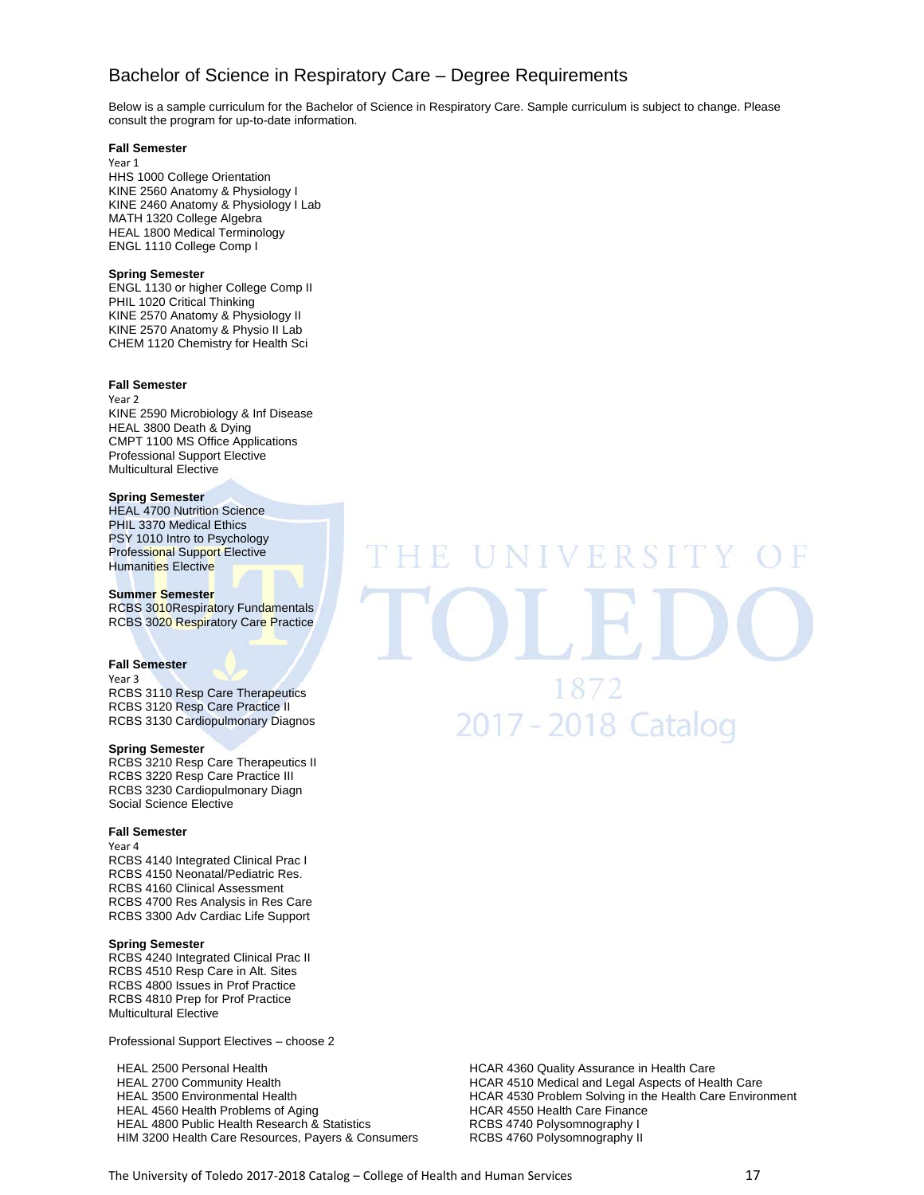# Bachelor of Science in Respiratory Care – Degree Requirements

Below is a sample curriculum for the Bachelor of Science in Respiratory Care. Sample curriculum is subject to change. Please consult the program for up-to-date information.

### **Fall Semester**

Year 1 HHS 1000 College Orientation KINE 2560 Anatomy & Physiology I KINE 2460 Anatomy & Physiology I Lab MATH 1320 College Algebra HEAL 1800 Medical Terminology ENGL 1110 College Comp I

### **Spring Semester**

ENGL 1130 or higher College Comp II PHIL 1020 Critical Thinking KINE 2570 Anatomy & Physiology II KINE 2570 Anatomy & Physio II Lab CHEM 1120 Chemistry for Health Sci

### **Fall Semester**

Year 2 KINE 2590 Microbiology & Inf Disease HEAL 3800 Death & Dying CMPT 1100 MS Office Applications Professional Support Elective Multicultural Elective

### **Spring Semester**

HEAL 4700 Nutrition Science PHIL 3370 Medical Ethics PSY 1010 Intro to Psychology Professional Support Elective Humanities Elective

### **Summer Semester**

RCBS 3010Respiratory Fundamentals RCBS 3020 Respiratory Care Practice

### **Fall Semester**

Year 3 RCBS 3110 Resp Care Therapeutics RCBS 3120 Resp Care Practice II RCBS 3130 Cardiopulmonary Diagnos

### **Spring Semester**

RCBS 3210 Resp Care Therapeutics II RCBS 3220 Resp Care Practice III RCBS 3230 Cardiopulmonary Diagn Social Science Elective

### **Fall Semester**

Year 4 RCBS 4140 Integrated Clinical Prac I RCBS 4150 Neonatal/Pediatric Res. RCBS 4160 Clinical Assessment RCBS 4700 Res Analysis in Res Care RCBS 3300 Adv Cardiac Life Support

### **Spring Semester**

RCBS 4240 Integrated Clinical Prac II RCBS 4510 Resp Care in Alt. Sites RCBS 4800 Issues in Prof Practice RCBS 4810 Prep for Prof Practice Multicultural Elective

Professional Support Electives – choose 2

HEAL 2500 Personal Health **Health HCAR 4360 Quality Assurance in Health Care** HEAL 2700 Community Health **HEAL 2700 Community Health** HCAR 4510 Medical and Legal Aspects of Health Care HEAL 4560 Health Problems of Aging<br>HEAL 4800 Public Health Research & Statistics **HEAL 4800 HCBS** 4740 Polysomnography I HEAL 4800 Public Health Research & Statistics HIM 3200 Health Care Resources, Payers & Consumers RCBS 4760 Polysomnography II

# VERSI 1872 2017 - 2018 Catalog

HEAL 3500 Environmental Health **Health HCAR 4530 Problem Solving in the Health Care Environment**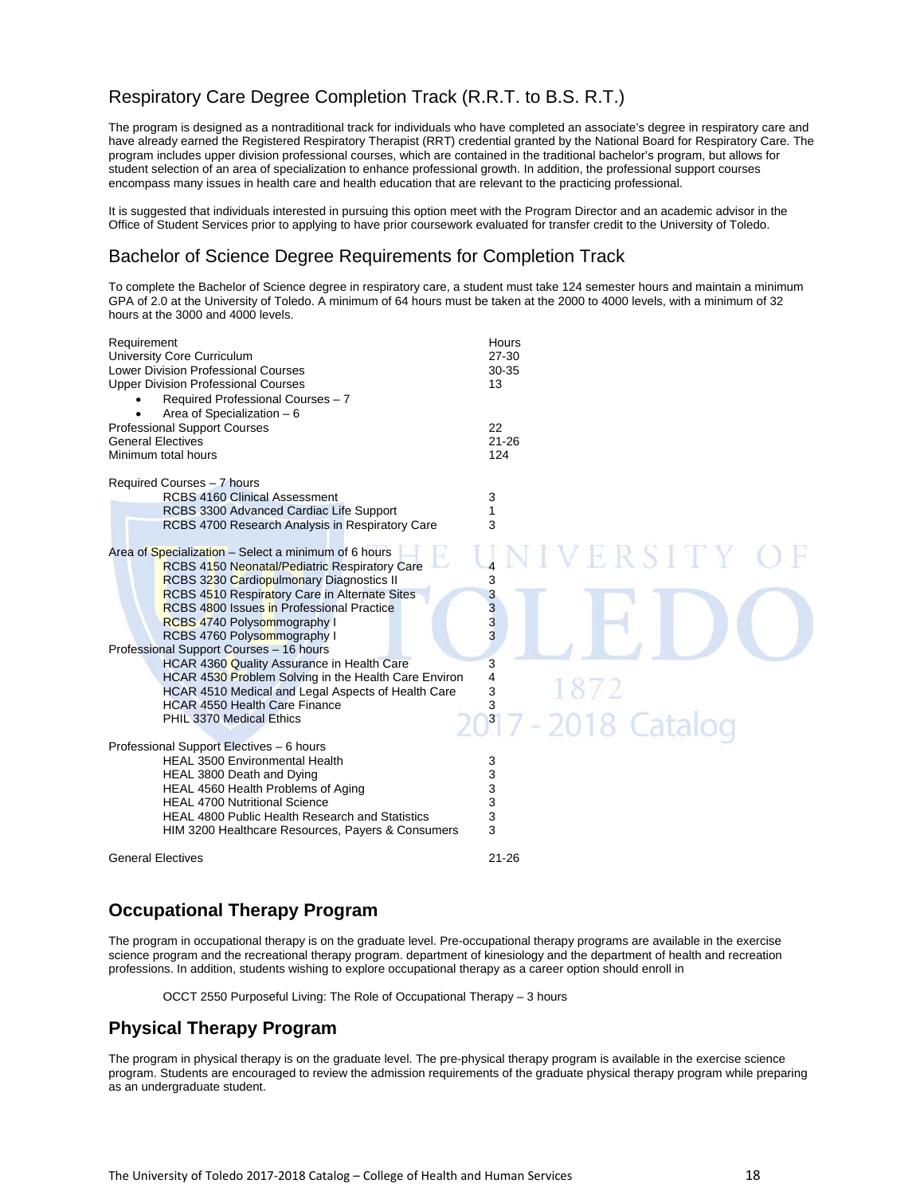# Respiratory Care Degree Completion Track (R.R.T. to B.S. R.T.)

The program is designed as a nontraditional track for individuals who have completed an associate's degree in respiratory care and have already earned the Registered Respiratory Therapist (RRT) credential granted by the National Board for Respiratory Care. The program includes upper division professional courses, which are contained in the traditional bachelor's program, but allows for student selection of an area of specialization to enhance professional growth. In addition, the professional support courses encompass many issues in health care and health education that are relevant to the practicing professional.

It is suggested that individuals interested in pursuing this option meet with the Program Director and an academic advisor in the Office of Student Services prior to applying to have prior coursework evaluated for transfer credit to the University of Toledo.

# Bachelor of Science Degree Requirements for Completion Track

To complete the Bachelor of Science degree in respiratory care, a student must take 124 semester hours and maintain a minimum GPA of 2.0 at the University of Toledo. A minimum of 64 hours must be taken at the 2000 to 4000 levels, with a minimum of 32 hours at the 3000 and 4000 levels.

| Requirement<br>University Core Curriculum<br><b>Lower Division Professional Courses</b><br><b>Upper Division Professional Courses</b><br>Required Professional Courses - 7<br>Area of Specialization - 6<br>$\bullet$<br><b>Professional Support Courses</b><br><b>General Electives</b><br>Minimum total hours | Hours<br>27-30<br>30-35<br>13<br>22<br>$21 - 26$<br>124 |
|-----------------------------------------------------------------------------------------------------------------------------------------------------------------------------------------------------------------------------------------------------------------------------------------------------------------|---------------------------------------------------------|
|                                                                                                                                                                                                                                                                                                                 |                                                         |
| Required Courses - 7 hours                                                                                                                                                                                                                                                                                      |                                                         |
| <b>RCBS 4160 Clinical Assessment</b>                                                                                                                                                                                                                                                                            | 3                                                       |
| RCBS 3300 Advanced Cardiac Life Support                                                                                                                                                                                                                                                                         | 1<br>3                                                  |
| RCBS 4700 Research Analysis in Respiratory Care                                                                                                                                                                                                                                                                 |                                                         |
| Area of Specialization - Select a minimum of 6 hours                                                                                                                                                                                                                                                            |                                                         |
| <b>RCBS 4150 Neonatal/Pediatric Respiratory Care</b>                                                                                                                                                                                                                                                            | ERSITY                                                  |
| <b>RCBS 3230 Cardiopulmonary Diagnostics II</b>                                                                                                                                                                                                                                                                 | 3                                                       |
| RCBS 4510 Respiratory Care in Alternate Sites                                                                                                                                                                                                                                                                   | 3                                                       |
| <b>RCBS 4800 Issues in Professional Practice</b>                                                                                                                                                                                                                                                                | 3                                                       |
| <b>RCBS 4740 Polysommography I</b>                                                                                                                                                                                                                                                                              | 3                                                       |
| RCBS 4760 Polysommography I                                                                                                                                                                                                                                                                                     | 3                                                       |
| Professional Support Courses - 16 hours<br>HCAR 4360 Quality Assurance in Health Care                                                                                                                                                                                                                           | 3                                                       |
| HCAR 4530 Problem Solving in the Health Care Environ                                                                                                                                                                                                                                                            | 4                                                       |
| HCAR 4510 Medical and Legal Aspects of Health Care                                                                                                                                                                                                                                                              | 1872<br>3                                               |
| <b>HCAR 4550 Health Care Finance</b>                                                                                                                                                                                                                                                                            | 3                                                       |
| PHIL 3370 Medical Ethics                                                                                                                                                                                                                                                                                        | 2017 - 2018 Catalog                                     |
| Professional Support Electives - 6 hours                                                                                                                                                                                                                                                                        |                                                         |
| <b>HEAL 3500 Environmental Health</b>                                                                                                                                                                                                                                                                           | 3                                                       |
| HEAL 3800 Death and Dying                                                                                                                                                                                                                                                                                       | 3                                                       |
| HEAL 4560 Health Problems of Aging                                                                                                                                                                                                                                                                              | 3                                                       |
| <b>HEAL 4700 Nutritional Science</b>                                                                                                                                                                                                                                                                            | 3                                                       |
| <b>HEAL 4800 Public Health Research and Statistics</b>                                                                                                                                                                                                                                                          | 3                                                       |
| HIM 3200 Healthcare Resources, Payers & Consumers                                                                                                                                                                                                                                                               | 3                                                       |
| <b>General Electives</b>                                                                                                                                                                                                                                                                                        | $21 - 26$                                               |

# **Occupational Therapy Program**

The program in occupational therapy is on the graduate level. Pre-occupational therapy programs are available in the exercise science program and the recreational therapy program. department of kinesiology and the department of health and recreation professions. In addition, students wishing to explore occupational therapy as a career option should enroll in

OCCT 2550 Purposeful Living: The Role of Occupational Therapy – 3 hours

# **Physical Therapy Program**

The program in physical therapy is on the graduate level. The pre-physical therapy program is available in the exercise science program. Students are encouraged to review the admission requirements of the graduate physical therapy program while preparing as an undergraduate student.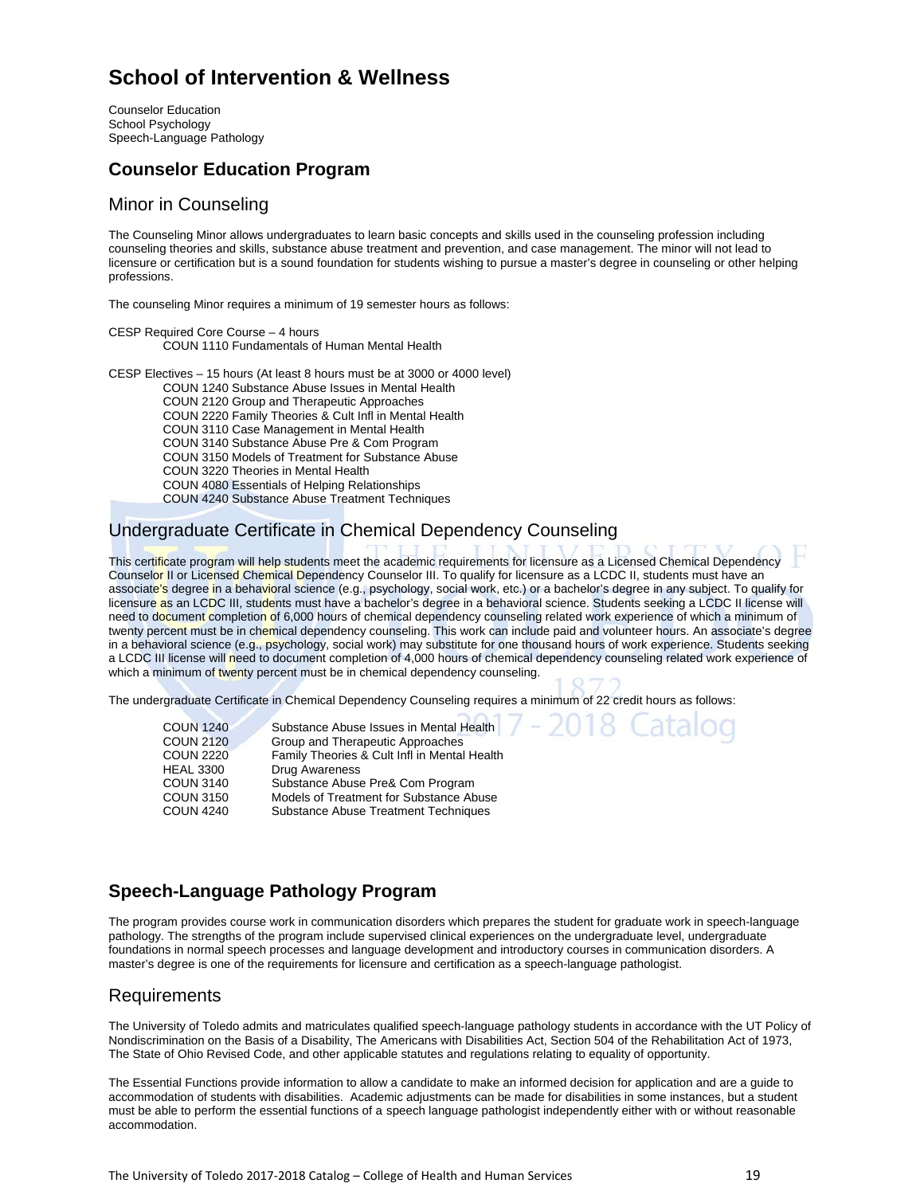# **School of Intervention & Wellness**

Counselor Education School Psychology Speech-Language Pathology

# **Counselor Education Program**

### Minor in Counseling

The Counseling Minor allows undergraduates to learn basic concepts and skills used in the counseling profession including counseling theories and skills, substance abuse treatment and prevention, and case management. The minor will not lead to licensure or certification but is a sound foundation for students wishing to pursue a master's degree in counseling or other helping professions.

The counseling Minor requires a minimum of 19 semester hours as follows:

CESP Required Core Course – 4 hours COUN 1110 Fundamentals of Human Mental Health

CESP Electives – 15 hours (At least 8 hours must be at 3000 or 4000 level) COUN 1240 Substance Abuse Issues in Mental Health

 COUN 2120 Group and Therapeutic Approaches COUN 2220 Family Theories & Cult Infl in Mental Health COUN 3110 Case Management in Mental Health COUN 3140 Substance Abuse Pre & Com Program COUN 3150 Models of Treatment for Substance Abuse COUN 3220 Theories in Mental Health COUN 4080 Essentials of Helping Relationships COUN 4240 Substance Abuse Treatment Techniques

# Undergraduate Certificate in Chemical Dependency Counseling

This certificate program will help students meet the academic requirements for licensure as a Licensed Chemical Dependency Counselor II or Licensed Chemical Dependency Counselor III. To qualify for licensure as a LCDC II, students must have an associate's degree in a behavioral science (e.g., psychology, social work, etc.) or a bachelor's degree in any subject. To qualify for licensure as an LCDC III, students must have a bachelor's degree in a behavioral science. Students seeking a LCDC II license will need to document completion of 6,000 hours of chemical dependency counseling related work experience of which a minimum of twenty percent must be in chemical dependency counseling. This work can include paid and volunteer hours. An associate's degree in a behavioral science (e.g., psychology, social work) may substitute for one thousand hours of work experience. Students seeking a LCDC III license will need to document completion of 4,000 hours of chemical dependency counseling related work experience of which a minimum of twenty percent must be in chemical dependency counseling.

2018 Cataloo

The undergraduate Certificate in Chemical Dependency Counseling requires a minimum of 22 credit hours as follows:

| <b>COUN 1240</b> | Substance Abuse Issues in Mental Health      |
|------------------|----------------------------------------------|
| <b>COUN 2120</b> | Group and Therapeutic Approaches             |
| <b>COUN 2220</b> | Family Theories & Cult Infl in Mental Health |
| <b>HEAL 3300</b> | <b>Drug Awareness</b>                        |
| <b>COUN 3140</b> | Substance Abuse Pre& Com Program             |
| <b>COUN 3150</b> | Models of Treatment for Substance Abuse      |
| <b>COUN 4240</b> | <b>Substance Abuse Treatment Techniques</b>  |

# **Speech-Language Pathology Program**

The program provides course work in communication disorders which prepares the student for graduate work in speech-language pathology. The strengths of the program include supervised clinical experiences on the undergraduate level, undergraduate foundations in normal speech processes and language development and introductory courses in communication disorders. A master's degree is one of the requirements for licensure and certification as a speech-language pathologist.

# Requirements

The University of Toledo admits and matriculates qualified speech-language pathology students in accordance with the UT Policy of Nondiscrimination on the Basis of a Disability, The Americans with Disabilities Act, Section 504 of the Rehabilitation Act of 1973, The State of Ohio Revised Code, and other applicable statutes and regulations relating to equality of opportunity.

The Essential Functions provide information to allow a candidate to make an informed decision for application and are a guide to accommodation of students with disabilities. Academic adjustments can be made for disabilities in some instances, but a student must be able to perform the essential functions of a speech language pathologist independently either with or without reasonable accommodation.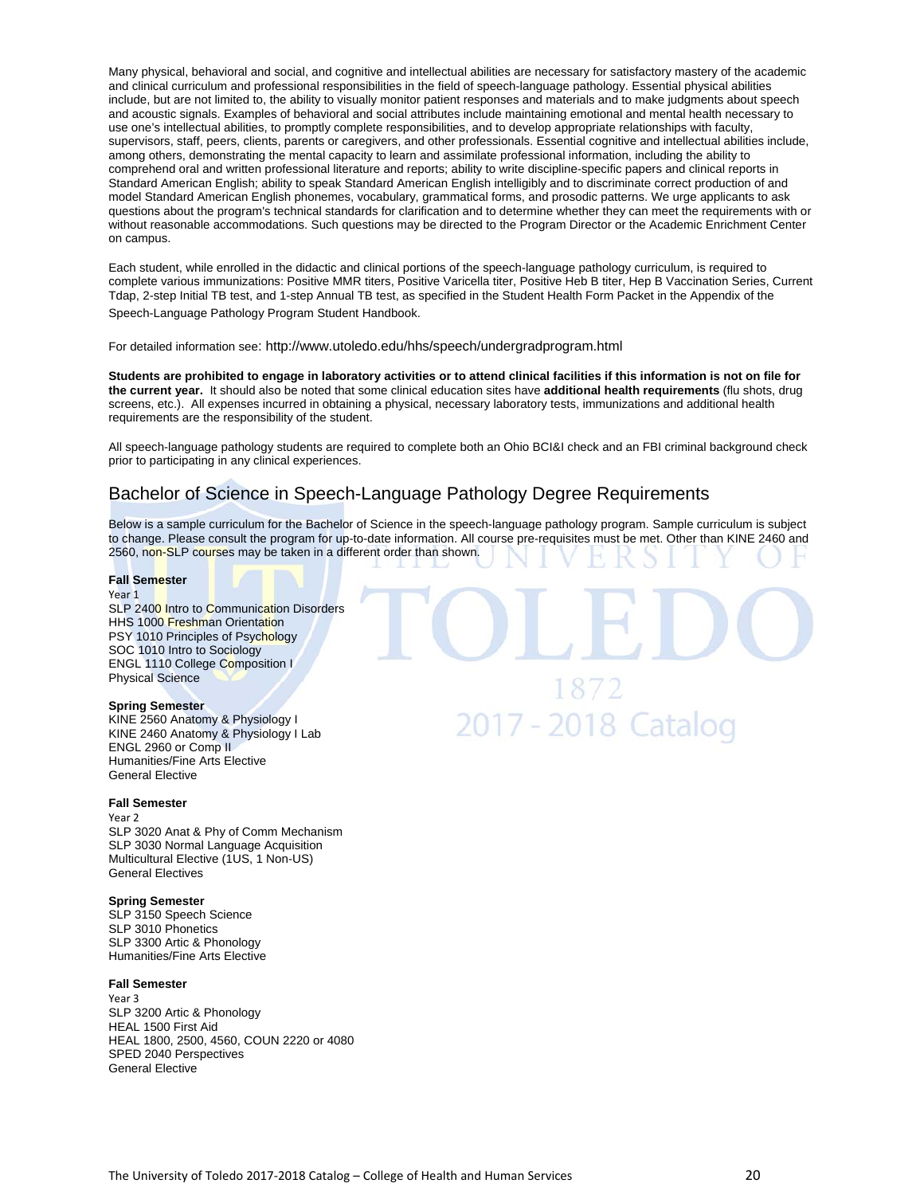Many physical, behavioral and social, and cognitive and intellectual abilities are necessary for satisfactory mastery of the academic and clinical curriculum and professional responsibilities in the field of speech-language pathology. Essential physical abilities include, but are not limited to, the ability to visually monitor patient responses and materials and to make judgments about speech and acoustic signals. Examples of behavioral and social attributes include maintaining emotional and mental health necessary to use one's intellectual abilities, to promptly complete responsibilities, and to develop appropriate relationships with faculty, supervisors, staff, peers, clients, parents or caregivers, and other professionals. Essential cognitive and intellectual abilities include, among others, demonstrating the mental capacity to learn and assimilate professional information, including the ability to comprehend oral and written professional literature and reports; ability to write discipline-specific papers and clinical reports in Standard American English; ability to speak Standard American English intelligibly and to discriminate correct production of and model Standard American English phonemes, vocabulary, grammatical forms, and prosodic patterns. We urge applicants to ask questions about the program's technical standards for clarification and to determine whether they can meet the requirements with or without reasonable accommodations. Such questions may be directed to the Program Director or the Academic Enrichment Center on campus.

Each student, while enrolled in the didactic and clinical portions of the speech-language pathology curriculum, is required to complete various immunizations: Positive MMR titers, Positive Varicella titer, Positive Heb B titer, Hep B Vaccination Series, Current Tdap, 2-step Initial TB test, and 1-step Annual TB test, as specified in the Student Health Form Packet in the Appendix of the Speech-Language Pathology Program Student Handbook.

For detailed information see: http://www.utoledo.edu/hhs/speech/undergradprogram.html

**Students are prohibited to engage in laboratory activities or to attend clinical facilities if this information is not on file for the current year.** It should also be noted that some clinical education sites have **additional health requirements** (flu shots, drug screens, etc.). All expenses incurred in obtaining a physical, necessary laboratory tests, immunizations and additional health requirements are the responsibility of the student.

All speech-language pathology students are required to complete both an Ohio BCI&I check and an FBI criminal background check prior to participating in any clinical experiences.

# Bachelor of Science in Speech-Language Pathology Degree Requirements

Below is a sample curriculum for the Bachelor of Science in the speech-language pathology program. Sample curriculum is subject to change. Please consult the program for up-to-date information. All course pre-requisites must be met. Other than KINE 2460 and 2560, non-SLP courses may be taken in a different order than shown.

### **Fall Semester**

### Year 1

SLP 2400 Intro to Communication Disorders HHS 1000 Freshman Orientation PSY 1010 Principles of Psychology SOC 1010 Intro to Sociology ENGL 1110 College Composition I Physical Science

### **Spring Semester**

KINE 2560 Anatomy & Physiology I KINE 2460 Anatomy & Physiology I Lab ENGL 2960 or Comp II Humanities/Fine Arts Elective General Elective

### **Fall Semester**

Year 2 SLP 3020 Anat & Phy of Comm Mechanism SLP 3030 Normal Language Acquisition Multicultural Elective (1US, 1 Non-US) General Electives

### **Spring Semester**

SLP 3150 Speech Science SLP 3010 Phonetics SLP 3300 Artic & Phonology Humanities/Fine Arts Elective

### **Fall Semester**

Year 3 SLP 3200 Artic & Phonology HEAL 1500 First Aid HEAL 1800, 2500, 4560, COUN 2220 or 4080 SPED 2040 Perspectives General Elective

1872 2017 - 2018 Catalog

### The University of Toledo 2017-2018 Catalog – College of Health and Human Services 20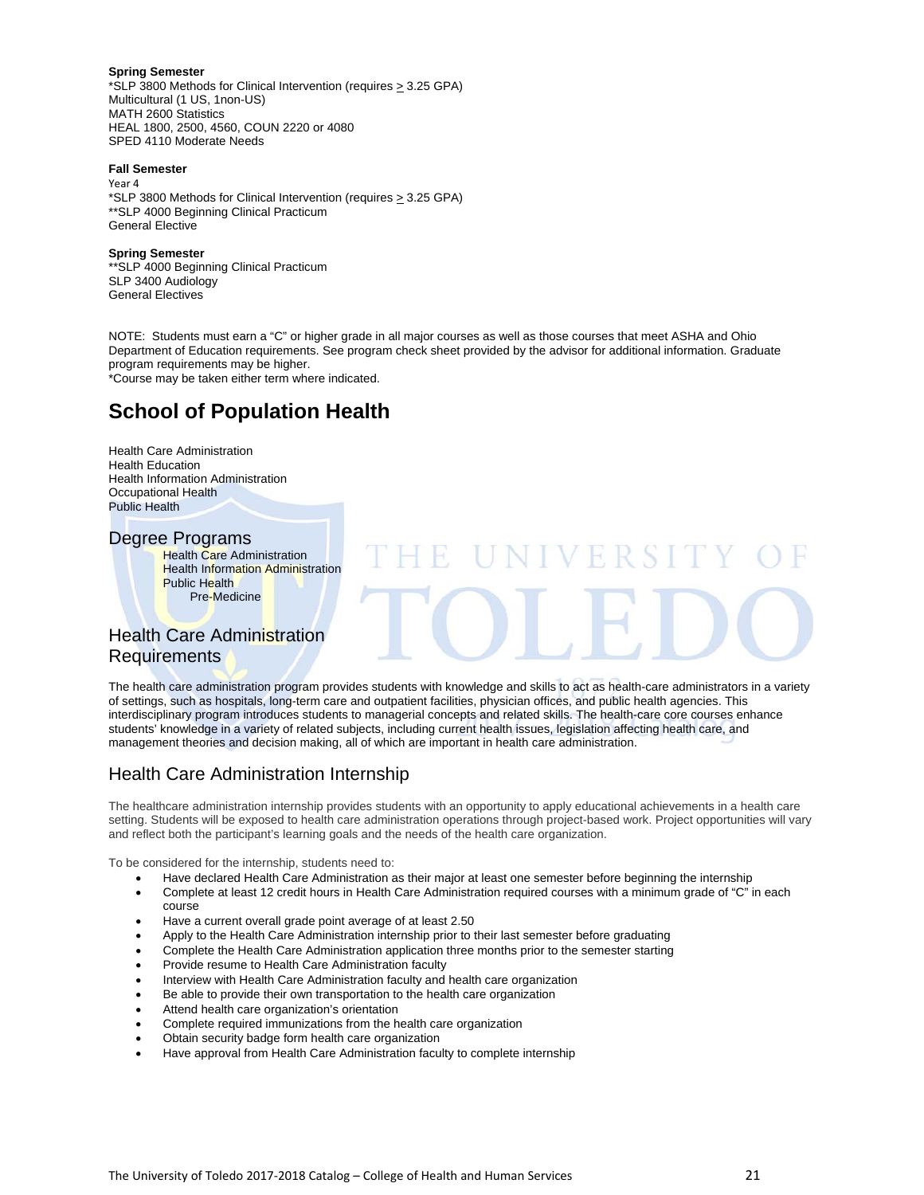### **Spring Semester**

\*SLP 3800 Methods for Clinical Intervention (requires  $\geq$  3.25 GPA) Multicultural (1 US, 1non-US) MATH 2600 Statistics HEAL 1800, 2500, 4560, COUN 2220 or 4080 SPED 4110 Moderate Needs

### **Fall Semester**

Year 4 \*SLP 3800 Methods for Clinical Intervention (requires  $\geq$  3.25 GPA) \*\*SLP 4000 Beginning Clinical Practicum General Elective

### **Spring Semester**

\*\*SLP 4000 Beginning Clinical Practicum SLP 3400 Audiology General Electives

NOTE: Students must earn a "C" or higher grade in all major courses as well as those courses that meet ASHA and Ohio Department of Education requirements. See program check sheet provided by the advisor for additional information. Graduate program requirements may be higher. \*Course may be taken either term where indicated.

# **School of Population Health**

Health Care Administration Health Education Health Information Administration Occupational Health Public Health

### Degree Programs

**Health Care Administration Health Information Administration** Public Health Pre-Medicine

# Health Care Administration **Requirements**

The health care administration program provides students with knowledge and skills to act as health-care administrators in a variety of settings, such as hospitals, long-term care and outpatient facilities, physician offices, and public health agencies. This interdisciplinary program introduces students to managerial concepts and related skills. The health-care core courses enhance students' knowledge in a variety of related subjects, including current health issues, legislation affecting health care, and management theories and decision making, all of which are important in health care administration.

# Health Care Administration Internship

The healthcare administration internship provides students with an opportunity to apply educational achievements in a health care setting. Students will be exposed to health care administration operations through project-based work. Project opportunities will vary and reflect both the participant's learning goals and the needs of the health care organization.

To be considered for the internship, students need to:

- Have declared Health Care Administration as their major at least one semester before beginning the internship Complete at least 12 credit hours in Health Care Administration required courses with a minimum grade of "C" in each course
- Have a current overall grade point average of at least 2.50
- Apply to the Health Care Administration internship prior to their last semester before graduating
- Complete the Health Care Administration application three months prior to the semester starting
- Provide resume to Health Care Administration faculty
- Interview with Health Care Administration faculty and health care organization
- Be able to provide their own transportation to the health care organization
- Attend health care organization's orientation
- Complete required immunizations from the health care organization
- Obtain security badge form health care organization
- Have approval from Health Care Administration faculty to complete internship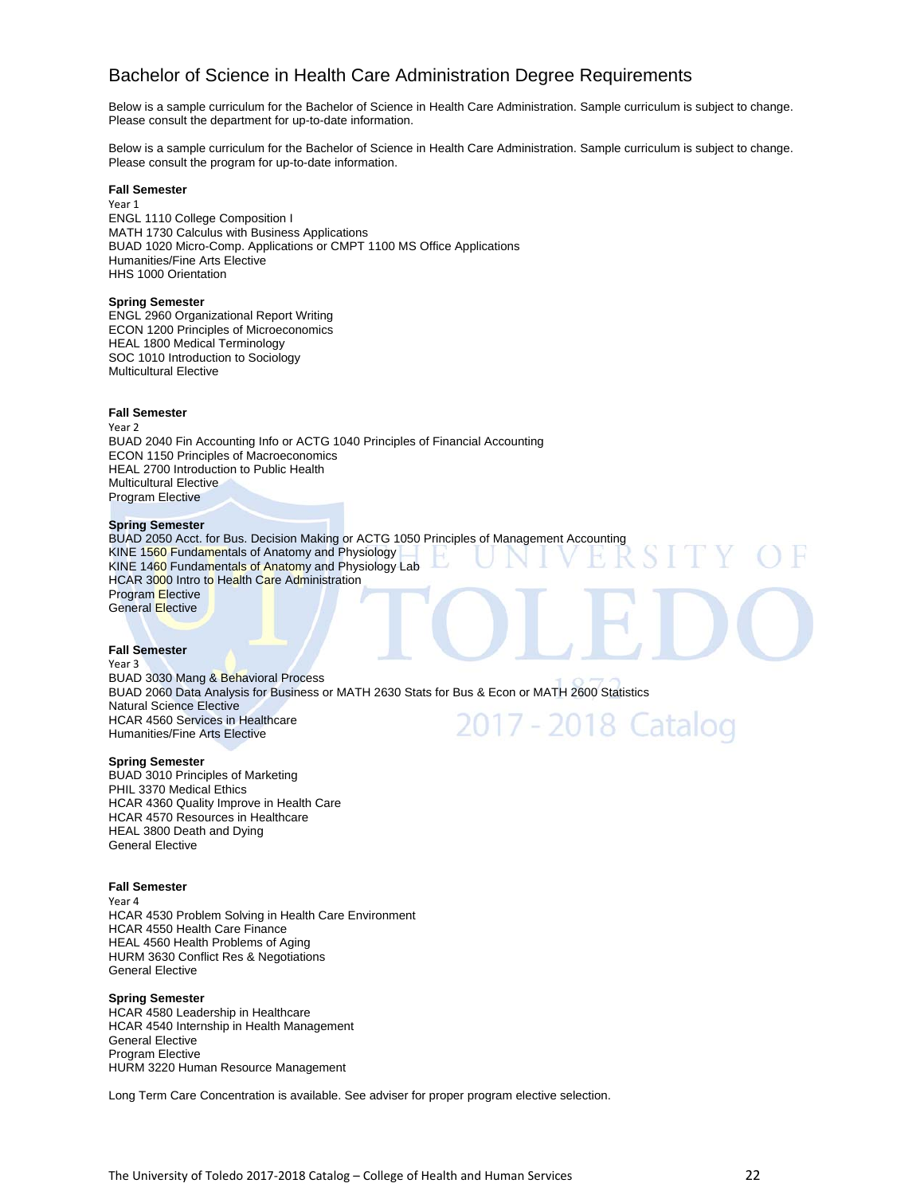# Bachelor of Science in Health Care Administration Degree Requirements

Below is a sample curriculum for the Bachelor of Science in Health Care Administration. Sample curriculum is subject to change. Please consult the department for up-to-date information.

Below is a sample curriculum for the Bachelor of Science in Health Care Administration. Sample curriculum is subject to change. Please consult the program for up-to-date information.

### **Fall Semester**

Year 1 ENGL 1110 College Composition I MATH 1730 Calculus with Business Applications BUAD 1020 Micro-Comp. Applications or CMPT 1100 MS Office Applications Humanities/Fine Arts Elective HHS 1000 Orientation

### **Spring Semester**

ENGL 2960 Organizational Report Writing ECON 1200 Principles of Microeconomics HEAL 1800 Medical Terminology SOC 1010 Introduction to Sociology Multicultural Elective

### **Fall Semester**

Year 2 BUAD 2040 Fin Accounting Info or ACTG 1040 Principles of Financial Accounting ECON 1150 Principles of Macroeconomics HEAL 2700 Introduction to Public Health Multicultural Elective Program Elective

### **Spring Semester**

BUAD 2050 Acct. for Bus. Decision Making or ACTG 1050 Principles of Management Accounting KINE 1560 Fundamentals of Anatomy and Physiology KINE 1460 Fundamentals of Anatomy and Physiology Lab HCAR 3000 Intro to Health Care Administration Program Elective General Elective

### **Fall Semester**

Year 3 BUAD 3030 Mang & Behavioral Process BUAD 2060 Data Analysis for Business or MATH 2630 Stats for Bus & Econ or MATH 2600 Statistics Natural Science Elective 2017 - 2018 Catalog HCAR 4560 Services in Healthcare Humanities/Fine Arts Elective

### **Spring Semester**

BUAD 3010 Principles of Marketing PHIL 3370 Medical Ethics HCAR 4360 Quality Improve in Health Care HCAR 4570 Resources in Healthcare HEAL 3800 Death and Dying General Elective

### **Fall Semester**

Year 4 HCAR 4530 Problem Solving in Health Care Environment HCAR 4550 Health Care Finance HEAL 4560 Health Problems of Aging HURM 3630 Conflict Res & Negotiations General Elective

### **Spring Semester**

HCAR 4580 Leadership in Healthcare HCAR 4540 Internship in Health Management General Elective Program Elective HURM 3220 Human Resource Management

Long Term Care Concentration is available. See adviser for proper program elective selection.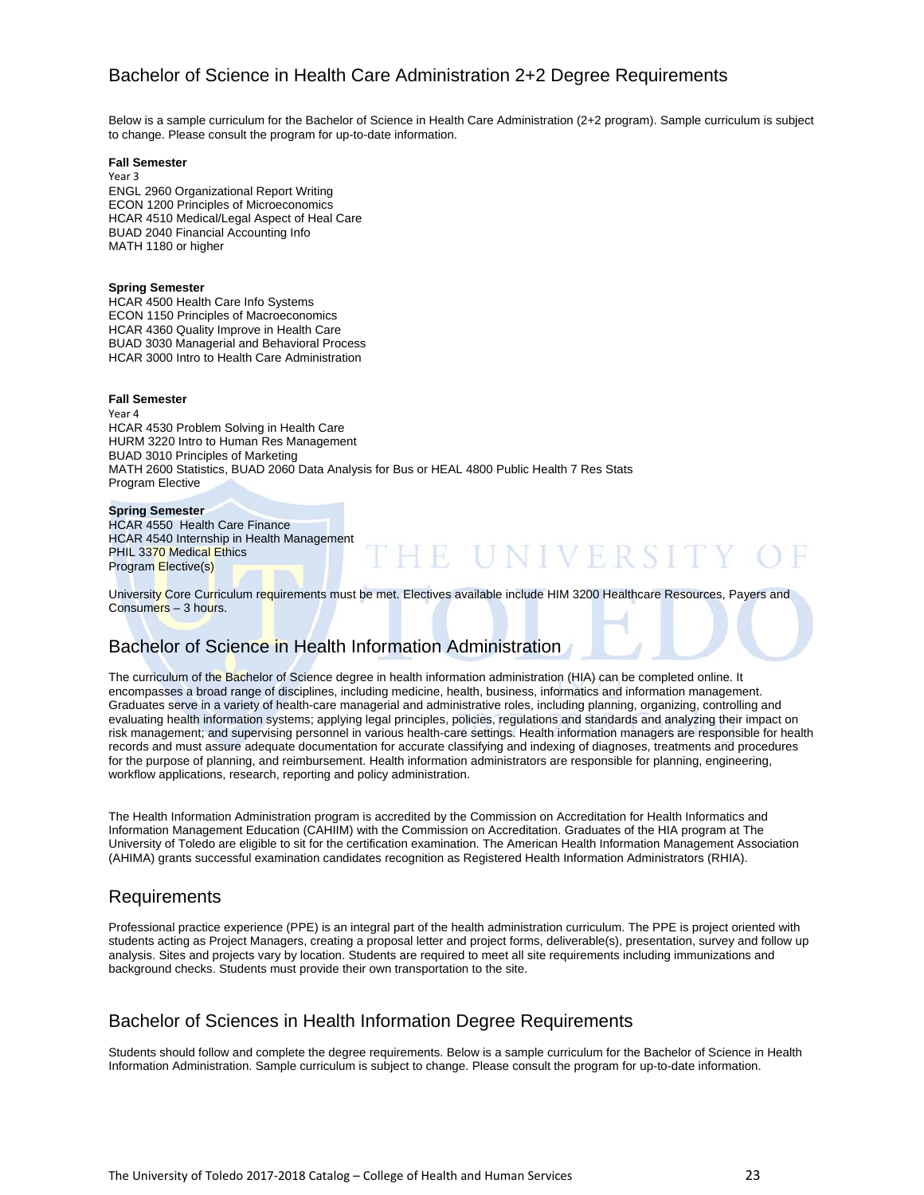# Bachelor of Science in Health Care Administration 2+2 Degree Requirements

Below is a sample curriculum for the Bachelor of Science in Health Care Administration (2+2 program). Sample curriculum is subject to change. Please consult the program for up-to-date information.

### **Fall Semester**

Year 3 ENGL 2960 Organizational Report Writing ECON 1200 Principles of Microeconomics HCAR 4510 Medical/Legal Aspect of Heal Care BUAD 2040 Financial Accounting Info MATH 1180 or higher

### **Spring Semester**

HCAR 4500 Health Care Info Systems ECON 1150 Principles of Macroeconomics HCAR 4360 Quality Improve in Health Care BUAD 3030 Managerial and Behavioral Process HCAR 3000 Intro to Health Care Administration

### **Fall Semester**

Year 4 HCAR 4530 Problem Solving in Health Care HURM 3220 Intro to Human Res Management BUAD 3010 Principles of Marketing MATH 2600 Statistics, BUAD 2060 Data Analysis for Bus or HEAL 4800 Public Health 7 Res Stats Program Elective

### **Spring Semester**

HCAR 4550 Health Care Finance HCAR 4540 Internship in Health Management PHIL 3370 Medical Ethics Program Elective(s)

University Core Curriculum requirements must be met. Electives available include HIM 3200 Healthcare Resources, Payers and Consumers – 3 hours.

HE UNIVERSITY

# Bachelor of Science in Health Information Administration

The curriculum of the Bachelor of Science degree in health information administration (HIA) can be completed online. It encompasses a broad range of disciplines, including medicine, health, business, informatics and information management. Graduates serve in a variety of health-care managerial and administrative roles, including planning, organizing, controlling and evaluating health information systems; applying legal principles, policies, regulations and standards and analyzing their impact on risk management; and supervising personnel in various health-care settings. Health information managers are responsible for health records and must assure adequate documentation for accurate classifying and indexing of diagnoses, treatments and procedures for the purpose of planning, and reimbursement. Health information administrators are responsible for planning, engineering, workflow applications, research, reporting and policy administration.

The Health Information Administration program is accredited by the Commission on Accreditation for Health Informatics and Information Management Education (CAHIIM) with the Commission on Accreditation. Graduates of the HIA program at The University of Toledo are eligible to sit for the certification examination. The American Health Information Management Association (AHIMA) grants successful examination candidates recognition as Registered Health Information Administrators (RHIA).

# Requirements

Professional practice experience (PPE) is an integral part of the health administration curriculum. The PPE is project oriented with students acting as Project Managers, creating a proposal letter and project forms, deliverable(s), presentation, survey and follow up analysis. Sites and projects vary by location. Students are required to meet all site requirements including immunizations and background checks. Students must provide their own transportation to the site.

# Bachelor of Sciences in Health Information Degree Requirements

Students should follow and complete the degree requirements. Below is a sample curriculum for the Bachelor of Science in Health Information Administration. Sample curriculum is subject to change. Please consult the program for up-to-date information.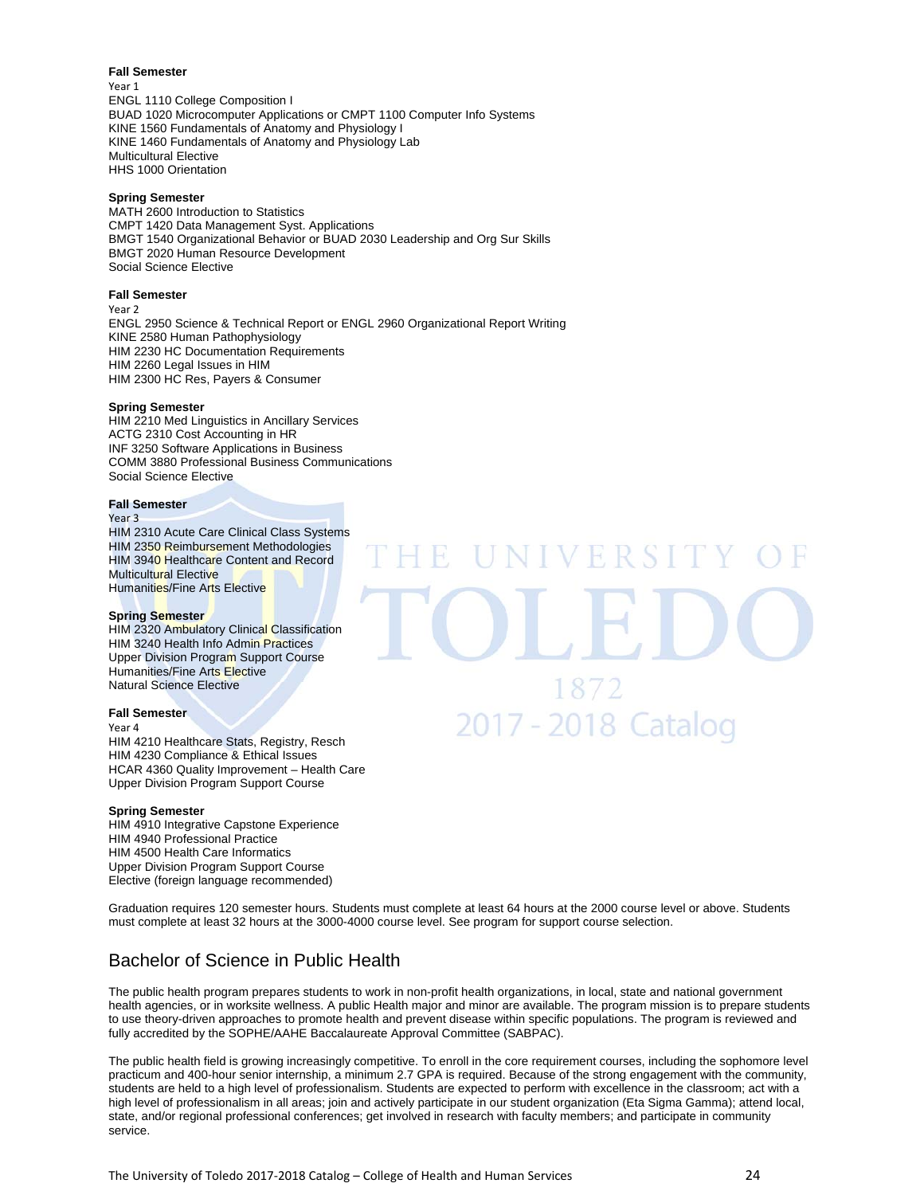### **Fall Semester**

Year 1 ENGL 1110 College Composition I BUAD 1020 Microcomputer Applications or CMPT 1100 Computer Info Systems KINE 1560 Fundamentals of Anatomy and Physiology I KINE 1460 Fundamentals of Anatomy and Physiology Lab Multicultural Elective HHS 1000 Orientation

### **Spring Semester**

MATH 2600 Introduction to Statistics CMPT 1420 Data Management Syst. Applications BMGT 1540 Organizational Behavior or BUAD 2030 Leadership and Org Sur Skills BMGT 2020 Human Resource Development Social Science Elective

### **Fall Semester**

Year 2

ENGL 2950 Science & Technical Report or ENGL 2960 Organizational Report Writing KINE 2580 Human Pathophysiology HIM 2230 HC Documentation Requirements HIM 2260 Legal Issues in HIM HIM 2300 HC Res, Payers & Consumer

### **Spring Semester**

HIM 2210 Med Linguistics in Ancillary Services ACTG 2310 Cost Accounting in HR INF 3250 Software Applications in Business COMM 3880 Professional Business Communications Social Science Elective

### **Fall Semester**

Year 3

HIM 2310 Acute Care Clinical Class Systems HIM 2350 Reimbursement Methodologies HIM 3940 Healthcare Content and Record **Multicultural Elective** Humanities/Fine Arts Elective

### **Spring Semester**

HIM 2320 Ambulatory Clinical Classification HIM 3240 Health Info Admin Practices Upper Division Program Support Course Humanities/Fine Arts Elective Natural Science Elective

### **Fall Semester**

Year 4 HIM 4210 Healthcare Stats, Registry, Resch HIM 4230 Compliance & Ethical Issues HCAR 4360 Quality Improvement – Health Care Upper Division Program Support Course

### **Spring Semester**

HIM 4910 Integrative Capstone Experience HIM 4940 Professional Practice HIM 4500 Health Care Informatics Upper Division Program Support Course Elective (foreign language recommended)

1872 2017 - 2018 Catalog

VERS

Graduation requires 120 semester hours. Students must complete at least 64 hours at the 2000 course level or above. Students must complete at least 32 hours at the 3000-4000 course level. See program for support course selection.

# Bachelor of Science in Public Health

The public health program prepares students to work in non-profit health organizations, in local, state and national government health agencies, or in worksite wellness. A public Health major and minor are available. The program mission is to prepare students to use theory-driven approaches to promote health and prevent disease within specific populations. The program is reviewed and fully accredited by the SOPHE/AAHE Baccalaureate Approval Committee (SABPAC).

The public health field is growing increasingly competitive. To enroll in the core requirement courses, including the sophomore level practicum and 400-hour senior internship, a minimum 2.7 GPA is required. Because of the strong engagement with the community, students are held to a high level of professionalism. Students are expected to perform with excellence in the classroom; act with a high level of professionalism in all areas; join and actively participate in our student organization (Eta Sigma Gamma); attend local, state, and/or regional professional conferences; get involved in research with faculty members; and participate in community service.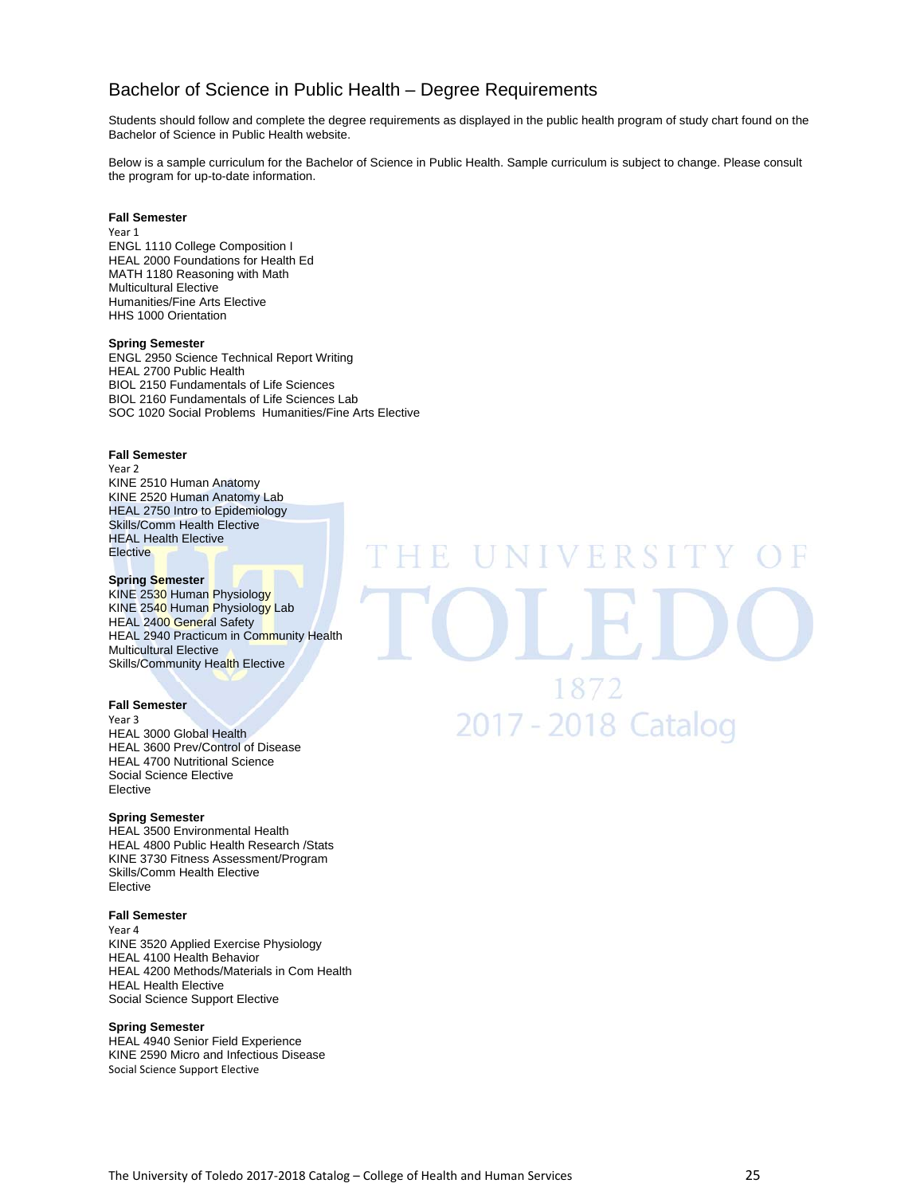# Bachelor of Science in Public Health – Degree Requirements

Students should follow and complete the degree requirements as displayed in the public health program of study chart found on the Bachelor of Science in Public Health website.

Below is a sample curriculum for the Bachelor of Science in Public Health. Sample curriculum is subject to change. Please consult the program for up-to-date information.

### **Fall Semester**

Year 1 ENGL 1110 College Composition I HEAL 2000 Foundations for Health Ed MATH 1180 Reasoning with Math Multicultural Elective Humanities/Fine Arts Elective HHS 1000 Orientation

### **Spring Semester**

ENGL 2950 Science Technical Report Writing HEAL 2700 Public Health BIOL 2150 Fundamentals of Life Sciences BIOL 2160 Fundamentals of Life Sciences Lab SOC 1020 Social Problems Humanities/Fine Arts Elective

### **Fall Semester**

Year 2 KINE 2510 Human Anatomy KINE 2520 Human Anatomy Lab HEAL 2750 Intro to Epidemiology Skills/Comm Health Elective HEAL Health Elective **Elective** 

### **Spring Semester**

KINE 2530 Human Physiology KINE 2540 Human Physiology Lab HEAL 2400 General Safety HEAL 2940 Practicum in Community Health Multicultural Elective Skills/Community Health Elective

### **Fall Semester**

Year 3 HEAL 3000 Global Health HEAL 3600 Prev/Control of Disease HEAL 4700 Nutritional Science Social Science Elective Elective

### **Spring Semester**

HEAL 3500 Environmental Health HEAL 4800 Public Health Research /Stats KINE 3730 Fitness Assessment/Program Skills/Comm Health Elective Elective

### **Fall Semester**

Year 4 KINE 3520 Applied Exercise Physiology HEAL 4100 Health Behavior HEAL 4200 Methods/Materials in Com Health HEAL Health Elective Social Science Support Elective

### **Spring Semester**

HEAL 4940 Senior Field Experience KINE 2590 Micro and Infectious Disease Social Science Support Elective

VERSI 1872 2017 - 2018 Catalog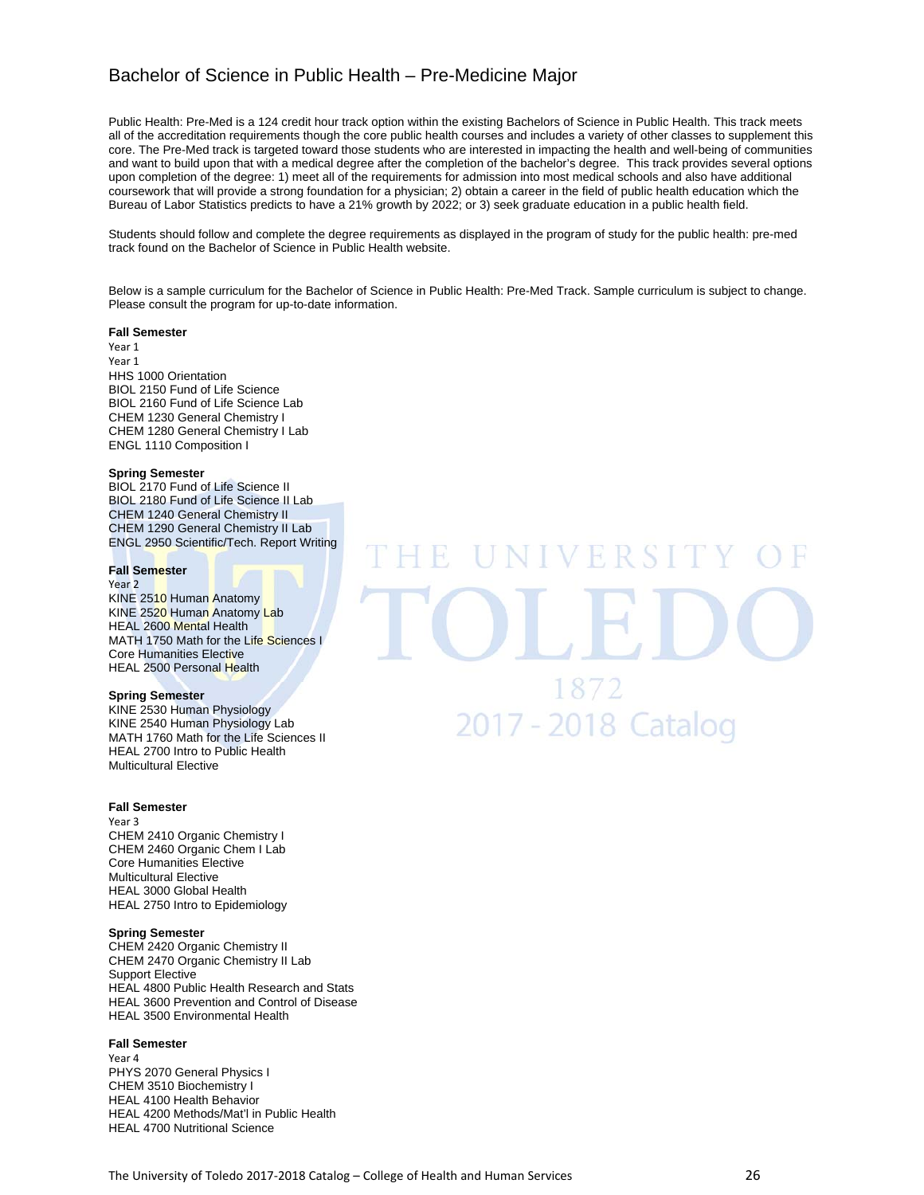# Bachelor of Science in Public Health – Pre-Medicine Major

Public Health: Pre-Med is a 124 credit hour track option within the existing Bachelors of Science in Public Health. This track meets all of the accreditation requirements though the core public health courses and includes a variety of other classes to supplement this core. The Pre-Med track is targeted toward those students who are interested in impacting the health and well-being of communities and want to build upon that with a medical degree after the completion of the bachelor's degree. This track provides several options upon completion of the degree: 1) meet all of the requirements for admission into most medical schools and also have additional coursework that will provide a strong foundation for a physician; 2) obtain a career in the field of public health education which the Bureau of Labor Statistics predicts to have a 21% growth by 2022; or 3) seek graduate education in a public health field.

Students should follow and complete the degree requirements as displayed in the program of study for the public health: pre-med track found on the Bachelor of Science in Public Health website.

Below is a sample curriculum for the Bachelor of Science in Public Health: Pre-Med Track. Sample curriculum is subject to change. Please consult the program for up-to-date information.

### **Fall Semester**

Year 1 Year 1 HHS 1000 Orientation BIOL 2150 Fund of Life Science BIOL 2160 Fund of Life Science Lab CHEM 1230 General Chemistry I CHEM 1280 General Chemistry I Lab ENGL 1110 Composition I

### **Spring Semester**

BIOL 2170 Fund of Life Science II BIOL 2180 Fund of Life Science II Lab CHEM 1240 General Chemistry II CHEM 1290 General Chemistry II Lab ENGL 2950 Scientific/Tech. Report Writing

### **Fall Semester**

Year 2 KINE 2510 Human Anatomy KINE 2520 Human Anatomy Lab HEAL 2600 Mental Health MATH 1750 Math for the Life Sciences I Core Humanities Elective HEAL 2500 Personal Health

### **Spring Semester**

KINE 2530 Human Physiology KINE 2540 Human Physiology Lab MATH 1760 Math for the Life Sciences II HEAL 2700 Intro to Public Health Multicultural Elective

### **Fall Semester**

Year 3 CHEM 2410 Organic Chemistry I CHEM 2460 Organic Chem I Lab Core Humanities Elective Multicultural Elective HEAL 3000 Global Health HEAL 2750 Intro to Epidemiology

### **Spring Semester**

CHEM 2420 Organic Chemistry II CHEM 2470 Organic Chemistry II Lab Support Elective HEAL 4800 Public Health Research and Stats HEAL 3600 Prevention and Control of Disease HEAL 3500 Environmental Health

### **Fall Semester**

Year 4 PHYS 2070 General Physics I CHEM 3510 Biochemistry I HEAL 4100 Health Behavior HEAL 4200 Methods/Mat'l in Public Health HEAL 4700 Nutritional Science

# VERSI 1872 2017 - 2018 Catalog

The University of Toledo 2017-2018 Catalog – College of Health and Human Services 26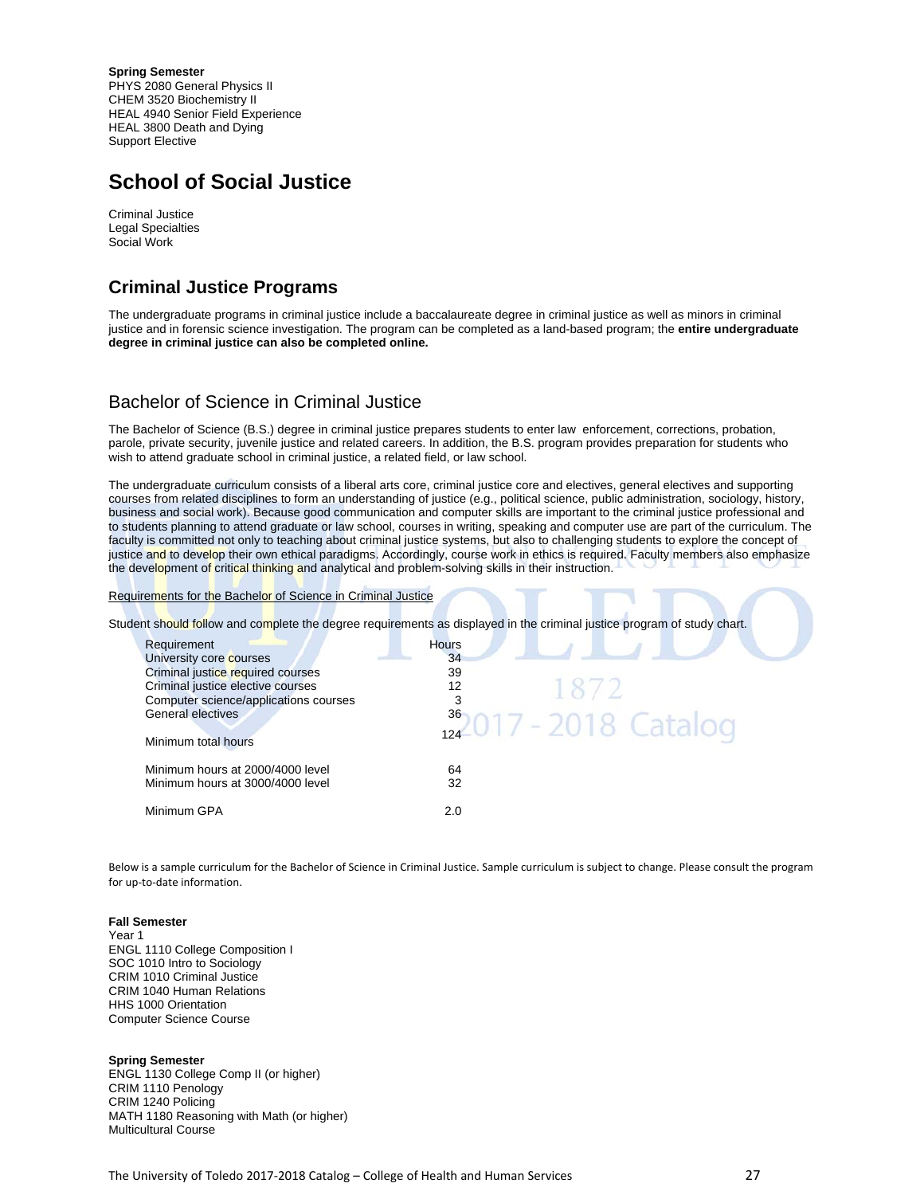**Spring Semester**  PHYS 2080 General Physics II CHEM 3520 Biochemistry II HEAL 4940 Senior Field Experience HEAL 3800 Death and Dying Support Elective

# **School of Social Justice**

Criminal Justice Legal Specialties Social Work

# **Criminal Justice Programs**

The undergraduate programs in criminal justice include a baccalaureate degree in criminal justice as well as minors in criminal justice and in forensic science investigation. The program can be completed as a land-based program; the **entire undergraduate degree in criminal justice can also be completed online.** 

# Bachelor of Science in Criminal Justice

The Bachelor of Science (B.S.) degree in criminal justice prepares students to enter law enforcement, corrections, probation, parole, private security, juvenile justice and related careers. In addition, the B.S. program provides preparation for students who wish to attend graduate school in criminal justice, a related field, or law school.

The undergraduate curriculum consists of a liberal arts core, criminal justice core and electives, general electives and supporting courses from related disciplines to form an understanding of justice (e.g., political science, public administration, sociology, history, business and social work). Because good communication and computer skills are important to the criminal justice professional and to students planning to attend graduate or law school, courses in writing, speaking and computer use are part of the curriculum. The faculty is committed not only to teaching about criminal justice systems, but also to challenging students to explore the concept of justice and to develop their own ethical paradigms. Accordingly, course work in ethics is required. Faculty members also emphasize the development of critical thinking and analytical and problem-solving skills in their instruction.

Requirements for the Bachelor of Science in Criminal Justice

Student should follow and complete the degree requirements as displayed in the criminal justice program of study chart.

| Requirement<br>University core courses<br>Criminal justice required courses<br>Criminal justice elective courses<br>Computer science/applications courses<br><b>General electives</b><br>Minimum total hours | Hours<br>34<br>39<br>1872<br>12<br>$362017 - 2018$ Catalog |
|--------------------------------------------------------------------------------------------------------------------------------------------------------------------------------------------------------------|------------------------------------------------------------|
| Minimum hours at 2000/4000 level<br>Minimum hours at 3000/4000 level                                                                                                                                         | 64<br>32                                                   |
| Minimum GPA                                                                                                                                                                                                  | 2.0                                                        |

Below is a sample curriculum for the Bachelor of Science in Criminal Justice. Sample curriculum is subject to change. Please consult the program for up‐to‐date information.

### **Fall Semester**

Year 1 ENGL 1110 College Composition I SOC 1010 Intro to Sociology CRIM 1010 Criminal Justice CRIM 1040 Human Relations HHS 1000 Orientation Computer Science Course

### **Spring Semester**

ENGL 1130 College Comp II (or higher) CRIM 1110 Penology CRIM 1240 Policing MATH 1180 Reasoning with Math (or higher) Multicultural Course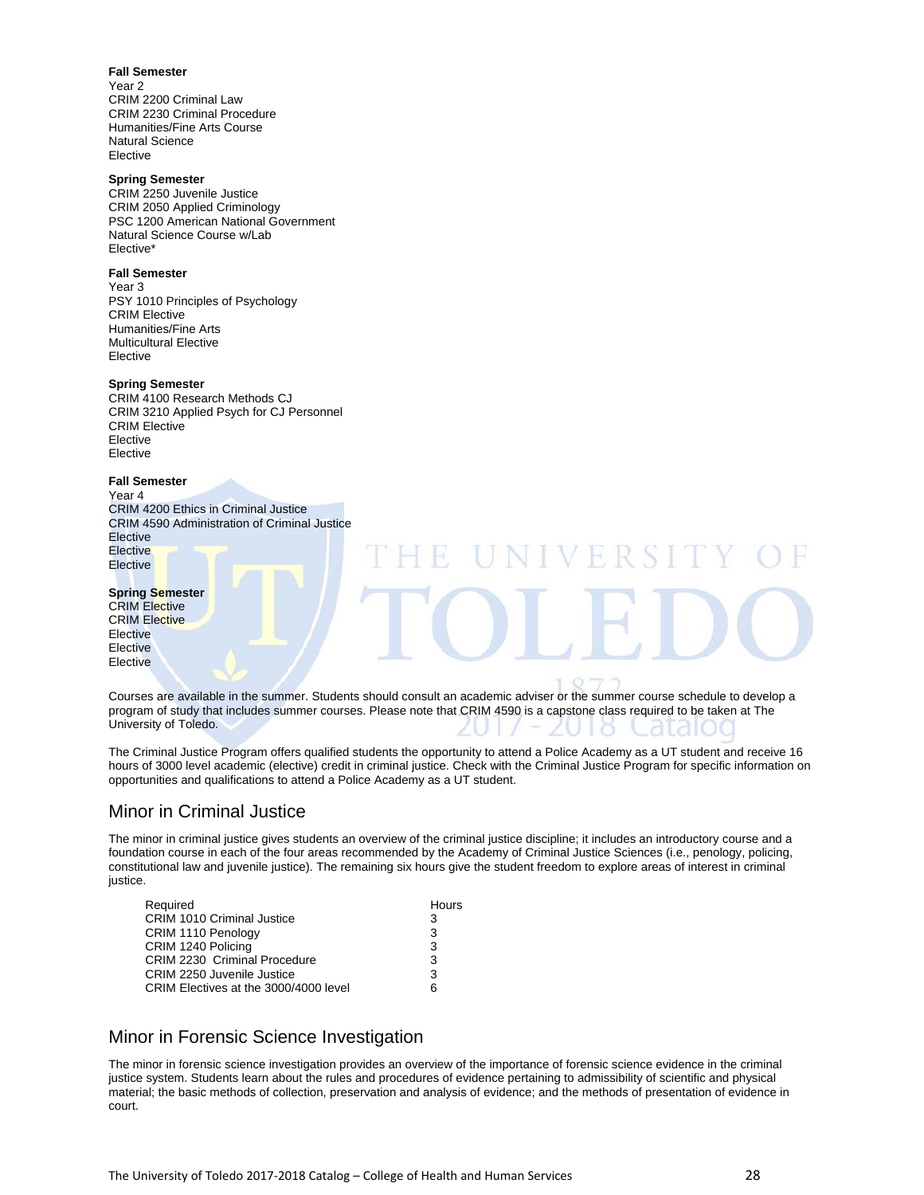**Fall Semester** 

Year 2 CRIM 2200 Criminal Law CRIM 2230 Criminal Procedure Humanities/Fine Arts Course Natural Science Elective

### **Spring Semester**

CRIM 2250 Juvenile Justice CRIM 2050 Applied Criminology PSC 1200 American National Government Natural Science Course w/Lab Elective\*

### **Fall Semester**

Year 3 PSY 1010 Principles of Psychology CRIM Elective Humanities/Fine Arts Multicultural Elective Elective

### **Spring Semester**

CRIM 4100 Research Methods CJ CRIM 3210 Applied Psych for CJ Personnel CRIM Elective Elective Elective

### **Fall Semester**

Year 4 CRIM 4200 Ethics in Criminal Justice CRIM 4590 Administration of Criminal Justice **Elective Elective Elective** 

#### **Spring Semester**

CRIM Elective CRIM Elective Elective **Elective Elective** 

Courses are available in the summer. Students should consult an academic adviser or the summer course schedule to develop a program of study that includes summer courses. Please note that CRIM 4590 is a capstone class required to be taken at The University of Toledo.

The Criminal Justice Program offers qualified students the opportunity to attend a Police Academy as a UT student and receive 16 hours of 3000 level academic (elective) credit in criminal justice. Check with the Criminal Justice Program for specific information on opportunities and qualifications to attend a Police Academy as a UT student.

# Minor in Criminal Justice

The minor in criminal justice gives students an overview of the criminal justice discipline; it includes an introductory course and a foundation course in each of the four areas recommended by the Academy of Criminal Justice Sciences (i.e., penology, policing, constitutional law and juvenile justice). The remaining six hours give the student freedom to explore areas of interest in criminal justice.

| Required                              | Hours |
|---------------------------------------|-------|
| CRIM 1010 Criminal Justice            | 3     |
| CRIM 1110 Penology                    | 3     |
| CRIM 1240 Policing                    | 3     |
| CRIM 2230 Criminal Procedure          | 3     |
| CRIM 2250 Juvenile Justice            | 3     |
| CRIM Electives at the 3000/4000 level | 6     |

# Minor in Forensic Science Investigation

The minor in forensic science investigation provides an overview of the importance of forensic science evidence in the criminal justice system. Students learn about the rules and procedures of evidence pertaining to admissibility of scientific and physical material; the basic methods of collection, preservation and analysis of evidence; and the methods of presentation of evidence in court.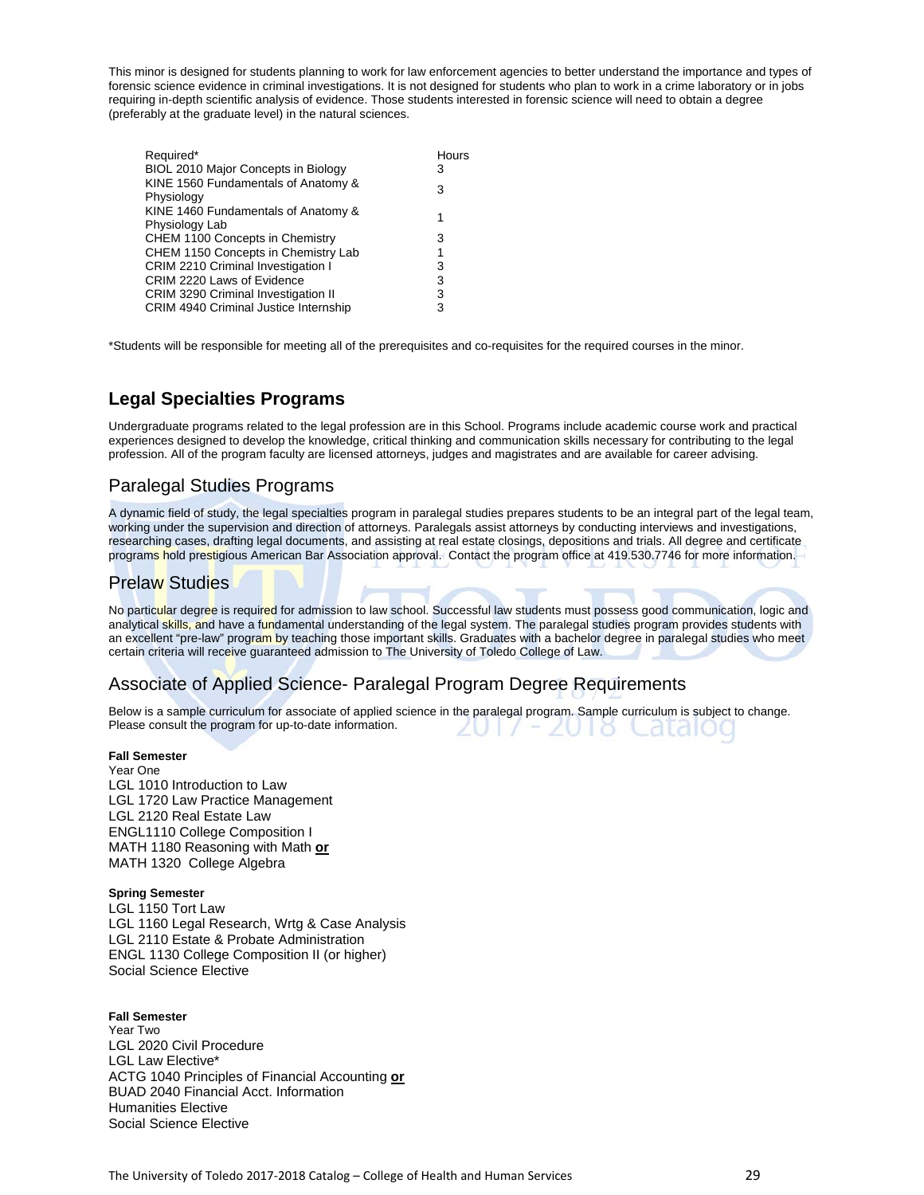This minor is designed for students planning to work for law enforcement agencies to better understand the importance and types of forensic science evidence in criminal investigations. It is not designed for students who plan to work in a crime laboratory or in jobs requiring in-depth scientific analysis of evidence. Those students interested in forensic science will need to obtain a degree (preferably at the graduate level) in the natural sciences.

| Required*<br>BIOL 2010 Major Concepts in Biology      | Hours<br>3 |
|-------------------------------------------------------|------------|
| KINE 1560 Fundamentals of Anatomy &<br>Physiology     | 3          |
| KINE 1460 Fundamentals of Anatomy &<br>Physiology Lab | 1          |
| CHEM 1100 Concepts in Chemistry                       | 3          |
| CHEM 1150 Concepts in Chemistry Lab                   | 1          |
| <b>CRIM 2210 Criminal Investigation I</b>             | 3          |
| CRIM 2220 Laws of Evidence                            | 3          |
| <b>CRIM 3290 Criminal Investigation II</b>            | 3          |
| CRIM 4940 Criminal Justice Internship                 | 3          |

\*Students will be responsible for meeting all of the prerequisites and co-requisites for the required courses in the minor.

# **Legal Specialties Programs**

Undergraduate programs related to the legal profession are in this School. Programs include academic course work and practical experiences designed to develop the knowledge, critical thinking and communication skills necessary for contributing to the legal profession. All of the program faculty are licensed attorneys, judges and magistrates and are available for career advising.

# Paralegal Studies Programs

A dynamic field of study, the legal specialties program in paralegal studies prepares students to be an integral part of the legal team, working under the supervision and direction of attorneys. Paralegals assist attorneys by conducting interviews and investigations, researching cases, drafting legal documents, and assisting at real estate closings, depositions and trials. All degree and certificate programs hold prestigious American Bar Association approval. Contact the program office at 419.530.7746 for more information.

# Prelaw Studies

No particular degree is required for admission to law school. Successful law students must possess good communication, logic and analytical skills, and have a fundamental understanding of the legal system. The paralegal studies program provides students with an excellent "pre-law" program by teaching those important skills. Graduates with a bachelor degree in paralegal studies who meet certain criteria will receive guaranteed admission to The University of Toledo College of Law.

# Associate of Applied Science- Paralegal Program Degree Requirements

Below is a sample curriculum for associate of applied science in the paralegal program. Sample curriculum is subject to change. Please consult the program for up-to-date information.

### **Fall Semester**

Year One LGL 1010 Introduction to Law LGL 1720 Law Practice Management LGL 2120 Real Estate Law ENGL1110 College Composition I MATH 1180 Reasoning with Math **or** MATH 1320 College Algebra

### **Spring Semester**

LGL 1150 Tort Law LGL 1160 Legal Research, Wrtg & Case Analysis LGL 2110 Estate & Probate Administration ENGL 1130 College Composition II (or higher) Social Science Elective

### **Fall Semester**

Year Two LGL 2020 Civil Procedure LGL Law Elective\* ACTG 1040 Principles of Financial Accounting **or** BUAD 2040 Financial Acct. Information Humanities Elective Social Science Elective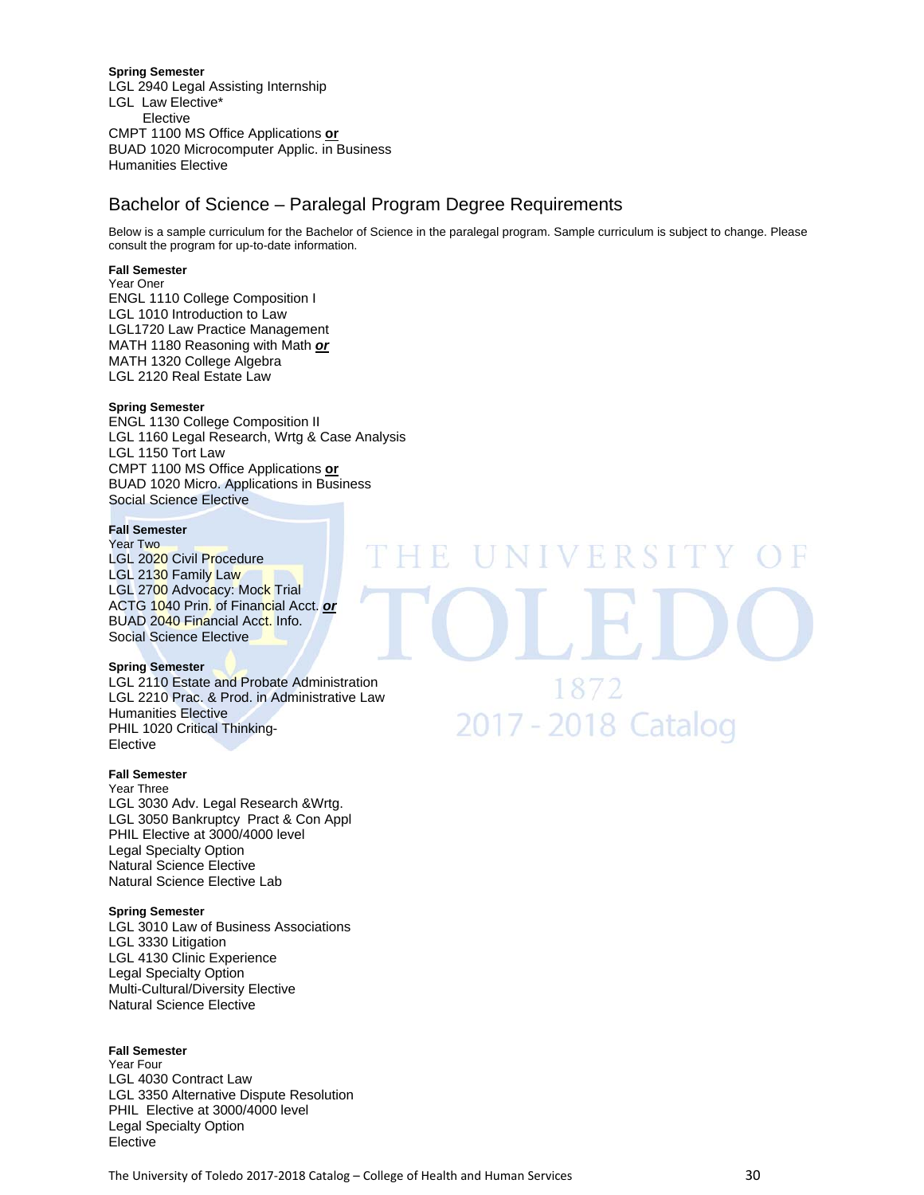**Spring Semester**  LGL 2940 Legal Assisting Internship LGL Law Elective\* Elective CMPT 1100 MS Office Applications **or** BUAD 1020 Microcomputer Applic. in Business Humanities Elective

# Bachelor of Science – Paralegal Program Degree Requirements

Below is a sample curriculum for the Bachelor of Science in the paralegal program. Sample curriculum is subject to change. Please consult the program for up-to-date information.

### **Fall Semester**

Year Oner ENGL 1110 College Composition I LGL 1010 Introduction to Law LGL1720 Law Practice Management MATH 1180 Reasoning with Math *or* MATH 1320 College Algebra LGL 2120 Real Estate Law

### **Spring Semester**

ENGL 1130 College Composition II LGL 1160 Legal Research, Wrtg & Case Analysis LGL 1150 Tort Law CMPT 1100 MS Office Applications **or** BUAD 1020 Micro. Applications in Business Social Science Elective

### **Fall Semester**

Year Two LGL 2020 Civil Procedure LGL 2130 Family Law LGL 2700 Advocacy: Mock Trial ACTG 1040 Prin. of Financial Acct. *or* BUAD 2040 Financial Acct. Info. Social Science Elective

### **Spring Semester**

LGL 2110 Estate and Probate Administration LGL 2210 Prac. & Prod. in Administrative Law Humanities Elective PHIL 1020 Critical Thinking-Elective

### **Fall Semester**

Year Three LGL 3030 Adv. Legal Research &Wrtg. LGL 3050 Bankruptcy Pract & Con Appl PHIL Elective at 3000/4000 level Legal Specialty Option Natural Science Elective Natural Science Elective Lab

### **Spring Semester**

LGL 3010 Law of Business Associations LGL 3330 Litigation LGL 4130 Clinic Experience Legal Specialty Option Multi-Cultural/Diversity Elective Natural Science Elective

### **Fall Semester**

Year Four LGL 4030 Contract Law LGL 3350 Alternative Dispute Resolution PHIL Elective at 3000/4000 level Legal Specialty Option Elective

**NIVERSIT** 1872 2017 - 2018 Catalog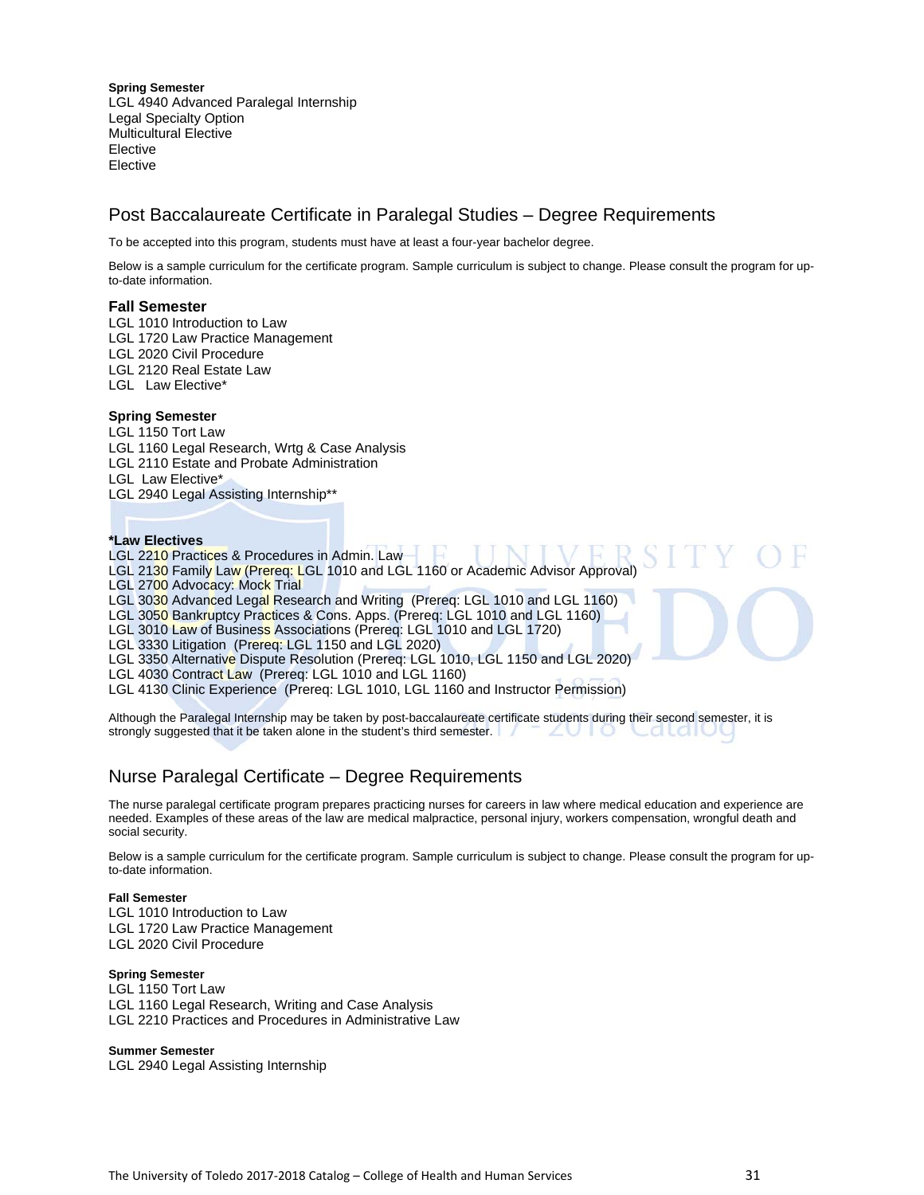**Spring Semester**  LGL 4940 Advanced Paralegal Internship Legal Specialty Option Multicultural Elective Elective Elective

# Post Baccalaureate Certificate in Paralegal Studies – Degree Requirements

To be accepted into this program, students must have at least a four-year bachelor degree.

Below is a sample curriculum for the certificate program. Sample curriculum is subject to change. Please consult the program for upto-date information.

### **Fall Semester**

LGL 1010 Introduction to Law LGL 1720 Law Practice Management

LGL 2020 Civil Procedure

LGL 2120 Real Estate Law

LGL Law Elective\*

### **Spring Semester**

LGL 1150 Tort Law LGL 1160 Legal Research, Wrtg & Case Analysis LGL 2110 Estate and Probate Administration LGL Law Elective\*

LGL 2940 Legal Assisting Internship\*\*

### **\*Law Electives**

LGL 2210 Practices & Procedures in Admin. Law

LGL 2130 Family Law (Prereq: LGL 1010 and LGL 1160 or Academic Advisor Approval)

LGL 2700 Advocacy: Mock Trial

LGL 3030 Advanced Legal Research and Writing (Prereq: LGL 1010 and LGL 1160)

LGL 3050 Bankruptcy Practices & Cons. Apps. (Prereq: LGL 1010 and LGL 1160)

LGL 3010 Law of Business Associations (Prereq: LGL 1010 and LGL 1720)

LGL 3330 Litigation (Prereq: LGL 1150 and LGL 2020)

- LGL 3350 Alternative Dispute Resolution (Prereq: LGL 1010, LGL 1150 and LGL 2020)
- LGL 4030 Contract Law (Prereq: LGL 1010 and LGL 1160)

LGL 4130 Clinic Experience (Prereq: LGL 1010, LGL 1160 and Instructor Permission)

Although the Paralegal Internship may be taken by post-baccalaureate certificate students during their second semester, it is strongly suggested that it be taken alone in the student's third semester.

# Nurse Paralegal Certificate – Degree Requirements

The nurse paralegal certificate program prepares practicing nurses for careers in law where medical education and experience are needed. Examples of these areas of the law are medical malpractice, personal injury, workers compensation, wrongful death and social security.

Below is a sample curriculum for the certificate program. Sample curriculum is subject to change. Please consult the program for upto-date information.

### **Fall Semester**

LGL 1010 Introduction to Law LGL 1720 Law Practice Management LGL 2020 Civil Procedure

### **Spring Semester**

LGL 1150 Tort Law LGL 1160 Legal Research, Writing and Case Analysis LGL 2210 Practices and Procedures in Administrative Law

**Summer Semester**  LGL 2940 Legal Assisting Internship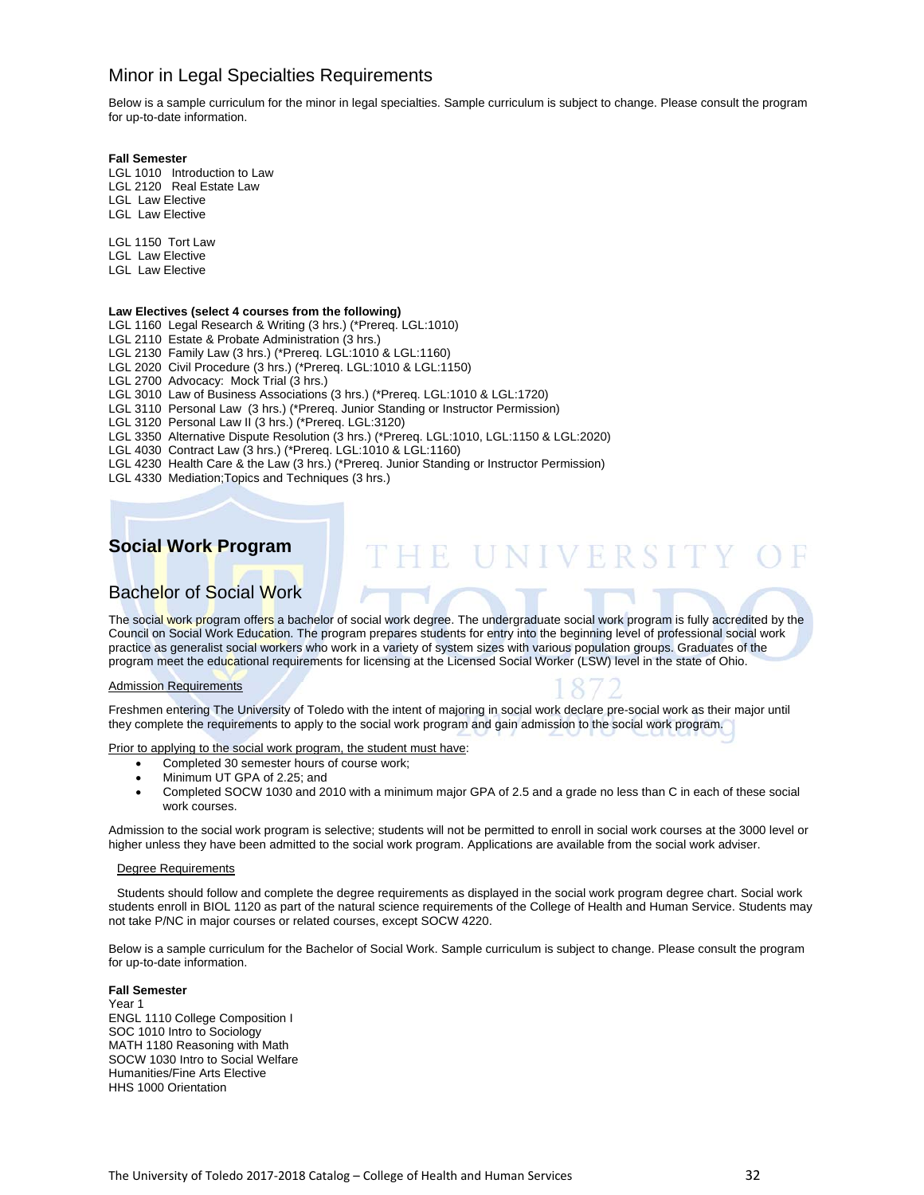# Minor in Legal Specialties Requirements

Below is a sample curriculum for the minor in legal specialties. Sample curriculum is subject to change. Please consult the program for up-to-date information.

### **Fall Semester**

LGL 1010 Introduction to Law LGL 2120 Real Estate Law LGL Law Elective

LGL Law Elective

LGL 1150 Tort Law

LGL Law Elective

LGL Law Elective

### **Law Electives (select 4 courses from the following)**

LGL 1160 Legal Research & Writing (3 hrs.) (\*Prereq. LGL:1010)

LGL 2110 Estate & Probate Administration (3 hrs.)

LGL 2130 Family Law (3 hrs.) (\*Prereq. LGL:1010 & LGL:1160)

LGL 2020 Civil Procedure (3 hrs.) (\*Prereq. LGL:1010 & LGL:1150)

LGL 2700 Advocacy: Mock Trial (3 hrs.)

LGL 3010 Law of Business Associations (3 hrs.) (\*Prereq. LGL:1010 & LGL:1720)

LGL 3110 Personal Law (3 hrs.) (\*Prereq. Junior Standing or Instructor Permission)

LGL 3120 Personal Law II (3 hrs.) (\*Prereq. LGL:3120)

LGL 3350 Alternative Dispute Resolution (3 hrs.) (\*Prereq. LGL:1010, LGL:1150 & LGL:2020)

LGL 4030 Contract Law (3 hrs.) (\*Prereq. LGL:1010 & LGL:1160)

LGL 4230 Health Care & the Law (3 hrs.) (\*Prereq. Junior Standing or Instructor Permission)

LGL 4330 Mediation;Topics and Techniques (3 hrs.)

# **Social Work Program**

# Bachelor of Social Work

The social work program offers a bachelor of social work degree. The undergraduate social work program is fully accredited by the Council on Social Work Education. The program prepares students for entry into the beginning level of professional social work practice as generalist social workers who work in a variety of system sizes with various population groups. Graduates of the program meet the educational requirements for licensing at the Licensed Social Worker (LSW) level in the state of Ohio.

### Admission Requirements



THE UNIVERSITY O

Freshmen entering The University of Toledo with the intent of majoring in social work declare pre-social work as their major until they complete the requirements to apply to the social work program and gain admission to the social work program.

Prior to applying to the social work program, the student must have:

- Completed 30 semester hours of course work;
- Minimum UT GPA of 2.25; and
- Completed SOCW 1030 and 2010 with a minimum major GPA of 2.5 and a grade no less than C in each of these social work courses.

Admission to the social work program is selective; students will not be permitted to enroll in social work courses at the 3000 level or higher unless they have been admitted to the social work program. Applications are available from the social work adviser.

### Degree Requirements

Students should follow and complete the degree requirements as displayed in the social work program degree chart. Social work students enroll in BIOL 1120 as part of the natural science requirements of the College of Health and Human Service. Students may not take P/NC in major courses or related courses, except SOCW 4220.

Below is a sample curriculum for the Bachelor of Social Work. Sample curriculum is subject to change. Please consult the program for up-to-date information.

### **Fall Semester**

Year 1 ENGL 1110 College Composition I SOC 1010 Intro to Sociology MATH 1180 Reasoning with Math SOCW 1030 Intro to Social Welfare Humanities/Fine Arts Elective HHS 1000 Orientation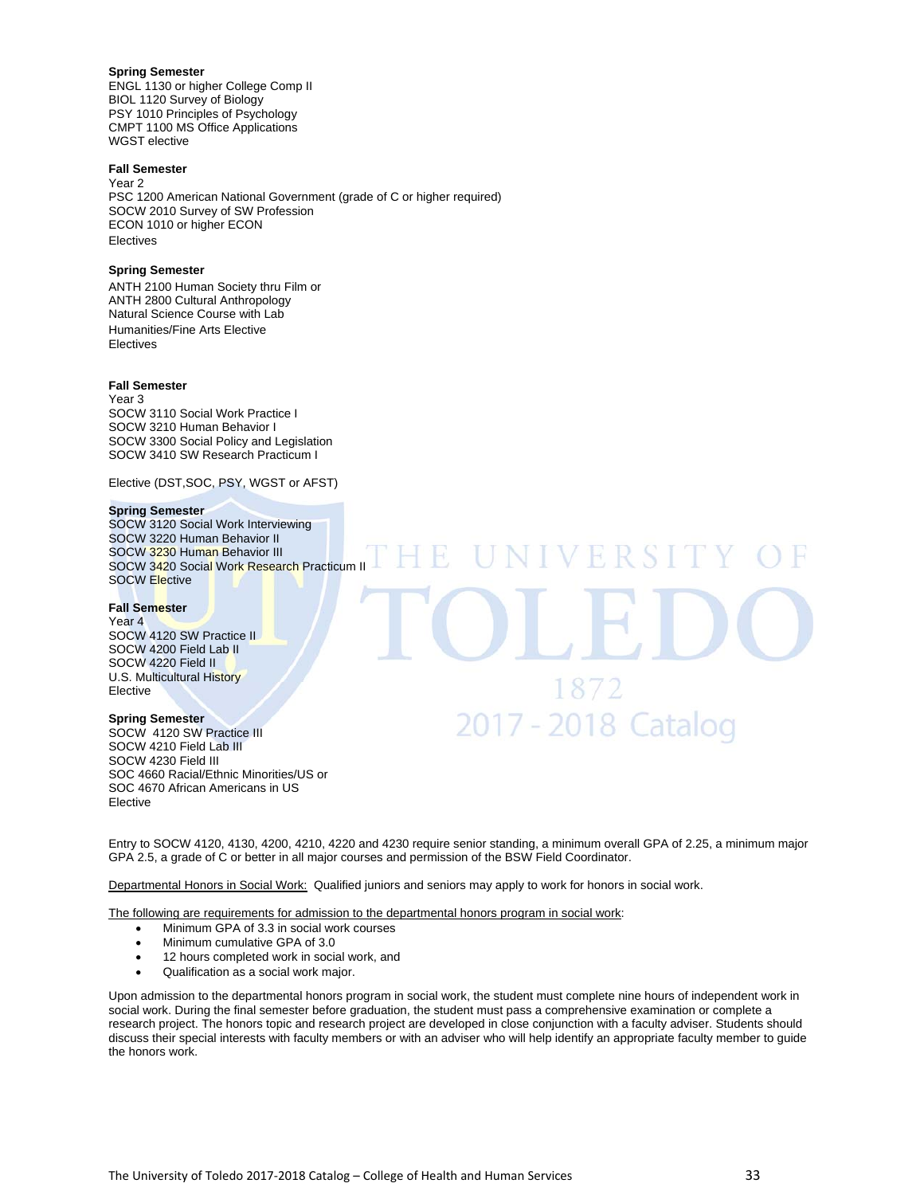### **Spring Semester**

ENGL 1130 or higher College Comp II BIOL 1120 Survey of Biology PSY 1010 Principles of Psychology CMPT 1100 MS Office Applications WGST elective

### **Fall Semester**

Year 2 PSC 1200 American National Government (grade of C or higher required) SOCW 2010 Survey of SW Profession ECON 1010 or higher ECON Electives

### **Spring Semester**

ANTH 2100 Human Society thru Film or ANTH 2800 Cultural Anthropology Natural Science Course with Lab Humanities/Fine Arts Elective **Electives** 

### **Fall Semester**

Year 3 SOCW 3110 Social Work Practice I SOCW 3210 Human Behavior I SOCW 3300 Social Policy and Legislation SOCW 3410 SW Research Practicum I

Elective (DST,SOC, PSY, WGST or AFST)

### **Spring Semester**

SOCW 3120 Social Work Interviewing SOCW 3220 Human Behavior II SOCW 3230 Human Behavior III SOCW 3420 Social Work Research Practicum II SOCW Elective

### **Fall Semester**

Year 4 SOCW 4120 SW Practice II SOCW 4200 Field Lab II SOCW 4220 Field II U.S. Multicultural History Elective

### **Spring Semester**

SOCW 4120 SW Practice III SOCW 4210 Field Lab III SOCW 4230 Field III SOC 4660 Racial/Ethnic Minorities/US or SOC 4670 African Americans in US Elective

Entry to SOCW 4120, 4130, 4200, 4210, 4220 and 4230 require senior standing, a minimum overall GPA of 2.25, a minimum major GPA 2.5, a grade of C or better in all major courses and permission of the BSW Field Coordinator.

1872

2017 - 2018 Catalog

Departmental Honors in Social Work: Qualified juniors and seniors may apply to work for honors in social work.

The following are requirements for admission to the departmental honors program in social work:

- Minimum GPA of 3.3 in social work courses
- Minimum cumulative GPA of 3.0
- 12 hours completed work in social work, and
- Qualification as a social work major.

Upon admission to the departmental honors program in social work, the student must complete nine hours of independent work in social work. During the final semester before graduation, the student must pass a comprehensive examination or complete a research project. The honors topic and research project are developed in close conjunction with a faculty adviser. Students should discuss their special interests with faculty members or with an adviser who will help identify an appropriate faculty member to guide the honors work.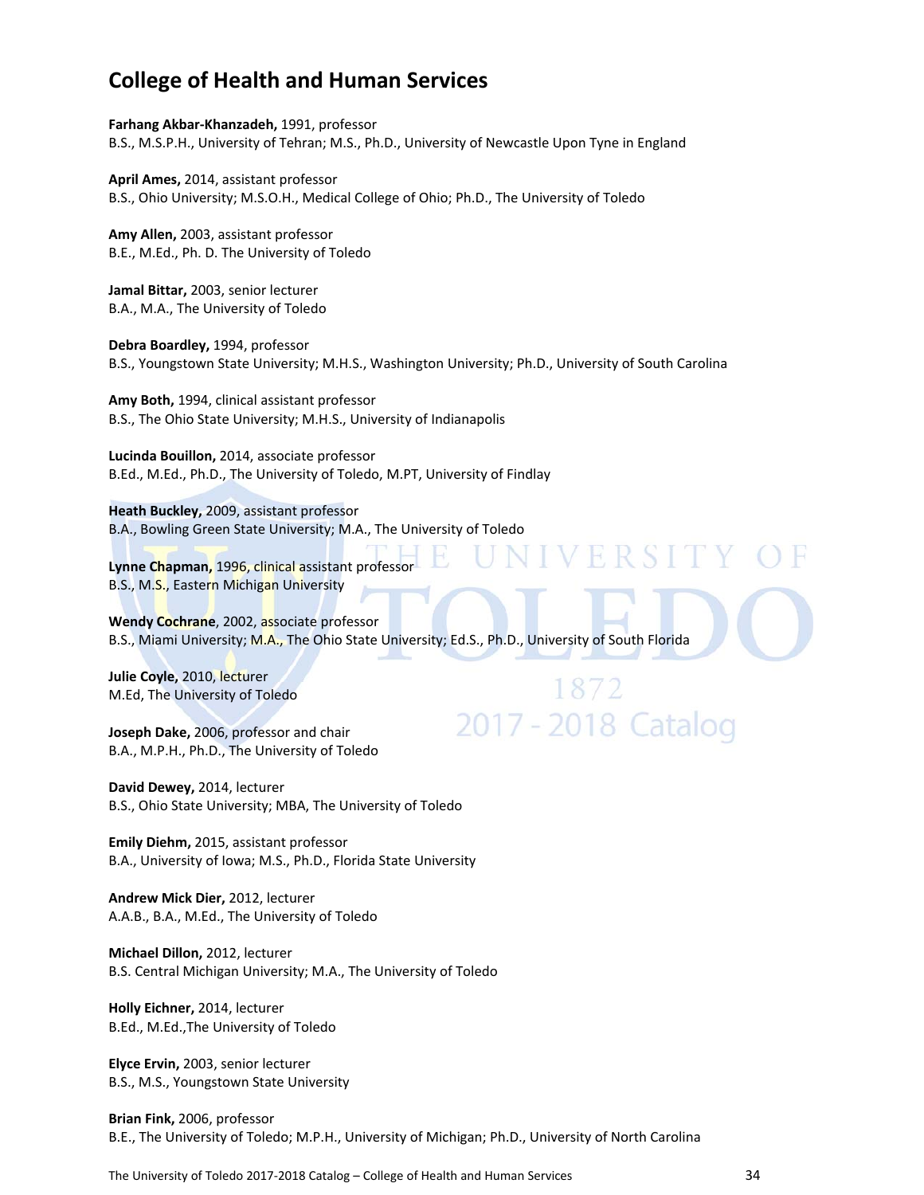# **College of Health and Human Services**

**Farhang Akbar‐Khanzadeh,** 1991, professor B.S., M.S.P.H., University of Tehran; M.S., Ph.D., University of Newcastle Upon Tyne in England

**April Ames,** 2014, assistant professor B.S., Ohio University; M.S.O.H., Medical College of Ohio; Ph.D., The University of Toledo

**Amy Allen,** 2003, assistant professor B.E., M.Ed., Ph. D. The University of Toledo

**Jamal Bittar,** 2003, senior lecturer B.A., M.A., The University of Toledo

**Debra Boardley,** 1994, professor B.S., Youngstown State University; M.H.S., Washington University; Ph.D., University of South Carolina

**Amy Both,** 1994, clinical assistant professor B.S., The Ohio State University; M.H.S., University of Indianapolis

**Lucinda Bouillon,** 2014, associate professor B.Ed., M.Ed., Ph.D., The University of Toledo, M.PT, University of Findlay

**Heath Buckley,** 2009, assistant professor B.A., Bowling Green State University; M.A., The University of Toledo

**Lynne Chapman,** 1996, clinical assistant professor B.S., M.S., Eastern Michigan University

**Wendy Cochrane**, 2002, associate professor B.S., Miami University; M.A., The Ohio State University; Ed.S., Ph.D., University of South Florida

1872

2017 - 2018 Catalog

**Julie Coyle,** 2010, lecturer M.Ed, The University of Toledo

**Joseph Dake,** 2006, professor and chair B.A., M.P.H., Ph.D., The University of Toledo

**David Dewey,** 2014, lecturer B.S., Ohio State University; MBA, The University of Toledo

**Emily Diehm,** 2015, assistant professor B.A., University of Iowa; M.S., Ph.D., Florida State University

**Andrew Mick Dier,** 2012, lecturer A.A.B., B.A., M.Ed., The University of Toledo

**Michael Dillon,** 2012, lecturer B.S. Central Michigan University; M.A., The University of Toledo

**Holly Eichner,** 2014, lecturer B.Ed., M.Ed.,The University of Toledo

**Elyce Ervin,** 2003, senior lecturer B.S., M.S., Youngstown State University

**Brian Fink,** 2006, professor B.E., The University of Toledo; M.P.H., University of Michigan; Ph.D., University of North Carolina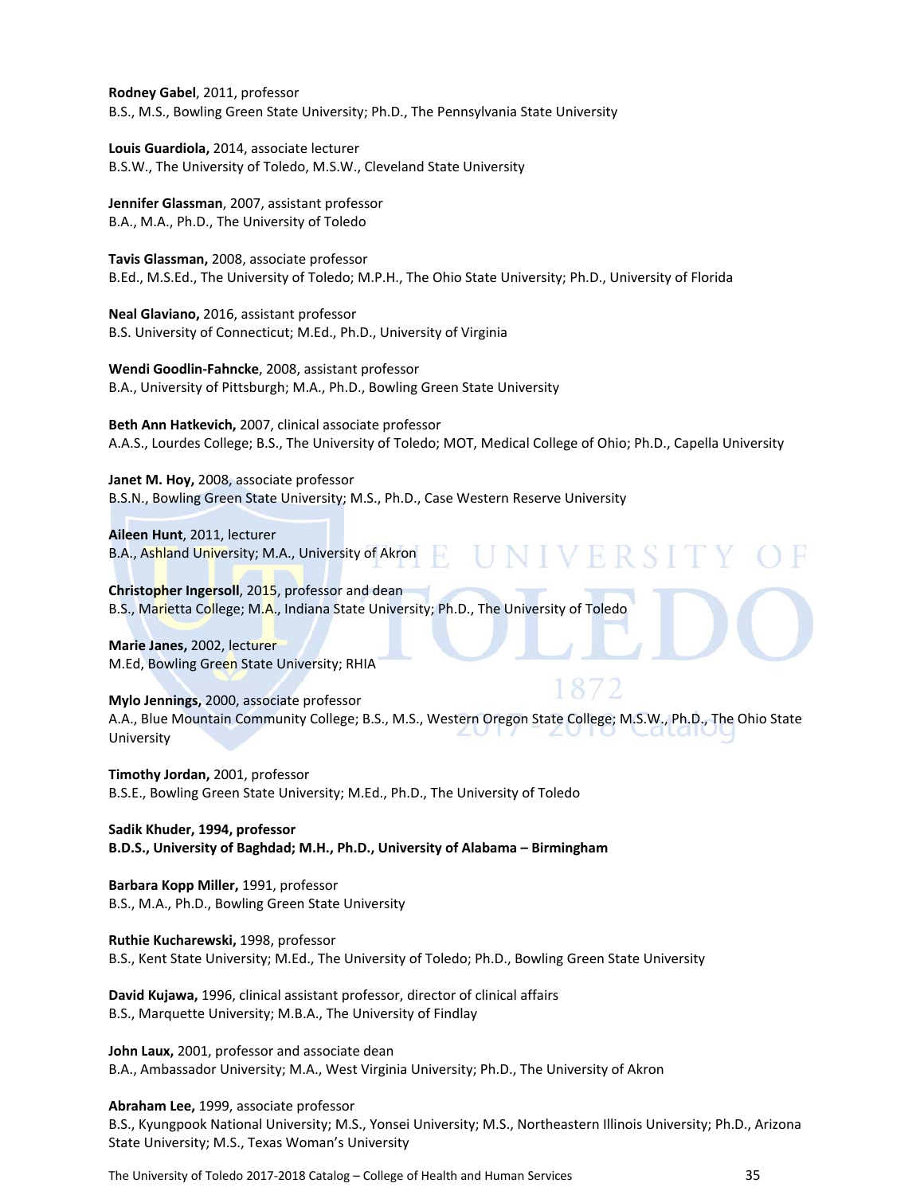**Rodney Gabel**, 2011, professor B.S., M.S., Bowling Green State University; Ph.D., The Pennsylvania State University

**Louis Guardiola,** 2014, associate lecturer B.S.W., The University of Toledo, M.S.W., Cleveland State University

**Jennifer Glassman**, 2007, assistant professor B.A., M.A., Ph.D., The University of Toledo

**Tavis Glassman,** 2008, associate professor B.Ed., M.S.Ed., The University of Toledo; M.P.H., The Ohio State University; Ph.D., University of Florida

**Neal Glaviano,** 2016, assistant professor B.S. University of Connecticut; M.Ed., Ph.D., University of Virginia

**Wendi Goodlin‐Fahncke**, 2008, assistant professor B.A., University of Pittsburgh; M.A., Ph.D., Bowling Green State University

**Beth Ann Hatkevich,** 2007, clinical associate professor A.A.S., Lourdes College; B.S., The University of Toledo; MOT, Medical College of Ohio; Ph.D., Capella University

V F R

**Janet M. Hoy,** 2008, associate professor B.S.N., Bowling Green State University; M.S., Ph.D., Case Western Reserve University

**Aileen Hunt**, 2011, lecturer B.A., Ashland University; M.A., University of Akron

**Christopher Ingersoll**, 2015, professor and dean B.S., Marietta College; M.A., Indiana State University; Ph.D., The University of Toledo

**Marie Janes,** 2002, lecturer M.Ed, Bowling Green State University; RHIA

**Mylo Jennings,** 2000, associate professor A.A., Blue Mountain Community College; B.S., M.S., Western Oregon State College; M.S.W., Ph.D., The Ohio State University

**Timothy Jordan,** 2001, professor B.S.E., Bowling Green State University; M.Ed., Ph.D., The University of Toledo

**Sadik Khuder, 1994, professor B.D.S., University of Baghdad; M.H., Ph.D., University of Alabama – Birmingham**

**Barbara Kopp Miller,** 1991, professor B.S., M.A., Ph.D., Bowling Green State University

**Ruthie Kucharewski,** 1998, professor B.S., Kent State University; M.Ed., The University of Toledo; Ph.D., Bowling Green State University

**David Kujawa,** 1996, clinical assistant professor, director of clinical affairs B.S., Marquette University; M.B.A., The University of Findlay

**John Laux,** 2001, professor and associate dean B.A., Ambassador University; M.A., West Virginia University; Ph.D., The University of Akron

**Abraham Lee,** 1999, associate professor B.S., Kyungpook National University; M.S., Yonsei University; M.S., Northeastern Illinois University; Ph.D., Arizona State University; M.S., Texas Woman's University

The University of Toledo 2017-2018 Catalog – College of Health and Human Services 35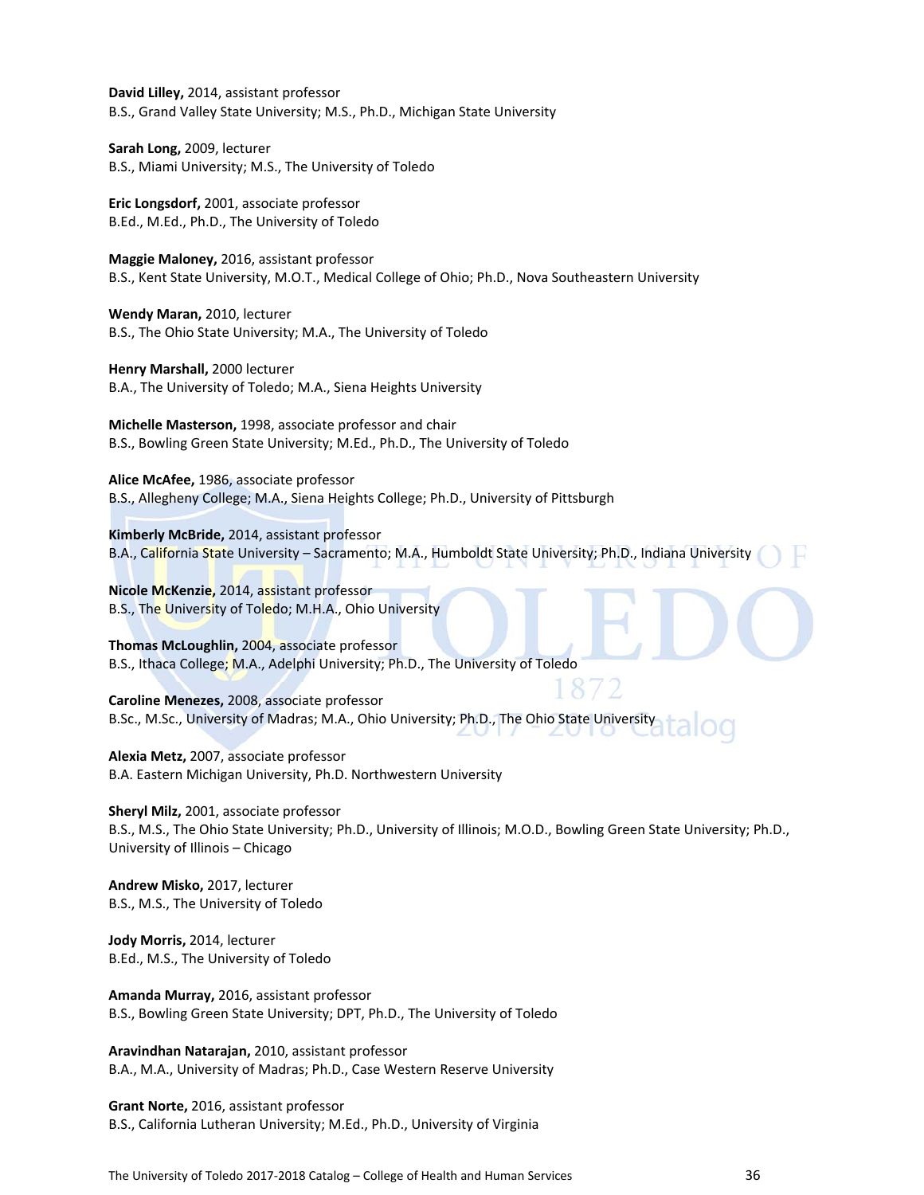**David Lilley,** 2014, assistant professor B.S., Grand Valley State University; M.S., Ph.D., Michigan State University

**Sarah Long,** 2009, lecturer B.S., Miami University; M.S., The University of Toledo

**Eric Longsdorf,** 2001, associate professor B.Ed., M.Ed., Ph.D., The University of Toledo

**Maggie Maloney,** 2016, assistant professor B.S., Kent State University, M.O.T., Medical College of Ohio; Ph.D., Nova Southeastern University

**Wendy Maran,** 2010, lecturer B.S., The Ohio State University; M.A., The University of Toledo

**Henry Marshall,** 2000 lecturer B.A., The University of Toledo; M.A., Siena Heights University

**Michelle Masterson,** 1998, associate professor and chair B.S., Bowling Green State University; M.Ed., Ph.D., The University of Toledo

**Alice McAfee,** 1986, associate professor B.S., Allegheny College; M.A., Siena Heights College; Ph.D., University of Pittsburgh

**Kimberly McBride,** 2014, assistant professor B.A., California State University - Sacramento; M.A., Humboldt State University; Ph.D., Indiana University

**Nicole McKenzie,** 2014, assistant professor B.S., The University of Toledo; M.H.A., Ohio University

**Thomas McLoughlin,** 2004, associate professor B.S., Ithaca College; M.A., Adelphi University; Ph.D., The University of Toledo

**Caroline Menezes,** 2008, associate professor B.Sc., M.Sc., University of Madras; M.A., Ohio University; Ph.D., The Ohio State University

**Alexia Metz,** 2007, associate professor B.A. Eastern Michigan University, Ph.D. Northwestern University

**Sheryl Milz,** 2001, associate professor B.S., M.S., The Ohio State University; Ph.D., University of Illinois; M.O.D., Bowling Green State University; Ph.D., University of Illinois – Chicago

**Andrew Misko,** 2017, lecturer B.S., M.S., The University of Toledo

**Jody Morris,** 2014, lecturer B.Ed., M.S., The University of Toledo

**Amanda Murray,** 2016, assistant professor B.S., Bowling Green State University; DPT, Ph.D., The University of Toledo

**Aravindhan Natarajan,** 2010, assistant professor B.A., M.A., University of Madras; Ph.D., Case Western Reserve University

**Grant Norte,** 2016, assistant professor B.S., California Lutheran University; M.Ed., Ph.D., University of Virginia

The University of Toledo 2017-2018 Catalog – College of Health and Human Services 36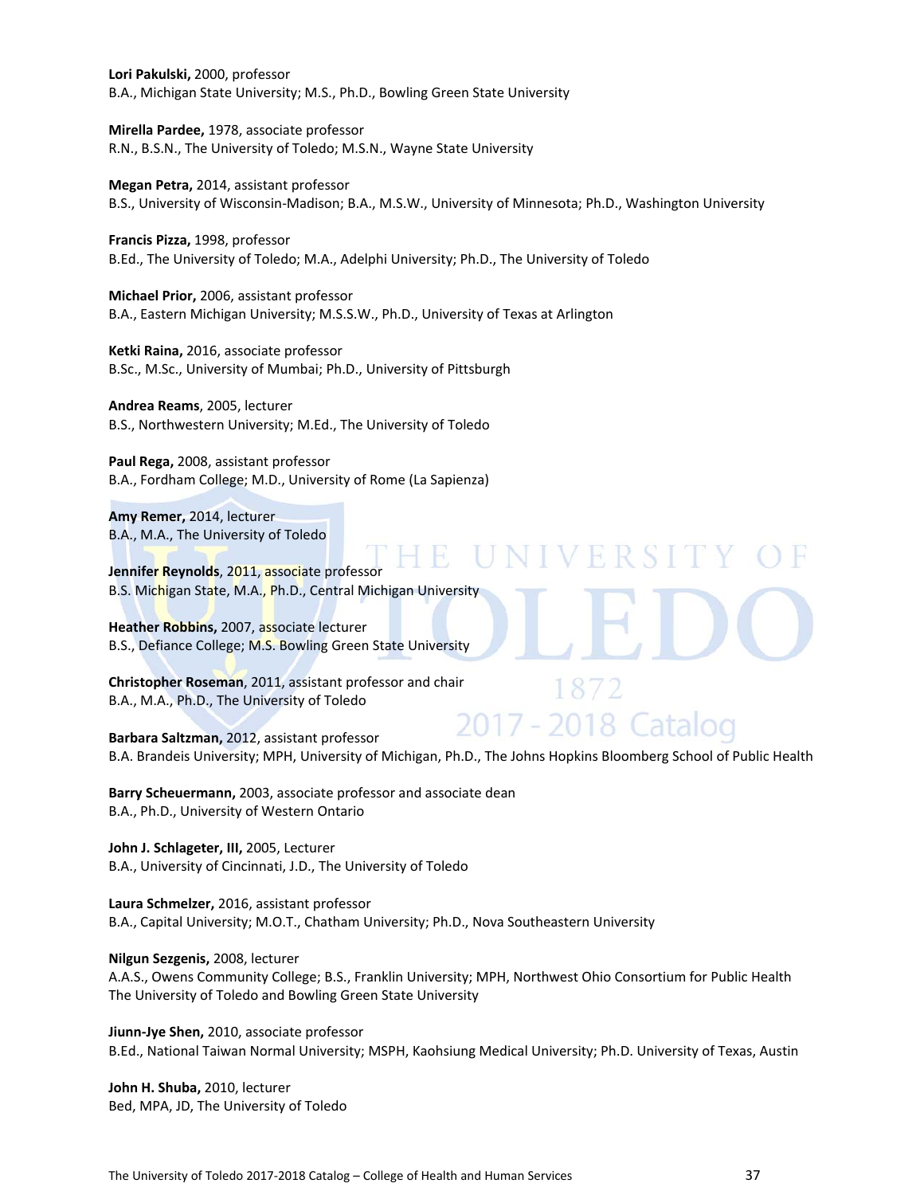**Lori Pakulski,** 2000, professor B.A., Michigan State University; M.S., Ph.D., Bowling Green State University

**Mirella Pardee,** 1978, associate professor R.N., B.S.N., The University of Toledo; M.S.N., Wayne State University

**Megan Petra,** 2014, assistant professor B.S., University of Wisconsin‐Madison; B.A., M.S.W., University of Minnesota; Ph.D., Washington University

**Francis Pizza,** 1998, professor B.Ed., The University of Toledo; M.A., Adelphi University; Ph.D., The University of Toledo

**Michael Prior,** 2006, assistant professor B.A., Eastern Michigan University; M.S.S.W., Ph.D., University of Texas at Arlington

**Ketki Raina,** 2016, associate professor B.Sc., M.Sc., University of Mumbai; Ph.D., University of Pittsburgh

**Andrea Reams**, 2005, lecturer B.S., Northwestern University; M.Ed., The University of Toledo

**Paul Rega,** 2008, assistant professor B.A., Fordham College; M.D., University of Rome (La Sapienza)

**Amy Remer,** 2014, lecturer B.A., M.A., The University of Toledo

n H **Jennifer Reynolds**, 2011, associate professor B.S. Michigan State, M.A., Ph.D., Central Michigan University

**Heather Robbins,** 2007, associate lecturer B.S., Defiance College; M.S. Bowling Green State University

**Christopher Roseman**, 2011, assistant professor and chair B.A., M.A., Ph.D., The University of Toledo

2017 - 2018 Catalog **Barbara Saltzman,** 2012, assistant professor B.A. Brandeis University; MPH, University of Michigan, Ph.D., The Johns Hopkins Bloomberg School of Public Health

**Barry Scheuermann,** 2003, associate professor and associate dean B.A., Ph.D., University of Western Ontario

**John J. Schlageter, III,** 2005, Lecturer B.A., University of Cincinnati, J.D., The University of Toledo

**Laura Schmelzer,** 2016, assistant professor B.A., Capital University; M.O.T., Chatham University; Ph.D., Nova Southeastern University

**Nilgun Sezgenis,** 2008, lecturer

A.A.S., Owens Community College; B.S., Franklin University; MPH, Northwest Ohio Consortium for Public Health The University of Toledo and Bowling Green State University

**Jiunn‐Jye Shen,** 2010, associate professor B.Ed., National Taiwan Normal University; MSPH, Kaohsiung Medical University; Ph.D. University of Texas, Austin

**John H. Shuba,** 2010, lecturer Bed, MPA, JD, The University of Toledo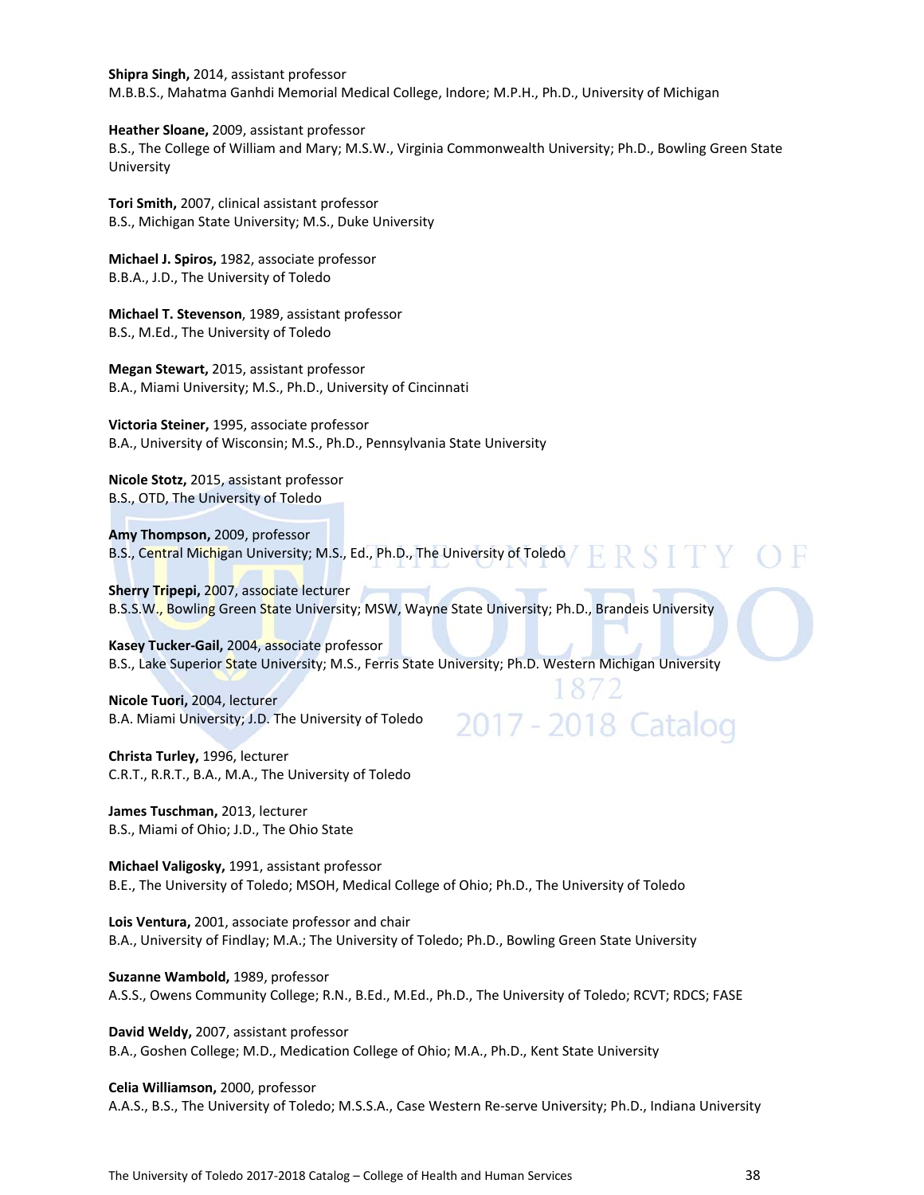**Shipra Singh,** 2014, assistant professor M.B.B.S., Mahatma Ganhdi Memorial Medical College, Indore; M.P.H., Ph.D., University of Michigan

**Heather Sloane,** 2009, assistant professor B.S., The College of William and Mary; M.S.W., Virginia Commonwealth University; Ph.D., Bowling Green State University

**Tori Smith,** 2007, clinical assistant professor B.S., Michigan State University; M.S., Duke University

**Michael J. Spiros,** 1982, associate professor B.B.A., J.D., The University of Toledo

**Michael T. Stevenson**, 1989, assistant professor B.S., M.Ed., The University of Toledo

**Megan Stewart,** 2015, assistant professor B.A., Miami University; M.S., Ph.D., University of Cincinnati

**Victoria Steiner,** 1995, associate professor B.A., University of Wisconsin; M.S., Ph.D., Pennsylvania State University

**Nicole Stotz,** 2015, assistant professor B.S., OTD, The University of Toledo

**Amy Thompson,** 2009, professor B.S., Central Michigan University; M.S., Ed., Ph.D., The University of Toledo

**Sherry Tripepi,** 2007, associate lecturer B.S.S.W., Bowling Green State University; MSW, Wayne State University; Ph.D., Brandeis University

**Kasey Tucker‐Gail,** 2004, associate professor B.S., Lake Superior State University; M.S., Ferris State University; Ph.D. Western Michigan University

2017 - 2018 Catalog

**Nicole Tuori,** 2004, lecturer B.A. Miami University; J.D. The University of Toledo

**Christa Turley,** 1996, lecturer C.R.T., R.R.T., B.A., M.A., The University of Toledo

**James Tuschman,** 2013, lecturer B.S., Miami of Ohio; J.D., The Ohio State

**Michael Valigosky,** 1991, assistant professor B.E., The University of Toledo; MSOH, Medical College of Ohio; Ph.D., The University of Toledo

**Lois Ventura,** 2001, associate professor and chair B.A., University of Findlay; M.A.; The University of Toledo; Ph.D., Bowling Green State University

**Suzanne Wambold,** 1989, professor A.S.S., Owens Community College; R.N., B.Ed., M.Ed., Ph.D., The University of Toledo; RCVT; RDCS; FASE

**David Weldy,** 2007, assistant professor B.A., Goshen College; M.D., Medication College of Ohio; M.A., Ph.D., Kent State University

**Celia Williamson,** 2000, professor A.A.S., B.S., The University of Toledo; M.S.S.A., Case Western Re‐serve University; Ph.D., Indiana University